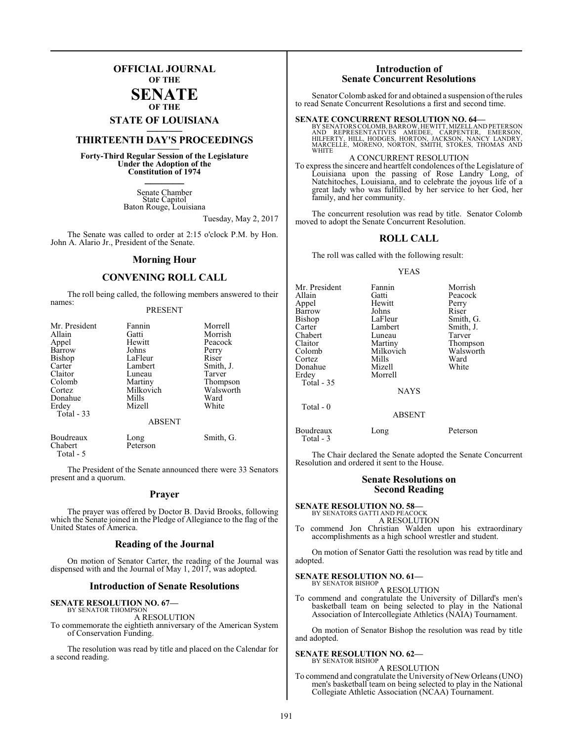## **OFFICIAL JOURNAL OF THE**

#### **SENATE OF THE**

# **STATE OF LOUISIANA \_\_\_\_\_\_\_**

## **THIRTEENTH DAY'S PROCEEDINGS \_\_\_\_\_\_\_**

**Forty-Third Regular Session of the Legislature Under the Adoption of the Constitution of 1974 \_\_\_\_\_\_\_**

> Senate Chamber State Capitol Baton Rouge, Louisiana

> > Tuesday, May 2, 2017

The Senate was called to order at 2:15 o'clock P.M. by Hon. John A. Alario Jr., President of the Senate.

#### **Morning Hour**

#### **CONVENING ROLL CALL**

The roll being called, the following members answered to their names:

#### PRESENT

| Mr. President<br>Allain<br>Appel<br>Barrow<br>Bishop<br>Carter<br>Claitor<br>Colomb | Fannin<br>Gatti<br>Hewitt<br>Johns<br>LaFleur<br>Lambert<br>Luneau<br>Martiny<br>Milkovich | Morrell<br>Morrish<br>Peacock<br>Perry<br>Riser<br>Smith, J.<br>Tarver<br>Thompson<br>Walsworth |
|-------------------------------------------------------------------------------------|--------------------------------------------------------------------------------------------|-------------------------------------------------------------------------------------------------|
| Donahue<br>Erdey<br>Total - 33                                                      | Mills<br>Mizell<br><b>ABSENT</b>                                                           | Ward<br>White                                                                                   |
| Boudreaux<br>Chabert                                                                | Long<br>Peterson                                                                           | Smith, G.                                                                                       |

The President of the Senate announced there were 33 Senators present and a quorum.

#### **Prayer**

The prayer was offered by Doctor B. David Brooks, following which the Senate joined in the Pledge of Allegiance to the flag of the United States of America.

#### **Reading of the Journal**

On motion of Senator Carter, the reading of the Journal was dispensed with and the Journal of May 1, 2017, was adopted.

#### **Introduction of Senate Resolutions**

# **SENATE RESOLUTION NO. 67—**<br>BY SENATOR THOMPSON

Total - 5

A RESOLUTION

To commemorate the eightieth anniversary of the American System of Conservation Funding.

The resolution was read by title and placed on the Calendar for a second reading.

#### **Introduction of Senate Concurrent Resolutions**

Senator Colomb asked for and obtained a suspension of the rules to read Senate Concurrent Resolutions a first and second time.

#### **SENATE CONCURRENT RESOLUTION NO. 64—**

BY SENATORS COLOMB, BARROW, HEWITT, MIZELL AND PETERSON<br>AND REPRESENTATIVES AMEDEE, CARPENTER, EMERSON,<br>HILFERTY, HILL, HOOGES, HORTON, JACKSON, NANCY LANDRY,<br>MARCELLE, MORENO, NORTON, SMITH, STOKES, THOMAS AND **WHITE** 

#### A CONCURRENT RESOLUTION

To express the sincere and heartfelt condolences ofthe Legislature of Louisiana upon the passing of Rose Landry Long, of Natchitoches, Louisiana, and to celebrate the joyous life of a great lady who was fulfilled by her service to her God, her family, and her community.

The concurrent resolution was read by title. Senator Colomb moved to adopt the Senate Concurrent Resolution.

#### **ROLL CALL**

The roll was called with the following result:

#### YEAS

| Mr. President | Fannin        | Morrish   |
|---------------|---------------|-----------|
| Allain        | Gatti         | Peacock   |
| Appel         | Hewitt        | Perry     |
| Barrow        | Johns         | Riser     |
| Bishop        | LaFleur       | Smith, G. |
| Carter        | Lambert       | Smith, J. |
| Chabert       | Luneau        | Tarver    |
| Claitor       | Martiny       | Thompson  |
| Colomb        | Milkovich     | Walsworth |
| Cortez        | Mills         | Ward      |
| Donahue       | Mizell        | White     |
| Erdev         | Morrell       |           |
| Total - 35    |               |           |
|               | <b>NAYS</b>   |           |
| Total $-0$    |               |           |
|               | <b>ABSENT</b> |           |
|               |               |           |

Boudreaux Long Peterson

The Chair declared the Senate adopted the Senate Concurrent Resolution and ordered it sent to the House.

#### **Senate Resolutions on Second Reading**

#### **SENATE RESOLUTION NO. 58—** BY SENATORS GATTI AND PEACOCK

Total - 3

A RESOLUTION

To commend Jon Christian Walden upon his extraordinary accomplishments as a high school wrestler and student.

On motion of Senator Gatti the resolution was read by title and adopted.

#### **SENATE RESOLUTION NO. 61—** BY SENATOR BISHOP

A RESOLUTION

To commend and congratulate the University of Dillard's men's basketball team on being selected to play in the National Association of Intercollegiate Athletics (NAIA) Tournament.

On motion of Senator Bishop the resolution was read by title and adopted.

#### **SENATE RESOLUTION NO. 62—**

#### BY SENATOR BISHOP A RESOLUTION

To commend and congratulate the University of New Orleans (UNO) men's basketball team on being selected to play in the National Collegiate Athletic Association (NCAA) Tournament.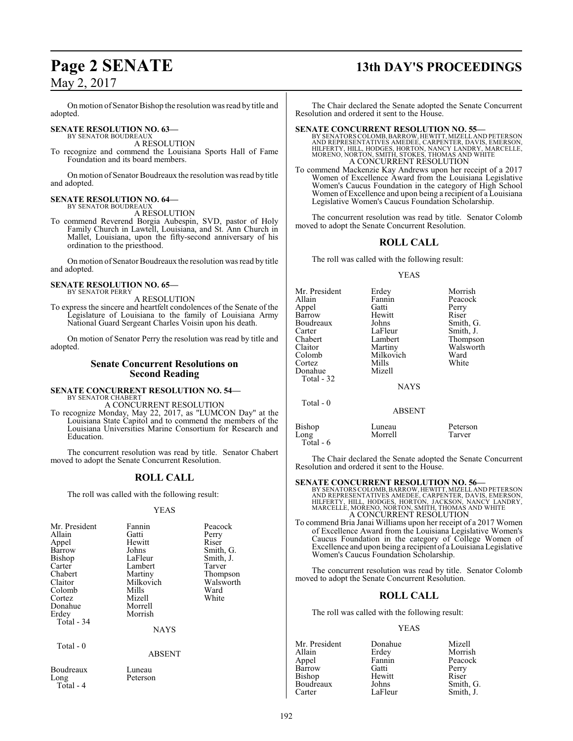On motion of Senator Bishop the resolution was read by title and adopted.

#### **SENATE RESOLUTION NO. 63—** BY SENATOR BOUDREAUX

A RESOLUTION

To recognize and commend the Louisiana Sports Hall of Fame Foundation and its board members.

On motion of Senator Boudreaux the resolution was read by title and adopted.

#### **SENATE RESOLUTION NO. 64—** BY SENATOR BOUDREAUX

A RESOLUTION

To commend Reverend Borgia Aubespin, SVD, pastor of Holy Family Church in Lawtell, Louisiana, and St. Ann Church in Mallet, Louisiana, upon the fifty-second anniversary of his ordination to the priesthood.

On motion of Senator Boudreaux the resolution was read by title and adopted.

# **SENATE RESOLUTION NO. 65—** BY SENATOR PERRY

A RESOLUTION

To express the sincere and heartfelt condolences of the Senate of the Legislature of Louisiana to the family of Louisiana Army National Guard Sergeant Charles Voisin upon his death.

On motion of Senator Perry the resolution was read by title and adopted.

### **Senate Concurrent Resolutions on Second Reading**

#### **SENATE CONCURRENT RESOLUTION NO. 54—** BY SENATOR CHABERT

A CONCURRENT RESOLUTION

To recognize Monday, May 22, 2017, as "LUMCON Day" at the Louisiana State Capitol and to commend the members of the Louisiana Universities Marine Consortium for Research and Education.

The concurrent resolution was read by title. Senator Chabert moved to adopt the Senate Concurrent Resolution.

## **ROLL CALL**

The roll was called with the following result:

#### YEAS

| Mr. President<br>Allain<br>Appel<br>Barrow<br><b>Bishop</b><br>Carter<br>Chabert<br>Claitor<br>Colomb<br>Cortez<br>Donahue<br>Erdey<br>Total - 34 | Fannin<br>Gatti<br>Hewitt<br>Johns<br>LaFleur<br>Lambert<br>Martiny<br>Milkovich<br>Mills<br>Mizell<br>Morrell<br>Morrish<br><b>NAYS</b> | Peacock<br>Perry<br>Riser<br>Smith, G.<br>Smith, J.<br>Tarver<br>Thompson<br>Walsworth<br>Ward<br>White |
|---------------------------------------------------------------------------------------------------------------------------------------------------|------------------------------------------------------------------------------------------------------------------------------------------|---------------------------------------------------------------------------------------------------------|
| Total $-0$                                                                                                                                        | <b>ABSENT</b>                                                                                                                            |                                                                                                         |
| Boudreaux<br>Long<br>Total - 4                                                                                                                    | Luneau<br>Peterson                                                                                                                       |                                                                                                         |

# **Page 2 SENATE 13th DAY'S PROCEEDINGS**

The Chair declared the Senate adopted the Senate Concurrent Resolution and ordered it sent to the House.

#### **SENATE CONCURRENT RESOLUTION NO. 55—**

BY SENATORS COLOMB, BARROW, HEWITT, MIZELL AND PETERSON<br>AND REPRESENTATIVES AMEDEE, CARPENTER, DAVIS, EMERSON,<br>HILFERTY, HILL, HODGES, HORTON, NANCY LANDRY, MARCELLE,<br>MORENO, NORTON, SMITH, STOKES, THOMAS AND WHITE<br>A CONCU

To commend Mackenzie Kay Andrews upon her receipt of a 2017 Women of Excellence Award from the Louisiana Legislative Women's Caucus Foundation in the category of High School Women of Excellence and upon being a recipient of a Louisiana Legislative Women's Caucus Foundation Scholarship.

The concurrent resolution was read by title. Senator Colomb moved to adopt the Senate Concurrent Resolution.

## **ROLL CALL**

The roll was called with the following result:

#### YEAS

| Mr. President<br>Allain<br>Appel<br>Barrow<br>Boudreaux<br>Carter<br>Chabert<br>Claitor<br>Colomb<br>Cortez<br>Donahue<br>Total - 32 | Erdey<br>Fannin<br>Gatti<br>Hewitt<br>Johns<br>LaFleur<br>Lambert<br>Martiny<br>Milkovich<br>Mills<br>Mizell<br><b>NAYS</b> | Morrish<br>Peacock<br>Perry<br>Riser<br>Smith, G.<br>Smith, J.<br>Thompson<br>Walsworth<br>Ward<br>White |
|--------------------------------------------------------------------------------------------------------------------------------------|-----------------------------------------------------------------------------------------------------------------------------|----------------------------------------------------------------------------------------------------------|
| Total $-0$                                                                                                                           | <b>ABSENT</b>                                                                                                               |                                                                                                          |
| <b>Bishop</b><br>Long                                                                                                                | Luneau<br>Morrell                                                                                                           | Peterson<br>Tarver                                                                                       |

The Chair declared the Senate adopted the Senate Concurrent Resolution and ordered it sent to the House.

Total - 6

**SENATE CONCURRENT RESOLUTION NO. 56—**<br>BY SENATORS COLOMB, BARROW, HEWITT, MIZELL AND REPRESON AND REPRESON FOR THE REPART OF HILL FREEN AND REPART HULL FREEN DOGES, HORTON, JACKSON, NANCY LANDRY, MARCELLE, MORENO, NORTON,

To commend Bria Janai Williams upon her receipt of a 2017 Women of Excellence Award from the Louisiana Legislative Women's Caucus Foundation in the category of College Women of Excellence and upon being a recipient of a Louisiana Legislative Women's Caucus Foundation Scholarship.

The concurrent resolution was read by title. Senator Colomb moved to adopt the Senate Concurrent Resolution.

### **ROLL CALL**

The roll was called with the following result:

#### YEAS

| Mr. President | Donahue | Mizell    |
|---------------|---------|-----------|
| Allain        | Erdey   | Morrish   |
| Appel         | Fannin  | Peacock   |
| <b>Barrow</b> | Gatti   | Perry     |
| Bishop        | Hewitt  | Riser     |
| Boudreaux     | Johns   | Smith, G. |
| Carter        | LaFleur | Smith, J. |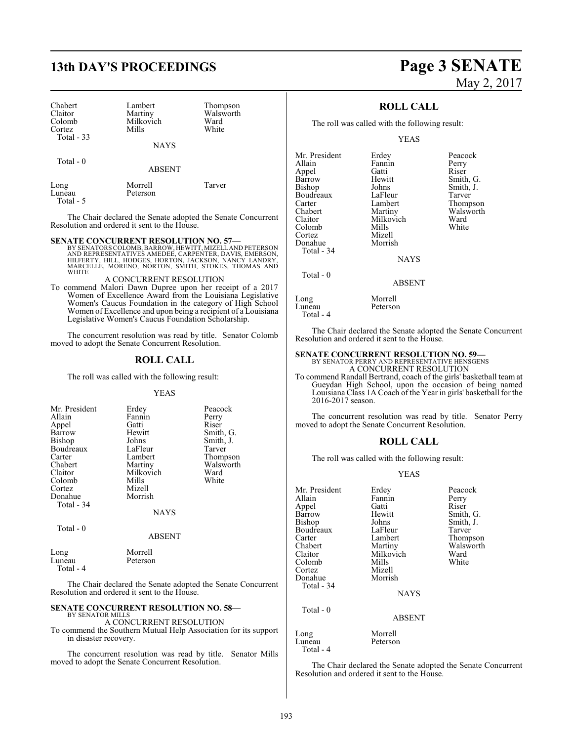# **13th DAY'S PROCEEDINGS Page 3 SENATE**

| Chabert<br>Claitor<br>Colomb<br>Cortez<br>Total $-33$ | Lambert<br>Martiny<br>Milkovich<br>Mills<br><b>NAYS</b> | Thompson<br>Walsworth<br>Ward<br>White |  |
|-------------------------------------------------------|---------------------------------------------------------|----------------------------------------|--|
| Total - 0                                             | <b>ABSENT</b>                                           |                                        |  |
| Long<br>I uneau                                       | Morrell<br>Peterson                                     | Tarver                                 |  |

Total - 5

The Chair declared the Senate adopted the Senate Concurrent Resolution and ordered it sent to the House.

**SENATE CONCURRENT RESOLUTION NO. 57—**<br>BY SENATORS COLOMB, BARROW, HEWITT, MIZELLAND PETERSON<br>AND REPRESENTATIVES AMEDEE, CARPENTER, DAVIS, EMERSON,<br>HILFERTY, HILL, HODGES, HORTON, JACKSON, NANCY LANDRY, MARCELLE, MORENO, NORTON, SMITH, STOKES, THOMAS AND WHITE

#### A CONCURRENT RESOLUTION

To commend Malori Dawn Dupree upon her receipt of a 2017 Women of Excellence Award from the Louisiana Legislative Women's Caucus Foundation in the category of High School Women of Excellence and upon being a recipient of a Louisiana Legislative Women's Caucus Foundation Scholarship.

The concurrent resolution was read by title. Senator Colomb moved to adopt the Senate Concurrent Resolution.

## **ROLL CALL**

The roll was called with the following result:

#### YEAS

| Mr. President<br>Allain<br>Appel<br>Barrow<br>Bishop<br>Boudreaux<br>Carter<br>Chabert<br>Claitor<br>Colomb<br>Cortez<br>Donahue | Erdey<br>Fannin<br>Gatti<br>Hewitt<br>Johns<br>LaFleur<br>Lambert<br>Martiny<br>Milkovich<br>Mills<br>Mizell<br>Morrish | Peacock<br>Perry<br>Riser<br>Smith, G.<br>Smith, J.<br>Tarver<br>Thompson<br>Walsworth<br>Ward<br>White |
|----------------------------------------------------------------------------------------------------------------------------------|-------------------------------------------------------------------------------------------------------------------------|---------------------------------------------------------------------------------------------------------|
| Total - 34                                                                                                                       | <b>NAYS</b>                                                                                                             |                                                                                                         |
| Total $-0$                                                                                                                       | <b>ABSENT</b>                                                                                                           |                                                                                                         |

| Long      | Morrell  |  |
|-----------|----------|--|
| Luneau    | Peterson |  |
| Total - 4 |          |  |

The Chair declared the Senate adopted the Senate Concurrent Resolution and ordered it sent to the House.

#### **SENATE CONCURRENT RESOLUTION NO. 58—** BY SENATOR MILLS

#### A CONCURRENT RESOLUTION

To commend the Southern Mutual Help Association for its support in disaster recovery.

The concurrent resolution was read by title. Senator Mills moved to adopt the Senate Concurrent Resolution.

# May 2, 2017

Smith, G. Smith, J. Tarver Thompson Walsworth<br>Ward

### **ROLL CALL**

The roll was called with the following result:

YEAS

| Mr. President | Erdey         | Peacock       |
|---------------|---------------|---------------|
| Allain        | Fannin        | Perry         |
| Appel         | Gatti         | Riser         |
| Barrow        | Hewitt        | Smith, C      |
| Bishop        | Johns         | Smith, J.     |
| Boudreaux     | LaFleur       | Tarver        |
| Carter        | Lambert       | <b>Thomps</b> |
| Chabert       | Martiny       | Walswor       |
| Claitor       | Milkovich     | Ward          |
| Colomb        | Mills         | White         |
| Cortez        | Mizell        |               |
| Donahue       | Morrish       |               |
| Total - 34    |               |               |
|               | <b>NAYS</b>   |               |
| Total $-0$    |               |               |
|               | <b>ABSENT</b> |               |
| Long          | Morrell       |               |
| Luneau        | Peterson      |               |

Peterson Total - 4

The Chair declared the Senate adopted the Senate Concurrent Resolution and ordered it sent to the House.

## **SENATE CONCURRENT RESOLUTION NO. 59—**

BY SENATOR PERRY AND REPRESENTATIVE HENSGENS A CONCURRENT RESOLUTION

To commend Randall Bertrand, coach of the girls' basketball team at Gueydan High School, upon the occasion of being named Louisiana Class 1A Coach of the Year in girls' basketball for the 2016-2017 season.

The concurrent resolution was read by title. Senator Perry moved to adopt the Senate Concurrent Resolution.

#### **ROLL CALL**

The roll was called with the following result:

#### YEAS

| Mr. President | Erdey         | Peacock   |
|---------------|---------------|-----------|
| Allain        | Fannin        | Perry     |
| Appel         | Gatti         | Riser     |
| Barrow        | Hewitt        | Smith, G. |
| Bishop        | Johns         | Smith, J. |
| Boudreaux     | LaFleur       | Tarver    |
| Carter        | Lambert       | Thompson  |
| Chabert       | Martiny       | Walsworth |
| Claitor       | Milkovich     | Ward      |
| Colomb        | Mills         | White     |
| Cortez        | Mizell        |           |
| Donahue       | Morrish       |           |
| Total - 34    |               |           |
|               | <b>NAYS</b>   |           |
| Total - 0     |               |           |
|               | <b>ABSENT</b> |           |
| Long          | Morrell       |           |
| Luneau        | Peterson      |           |
| Total - 4     |               |           |

The Chair declared the Senate adopted the Senate Concurrent Resolution and ordered it sent to the House.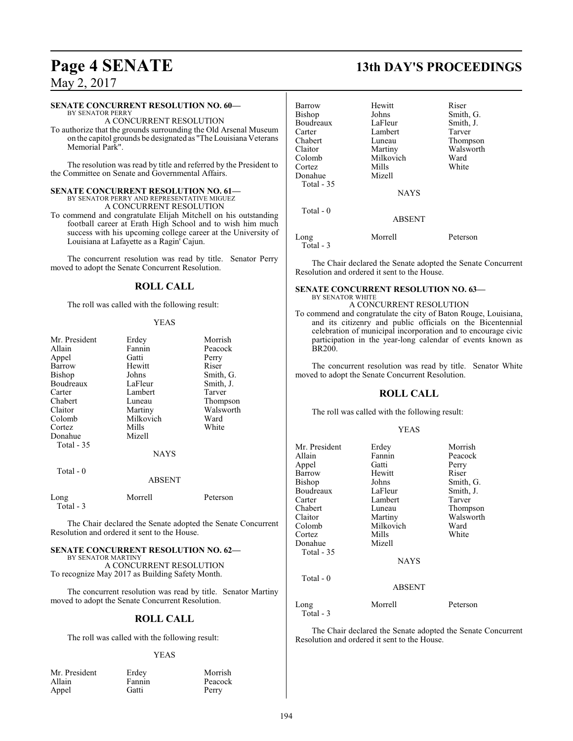#### **SENATE CONCURRENT RESOLUTION NO. 60—**

BY SENATOR PERRY A CONCURRENT RESOLUTION

To authorize that the grounds surrounding the Old Arsenal Museum on the capitol grounds be designated as "The Louisiana Veterans Memorial Park".

The resolution was read by title and referred by the President to the Committee on Senate and Governmental Affairs.

#### **SENATE CONCURRENT RESOLUTION NO. 61—** BY SENATOR PERRY AND REPRESENTATIVE MIGUEZ

A CONCURRENT RESOLUTION

To commend and congratulate Elijah Mitchell on his outstanding football career at Erath High School and to wish him much success with his upcoming college career at the University of Louisiana at Lafayette as a Ragin' Cajun.

The concurrent resolution was read by title. Senator Perry moved to adopt the Senate Concurrent Resolution.

## **ROLL CALL**

The roll was called with the following result:

#### YEAS

| Mr. President     | Erdey         | Morrish   |
|-------------------|---------------|-----------|
| Allain            | Fannin        | Peacock   |
| Appel             | Gatti         | Perry     |
| Barrow            | Hewitt        | Riser     |
| <b>Bishop</b>     | Johns         | Smith, G. |
| Boudreaux         | LaFleur       | Smith, J. |
| Carter            | Lambert       | Tarver    |
| Chabert           | Luneau        | Thompson  |
| Claitor           | Martiny       | Walsworth |
| Colomb            | Milkovich     | Ward      |
| Cortez            | Mills         | White     |
| Donahue           | Mizell        |           |
| <b>Total - 35</b> |               |           |
|                   | <b>NAYS</b>   |           |
| Total - 0         |               |           |
|                   | <b>ABSENT</b> |           |
| Long<br>Total - 3 | Morrell       | Peterson  |

The Chair declared the Senate adopted the Senate Concurrent Resolution and ordered it sent to the House.

### **SENATE CONCURRENT RESOLUTION NO. 62—**

BY SENATOR MARTINY A CONCURRENT RESOLUTION To recognize May 2017 as Building Safety Month.

The concurrent resolution was read by title. Senator Martiny moved to adopt the Senate Concurrent Resolution.

### **ROLL CALL**

The roll was called with the following result:

#### YEAS

| Mr. President | Erdey  | Morrish |
|---------------|--------|---------|
| Allain        | Fannin | Peacock |
| Appel         | Gatti  | Perry   |

# **Page 4 SENATE 13th DAY'S PROCEEDINGS**

| Hewitt        | Riser     |
|---------------|-----------|
| Johns         | Smith, G. |
| LaFleur       | Smith, J. |
| Lambert       | Tarver    |
| Luneau        | Thompson  |
| Martiny       | Walsworth |
| Milkovich     | Ward      |
| Mills         | White     |
| Mizell        |           |
|               |           |
| <b>NAYS</b>   |           |
|               |           |
| <b>ABSENT</b> |           |
| Morrell       | Peterson  |
|               |           |

The Chair declared the Senate adopted the Senate Concurrent Resolution and ordered it sent to the House.

#### **SENATE CONCURRENT RESOLUTION NO. 63—** BY SENATOR WHITE

A CONCURRENT RESOLUTION

To commend and congratulate the city of Baton Rouge, Louisiana, and its citizenry and public officials on the Bicentennial celebration of municipal incorporation and to encourage civic participation in the year-long calendar of events known as BR200.

The concurrent resolution was read by title. Senator White moved to adopt the Senate Concurrent Resolution.

## **ROLL CALL**

The roll was called with the following result:

#### YEAS

| Mr. President | Erdey         | Morrish   |
|---------------|---------------|-----------|
| Allain        | Fannin        | Peacock   |
| Appel         | Gatti         | Perry     |
| Barrow        | Hewitt        | Riser     |
| Bishop        | Johns         | Smith, G. |
| Boudreaux     | LaFleur       | Smith, J. |
| Carter        | Lambert       | Tarver    |
| Chabert       | Luneau        | Thompson  |
| Claitor       | Martiny       | Walsworth |
| Colomb        | Milkovich     | Ward      |
| Cortez        | Mills         | White     |
| Donahue       | Mizell        |           |
| Total - 35    |               |           |
|               | <b>NAYS</b>   |           |
| Total $-0$    |               |           |
|               | <b>ABSENT</b> |           |
| Long          | Morrell       | Peterson  |
|               |               |           |

Total - 3

The Chair declared the Senate adopted the Senate Concurrent Resolution and ordered it sent to the House.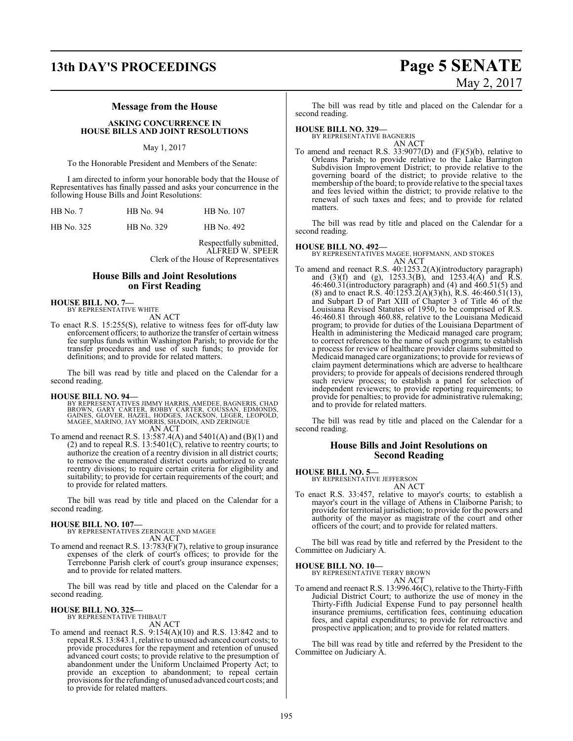# **13th DAY'S PROCEEDINGS Page 5 SENATE**

# May 2, 2017

#### **Message from the House**

#### **ASKING CONCURRENCE IN HOUSE BILLS AND JOINT RESOLUTIONS**

#### May 1, 2017

To the Honorable President and Members of the Senate:

I am directed to inform your honorable body that the House of Representatives has finally passed and asks your concurrence in the following House Bills and Joint Resolutions:

| $HB$ No. $7$ | HB No. 94  | HB No. 107 |
|--------------|------------|------------|
| HB No. 325   | HB No. 329 | HB No. 492 |

Respectfully submitted, ALFRED W. SPEER Clerk of the House of Representatives

#### **House Bills and Joint Resolutions on First Reading**

**HOUSE BILL NO. 7—** BY REPRESENTATIVE WHITE

AN ACT

To enact R.S. 15:255(S), relative to witness fees for off-duty law enforcement officers; to authorize the transfer of certain witness fee surplus funds within Washington Parish; to provide for the transfer procedures and use of such funds; to provide for definitions; and to provide for related matters.

The bill was read by title and placed on the Calendar for a second reading.

**HOUSE BILL NO. 94—**<br>BY REPRESENTATIVES JIMMY HARRIS, AMEDEE, BAGNERIS, CHAD<br>BROWN, GARY CARTER, ROBBY CARTER, COUSSAN, EDMONDS,<br>GAINES, GLOVER, HAZEL, HODGES, JACKSON, LEGER, LEOPOLD,<br>MAGEE, MARINO, JAY MORRIS, SHADOIN, A AN ACT

To amend and reenact R.S. 13:587.4(A) and 5401(A) and (B)(1) and  $(2)$  and to repeal R.S. 13:5401 $(C)$ , relative to reentry courts; to authorize the creation of a reentry division in all district courts; to remove the enumerated district courts authorized to create reentry divisions; to require certain criteria for eligibility and suitability; to provide for certain requirements of the court; and to provide for related matters.

The bill was read by title and placed on the Calendar for a second reading.

## **HOUSE BILL NO. 107—**

BY REPRESENTATIVES ZERINGUE AND MAGEE AN ACT

To amend and reenact R.S. 13:783(F)(7), relative to group insurance expenses of the clerk of court's offices; to provide for the Terrebonne Parish clerk of court's group insurance expenses; and to provide for related matters.

The bill was read by title and placed on the Calendar for a second reading.

#### **HOUSE BILL NO. 325—** BY REPRESENTATIVE THIBAUT

AN ACT

To amend and reenact R.S. 9:154(A)(10) and R.S. 13:842 and to repeal R.S. 13:843.1, relative to unused advanced court costs; to provide procedures for the repayment and retention of unused advanced court costs; to provide relative to the presumption of abandonment under the Uniform Unclaimed Property Act; to provide an exception to abandonment; to repeal certain provisions for the refunding of unused advanced court costs; and to provide for related matters.

The bill was read by title and placed on the Calendar for a second reading.

#### **HOUSE BILL NO. 329—**

BY REPRESENTATIVE BAGNERIS

AN ACT To amend and reenact R.S. 33:9077(D) and  $(F)(5)(b)$ , relative to Orleans Parish; to provide relative to the Lake Barrington Subdivision Improvement District; to provide relative to the governing board of the district; to provide relative to the membership of the board; to provide relative to the special taxes and fees levied within the district; to provide relative to the renewal of such taxes and fees; and to provide for related matters.

The bill was read by title and placed on the Calendar for a second reading.

#### **HOUSE BILL NO. 492—**

BY REPRESENTATIVES MAGEE, HOFFMANN, AND STOKES AN ACT

To amend and reenact R.S. 40:1253.2(A)(introductory paragraph) and (3)(f) and (g),  $1253.3(B)$ , and  $1253.4(A)$  and R.S. 46:460.31(introductory paragraph) and (4) and 460.51(5) and (8) and to enact R.S.  $40:125\overline{3}$ .2(A)(3)(h), R.S.  $46:460.51(13)$ , and Subpart D of Part XIII of Chapter 3 of Title 46 of the Louisiana Revised Statutes of 1950, to be comprised of R.S. 46:460.81 through 460.88, relative to the Louisiana Medicaid program; to provide for duties of the Louisiana Department of Health in administering the Medicaid managed care program; to correct references to the name of such program; to establish a process for review of healthcare provider claims submitted to Medicaid managed care organizations; to provide for reviews of claim payment determinations which are adverse to healthcare providers; to provide for appeals of decisions rendered through such review process; to establish a panel for selection of independent reviewers; to provide reporting requirements; to provide for penalties; to provide for administrative rulemaking; and to provide for related matters.

The bill was read by title and placed on the Calendar for a second reading.

#### **House Bills and Joint Resolutions on Second Reading**

**HOUSE BILL NO. 5—**

BY REPRESENTATIVE JEFFERSON AN ACT

To enact R.S. 33:457, relative to mayor's courts; to establish a mayor's court in the village of Athens in Claiborne Parish; to provide for territorial jurisdiction; to provide for the powers and authority of the mayor as magistrate of the court and other officers of the court; and to provide for related matters.

The bill was read by title and referred by the President to the Committee on Judiciary A.

#### **HOUSE BILL NO. 10—**

BY REPRESENTATIVE TERRY BROWN AN ACT

To amend and reenact R.S. 13:996.46(C), relative to the Thirty-Fifth Judicial District Court; to authorize the use of money in the Thirty-Fifth Judicial Expense Fund to pay personnel health insurance premiums, certification fees, continuing education fees, and capital expenditures; to provide for retroactive and prospective application; and to provide for related matters.

The bill was read by title and referred by the President to the Committee on Judiciary A.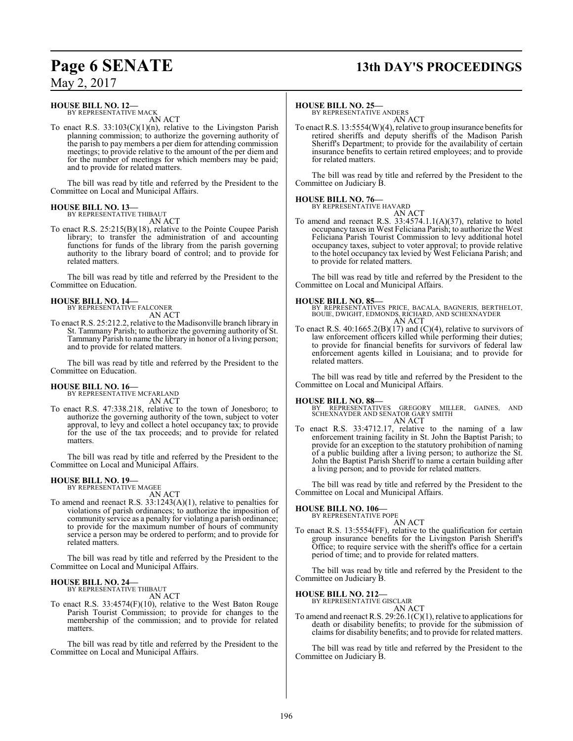# **Page 6 SENATE 13th DAY'S PROCEEDINGS**

May 2, 2017

**HOUSE BILL NO. 12—** BY REPRESENTATIVE MACK

AN ACT

To enact R.S.  $33:103(C)(1)(n)$ , relative to the Livingston Parish planning commission; to authorize the governing authority of the parish to pay members a per diem for attending commission meetings; to provide relative to the amount of the per diem and for the number of meetings for which members may be paid; and to provide for related matters.

The bill was read by title and referred by the President to the Committee on Local and Municipal Affairs.

#### **HOUSE BILL NO. 13—** BY REPRESENTATIVE THIBAUT

AN ACT

To enact R.S. 25:215(B)(18), relative to the Pointe Coupee Parish library; to transfer the administration of and accounting functions for funds of the library from the parish governing authority to the library board of control; and to provide for related matters.

The bill was read by title and referred by the President to the Committee on Education.

### **HOUSE BILL NO. 14—**

BY REPRESENTATIVE FALCONER AN ACT

To enact R.S. 25:212.2, relative to the Madisonville branch library in St. Tammany Parish; to authorize the governing authority of St. Tammany Parish to name the library in honor of a living person; and to provide for related matters.

The bill was read by title and referred by the President to the Committee on Education.

**HOUSE BILL NO. 16—** BY REPRESENTATIVE MCFARLAND AN ACT

To enact R.S. 47:338.218, relative to the town of Jonesboro; to authorize the governing authority of the town, subject to voter approval, to levy and collect a hotel occupancy tax; to provide for the use of the tax proceeds; and to provide for related matters.

The bill was read by title and referred by the President to the Committee on Local and Municipal Affairs.

#### **HOUSE BILL NO. 19—**

BY REPRESENTATIVE MAGEE

AN ACT To amend and reenact R.S. 33:1243(A)(1), relative to penalties for violations of parish ordinances; to authorize the imposition of community service as a penalty for violating a parish ordinance; to provide for the maximum number of hours of community service a person may be ordered to perform; and to provide for related matters.

The bill was read by title and referred by the President to the Committee on Local and Municipal Affairs.

#### **HOUSE BILL NO. 24—** BY REPRESENTATIVE THIBAUT

AN ACT

To enact R.S. 33:4574(F)(10), relative to the West Baton Rouge Parish Tourist Commission; to provide for changes to the membership of the commission; and to provide for related matters.

The bill was read by title and referred by the President to the Committee on Local and Municipal Affairs.

#### **HOUSE BILL NO. 25—**

BY REPRESENTATIVE ANDERS AN ACT

To enact R.S. 13:5554(W)(4), relative to group insurance benefits for retired sheriffs and deputy sheriffs of the Madison Parish Sheriff's Department; to provide for the availability of certain insurance benefits to certain retired employees; and to provide for related matters.

The bill was read by title and referred by the President to the Committee on Judiciary B.

#### **HOUSE BILL NO. 76—**

BY REPRESENTATIVE HAVARD AN ACT

To amend and reenact R.S.  $33:4574.1.1(A)(37)$ , relative to hotel occupancy taxes in West Feliciana Parish; to authorize the West Feliciana Parish Tourist Commission to levy additional hotel occupancy taxes, subject to voter approval; to provide relative to the hotel occupancy tax levied by West Feliciana Parish; and to provide for related matters.

The bill was read by title and referred by the President to the Committee on Local and Municipal Affairs.

**HOUSE BILL NO. 85—** BY REPRESENTATIVES PRICE, BACALA, BAGNERIS, BERTHELOT, BOUIE, DWIGHT, EDMONDS, RICHARD, AND SCHEXNAYDER AN ACT

To enact R.S.  $40:1665.2(B)(17)$  and  $(C)(4)$ , relative to survivors of law enforcement officers killed while performing their duties; to provide for financial benefits for survivors of federal law enforcement agents killed in Louisiana; and to provide for related matters.

The bill was read by title and referred by the President to the Committee on Local and Municipal Affairs.

**HOUSE BILL NO. 88—** BY REPRESENTATIVES GREGORY MILLER, GAINES, AND SCHEXNAYDER AND SENATOR GARY SMITH

AN ACT To enact R.S. 33:4712.17, relative to the naming of a law enforcement training facility in St. John the Baptist Parish; to provide for an exception to the statutory prohibition of naming of a public building after a living person; to authorize the St. John the Baptist Parish Sheriff to name a certain building after a living person; and to provide for related matters.

The bill was read by title and referred by the President to the Committee on Local and Municipal Affairs.

# **HOUSE BILL NO. 106—** BY REPRESENTATIVE POPE

AN ACT To enact R.S. 13:5554(FF), relative to the qualification for certain group insurance benefits for the Livingston Parish Sheriff's Office; to require service with the sheriff's office for a certain period of time; and to provide for related matters.

The bill was read by title and referred by the President to the Committee on Judiciary B.

#### **HOUSE BILL NO. 212—**

BY REPRESENTATIVE GISCLAIR AN ACT

To amend and reenact R.S. 29:26.1(C)(1), relative to applications for death or disability benefits; to provide for the submission of claims for disability benefits; and to provide for related matters.

The bill was read by title and referred by the President to the Committee on Judiciary B.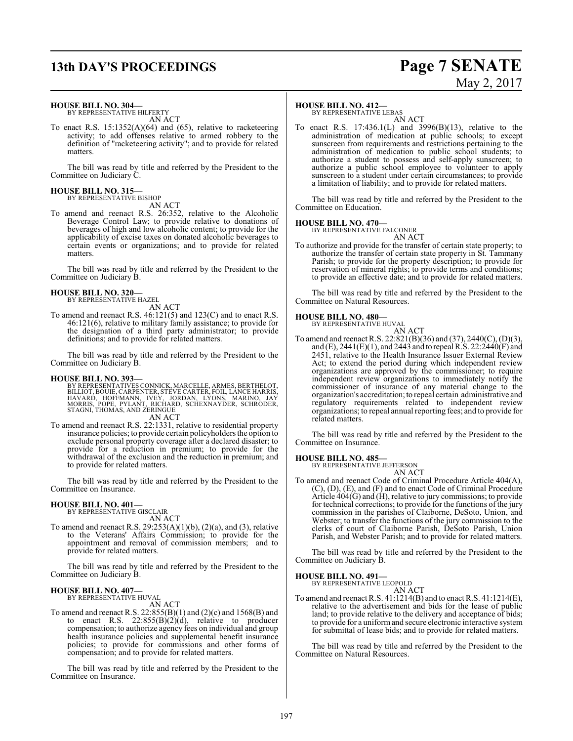# **13th DAY'S PROCEEDINGS Page 7 SENATE**

# May 2, 2017

#### **HOUSE BILL NO. 304—**

BY REPRESENTATIVE HILFERTY AN ACT

To enact R.S. 15:1352(A)(64) and (65), relative to racketeering activity; to add offenses relative to armed robbery to the definition of "racketeering activity"; and to provide for related matters.

The bill was read by title and referred by the President to the Committee on Judiciary C.

# **HOUSE BILL NO. 315—** BY REPRESENTATIVE BISHOP

AN ACT

To amend and reenact R.S. 26:352, relative to the Alcoholic Beverage Control Law; to provide relative to donations of beverages of high and low alcoholic content; to provide for the applicability of excise taxes on donated alcoholic beverages to certain events or organizations; and to provide for related matters.

The bill was read by title and referred by the President to the Committee on Judiciary B.

#### **HOUSE BILL NO. 320—**

BY REPRESENTATIVE HAZEL

AN ACT To amend and reenact R.S. 46:121(5) and 123(C) and to enact R.S. 46:121(6), relative to military family assistance; to provide for the designation of a third party administrator; to provide definitions; and to provide for related matters.

The bill was read by title and referred by the President to the Committee on Judiciary B.

#### **HOUSE BILL NO. 393—**

BY REPRESENTATIVES CONNICK, MARCELLE, ARMES, BERTHELOT,<br>BILLIOT, BOUIE, CARPENTER, STEVE CARTER, FOIL, LANCE HARRIS,<br>HAVARD, HOFFMANN, IVEY, JORDAN, LÝONS, MARINO, JAY<br>MORRIS, POPE, PYLANT, RICHARD, SCHEXNAYDER, SCHRODER,<br> AN ACT

To amend and reenact R.S. 22:1331, relative to residential property insurance policies; to provide certain policyholders the option to exclude personal property coverage after a declared disaster; to provide for a reduction in premium; to provide for the withdrawal of the exclusion and the reduction in premium; and to provide for related matters.

The bill was read by title and referred by the President to the Committee on Insurance.

## **HOUSE BILL NO. 401—**

BY REPRESENTATIVE GISCLAIR AN ACT

To amend and reenact R.S.  $29:253(A)(1)(b)$ ,  $(2)(a)$ , and  $(3)$ , relative to the Veterans' Affairs Commission; to provide for the appointment and removal of commission members; and to provide for related matters.

The bill was read by title and referred by the President to the Committee on Judiciary B.

#### **HOUSE BILL NO. 407—** BY REPRESENTATIVE HUVAL

AN ACT

To amend and reenact R.S. 22:855(B)(1) and (2)(c) and 1568(B) and to enact R.S.  $22:855(B)(2)(d)$ , relative to producer compensation; to authorize agency fees on individual and group health insurance policies and supplemental benefit insurance policies; to provide for commissions and other forms of compensation; and to provide for related matters.

The bill was read by title and referred by the President to the Committee on Insurance.

#### **HOUSE BILL NO. 412—**

BY REPRESENTATIVE LEBAS AN ACT

To enact R.S. 17:436.1(L) and 3996(B)(13), relative to the administration of medication at public schools; to except sunscreen from requirements and restrictions pertaining to the administration of medication to public school students; to authorize a student to possess and self-apply sunscreen; to authorize a public school employee to volunteer to apply sunscreen to a student under certain circumstances; to provide a limitation of liability; and to provide for related matters.

The bill was read by title and referred by the President to the Committee on Education.

# **HOUSE BILL NO. 470—** BY REPRESENTATIVE FALCONER

AN ACT To authorize and provide for the transfer of certain state property; to authorize the transfer of certain state property in St. Tammany Parish; to provide for the property description; to provide for reservation of mineral rights; to provide terms and conditions; to provide an effective date; and to provide for related matters.

The bill was read by title and referred by the President to the Committee on Natural Resources.

# **HOUSE BILL NO. 480—** BY REPRESENTATIVE HUVAL

AN ACT To amend and reenact R.S. 22:821(B)(36) and (37), 2440(C), (D)(3), and (E), 2441(E)(1), and 2443 and to repeal R.S. 22:2440(F) and 2451, relative to the Health Insurance Issuer External Review Act; to extend the period during which independent review organizations are approved by the commissioner; to require independent review organizations to immediately notify the commissioner of insurance of any material change to the organization's accreditation;to repeal certain administrative and regulatory requirements related to independent review organizations; to repeal annual reporting fees; and to provide for related matters.

The bill was read by title and referred by the President to the Committee on Insurance.

#### **HOUSE BILL NO. 485—**

BY REPRESENTATIVE JEFFERSON AN ACT

To amend and reenact Code of Criminal Procedure Article 404(A), (C), (D), (E), and (F) and to enact Code of Criminal Procedure Article 404(G) and (H), relative to jury commissions; to provide for technical corrections; to provide for the functions of the jury commission in the parishes of Claiborne, DeSoto, Union, and Webster; to transfer the functions of the jury commission to the clerks of court of Claiborne Parish, DeSoto Parish, Union Parish, and Webster Parish; and to provide for related matters.

The bill was read by title and referred by the President to the Committee on Judiciary B.

**HOUSE BILL NO. 491—** BY REPRESENTATIVE LEOPOLD

AN ACT

To amend and reenact R.S. 41:1214(B) and to enact R.S. 41:1214(E), relative to the advertisement and bids for the lease of public land; to provide relative to the delivery and acceptance of bids; to provide for a uniformand secure electronic interactive system for submittal of lease bids; and to provide for related matters.

The bill was read by title and referred by the President to the Committee on Natural Resources.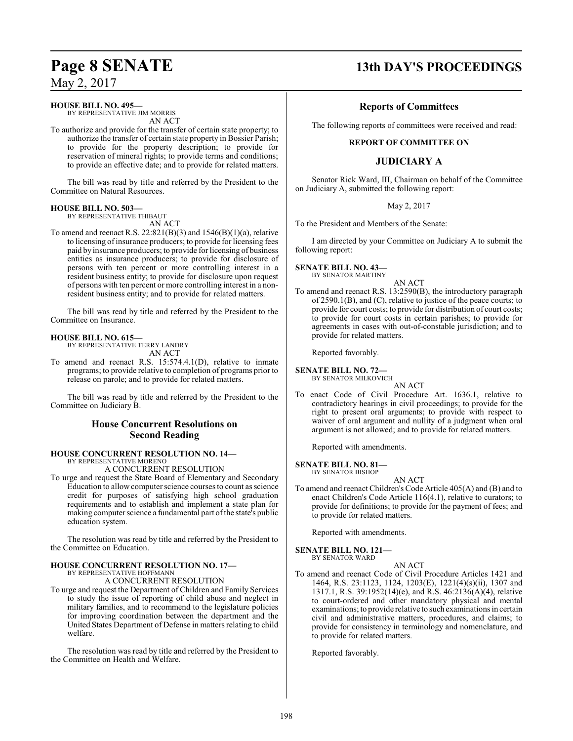**HOUSE BILL NO. 495—**

BY REPRESENTATIVE JIM MORRIS AN ACT

To authorize and provide for the transfer of certain state property; to authorize the transfer of certain state property in Bossier Parish; to provide for the property description; to provide for reservation of mineral rights; to provide terms and conditions; to provide an effective date; and to provide for related matters.

The bill was read by title and referred by the President to the Committee on Natural Resources.

#### **HOUSE BILL NO. 503—**

BY REPRESENTATIVE THIBAUT AN ACT

To amend and reenact R.S.  $22:821(B)(3)$  and  $1546(B)(1)(a)$ , relative to licensing of insurance producers; to provide for licensing fees paid by insurance producers; to provide for licensing of business entities as insurance producers; to provide for disclosure of persons with ten percent or more controlling interest in a resident business entity; to provide for disclosure upon request of persons with ten percent or more controlling interest in a nonresident business entity; and to provide for related matters.

The bill was read by title and referred by the President to the Committee on Insurance.

### **HOUSE BILL NO. 615—**

BY REPRESENTATIVE TERRY LANDRY AN ACT

To amend and reenact R.S. 15:574.4.1(D), relative to inmate programs; to provide relative to completion of programs prior to release on parole; and to provide for related matters.

The bill was read by title and referred by the President to the Committee on Judiciary B.

## **House Concurrent Resolutions on Second Reading**

#### **HOUSE CONCURRENT RESOLUTION NO. 14—** BY REPRESENTATIVE MORENO

A CONCURRENT RESOLUTION

To urge and request the State Board of Elementary and Secondary Education to allowcomputer science courses to count as science credit for purposes of satisfying high school graduation requirements and to establish and implement a state plan for making computer science a fundamental part of the state's public education system.

The resolution was read by title and referred by the President to the Committee on Education.

## **HOUSE CONCURRENT RESOLUTION NO. 17—**

BY REPRESENTATIVE HOFFMANN A CONCURRENT RESOLUTION

To urge and request the Department of Children and Family Services to study the issue of reporting of child abuse and neglect in military families, and to recommend to the legislature policies for improving coordination between the department and the United States Department of Defense in matters relating to child welfare.

The resolution was read by title and referred by the President to the Committee on Health and Welfare.

# **Page 8 SENATE 13th DAY'S PROCEEDINGS**

## **Reports of Committees**

The following reports of committees were received and read:

#### **REPORT OF COMMITTEE ON**

## **JUDICIARY A**

Senator Rick Ward, III, Chairman on behalf of the Committee on Judiciary A, submitted the following report:

#### May 2, 2017

To the President and Members of the Senate:

I am directed by your Committee on Judiciary A to submit the following report:

#### **SENATE BILL NO. 43—** BY SENATOR MARTINY

#### AN ACT

To amend and reenact R.S. 13:2590(B), the introductory paragraph of 2590.1(B), and (C), relative to justice of the peace courts; to provide for court costs; to provide for distribution of court costs; to provide for court costs in certain parishes; to provide for agreements in cases with out-of-constable jurisdiction; and to provide for related matters.

Reported favorably.

## **SENATE BILL NO. 72—**

BY SENATOR MILKOVICH

AN ACT

To enact Code of Civil Procedure Art. 1636.1, relative to contradictory hearings in civil proceedings; to provide for the right to present oral arguments; to provide with respect to waiver of oral argument and nullity of a judgment when oral argument is not allowed; and to provide for related matters.

Reported with amendments.

**SENATE BILL NO. 81—**

BY SENATOR BISHOP AN ACT

To amend and reenact Children's Code Article 405(A) and (B) and to enact Children's Code Article 116(4.1), relative to curators; to provide for definitions; to provide for the payment of fees; and to provide for related matters.

Reported with amendments.

#### **SENATE BILL NO. 121—** BY SENATOR WARD

AN ACT

To amend and reenact Code of Civil Procedure Articles 1421 and 1464, R.S. 23:1123, 1124, 1203(E), 1221(4)(s)(ii), 1307 and 1317.1, R.S. 39:1952(14)(e), and R.S. 46:2136(A)(4), relative to court-ordered and other mandatory physical and mental examinations; to provide relative to such examinations in certain civil and administrative matters, procedures, and claims; to provide for consistency in terminology and nomenclature, and to provide for related matters.

Reported favorably.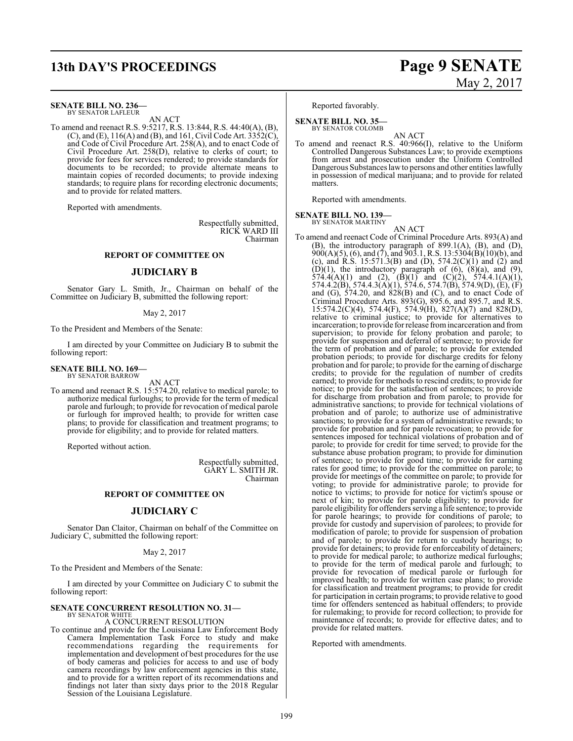# **13th DAY'S PROCEEDINGS Page 9 SENATE**

#### **SENATE BILL NO. 236—**

BY SENATOR LAFLEUR AN ACT

To amend and reenact R.S. 9:5217, R.S. 13:844, R.S. 44:40(A), (B), (C), and (E),  $116(A)$  and (B), and 161, Civil Code Art.  $3352(C)$ , and Code of Civil Procedure Art. 258(A), and to enact Code of Civil Procedure Art. 258(D), relative to clerks of court; to provide for fees for services rendered; to provide standards for documents to be recorded; to provide alternate means to maintain copies of recorded documents; to provide indexing standards; to require plans for recording electronic documents; and to provide for related matters.

Reported with amendments.

Respectfully submitted, RICK WARD III Chairman

#### **REPORT OF COMMITTEE ON**

#### **JUDICIARY B**

Senator Gary L. Smith, Jr., Chairman on behalf of the Committee on Judiciary B, submitted the following report:

#### May 2, 2017

To the President and Members of the Senate:

I am directed by your Committee on Judiciary B to submit the following report:

#### **SENATE BILL NO. 169—** BY SENATOR BARROW

AN ACT

To amend and reenact R.S. 15:574.20, relative to medical parole; to authorize medical furloughs; to provide for the term of medical parole and furlough; to provide for revocation of medical parole or furlough for improved health; to provide for written case plans; to provide for classification and treatment programs; to provide for eligibility; and to provide for related matters.

Reported without action.

Respectfully submitted, GARY L. SMITH JR. Chairman

#### **REPORT OF COMMITTEE ON**

#### **JUDICIARY C**

Senator Dan Claitor, Chairman on behalf of the Committee on Judiciary C, submitted the following report:

#### May 2, 2017

To the President and Members of the Senate:

I am directed by your Committee on Judiciary C to submit the following report:

#### **SENATE CONCURRENT RESOLUTION NO. 31—** BY SENATOR WHITE

#### A CONCURRENT RESOLUTION

To continue and provide for the Louisiana Law Enforcement Body Camera Implementation Task Force to study and make recommendations regarding the requirements for implementation and development of best procedures for the use of body cameras and policies for access to and use of body camera recordings by law enforcement agencies in this state, and to provide for a written report of its recommendations and findings not later than sixty days prior to the 2018 Regular Session of the Louisiana Legislature.

Reported favorably.

#### **SENATE BILL NO. 35—** BY SENATOR COLOMB

AN ACT To amend and reenact R.S. 40:966(I), relative to the Uniform Controlled Dangerous Substances Law; to provide exemptions from arrest and prosecution under the Uniform Controlled Dangerous Substances lawto persons and other entities lawfully in possession of medical marijuana; and to provide for related matters.

Reported with amendments.

**SENATE BILL NO. 139—**

BY SENATOR MARTINY

AN ACT To amend and reenact Code of Criminal Procedure Arts. 893(A) and (B), the introductory paragraph of 899.1(A), (B), and (D),  $900(A)(5)$ , (6), and (7), and  $903.1$ , R.S. 13:5304(B)(10)(b), and (c), and R.S. 15:571.3(B) and (D),  $574.2(C)(1)$  and (2) and  $(D)(1)$ , the introductory paragraph of  $(6)$ ,  $(8)(a)$ , and  $(9)$ , 574.4(A)(1) and (2),  $(\overrightarrow{B})(1)$  and  $(\overrightarrow{C})(2)$ , 574.4.1(A)(1), 574.4.2(B), 574.4.3(A)(1), 574.6, 574.7(B), 574.9(D), (E), (F) and (G), 574.20, and 828(B) and (C), and to enact Code of Criminal Procedure Arts.  $893(G)$ ,  $895.6$ , and  $895.7$ , and R.S. 15:574.2(C)(4), 574.4(F), 574.9(H), 827(A)(7) and 828(D), relative to criminal justice; to provide for alternatives to incarceration; to provide for release fromincarceration and from supervision; to provide for felony probation and parole; to provide for suspension and deferral of sentence; to provide for the term of probation and of parole; to provide for extended probation periods; to provide for discharge credits for felony probation and for parole; to provide for the earning of discharge credits; to provide for the regulation of number of credits earned; to provide for methods to rescind credits; to provide for notice; to provide for the satisfaction of sentences; to provide for discharge from probation and from parole; to provide for administrative sanctions; to provide for technical violations of probation and of parole; to authorize use of administrative sanctions; to provide for a system of administrative rewards; to provide for probation and for parole revocation; to provide for sentences imposed for technical violations of probation and of parole; to provide for credit for time served; to provide for the substance abuse probation program; to provide for diminution of sentence; to provide for good time; to provide for earning rates for good time; to provide for the committee on parole; to provide for meetings of the committee on parole; to provide for voting; to provide for administrative parole; to provide for notice to victims; to provide for notice for victim's spouse or next of kin; to provide for parole eligibility; to provide for parole eligibility for offenders serving a life sentence; to provide for parole hearings; to provide for conditions of parole; to provide for custody and supervision of parolees; to provide for modification of parole; to provide for suspension of probation and of parole; to provide for return to custody hearings; to provide for detainers; to provide for enforceability of detainers; to provide for medical parole; to authorize medical furloughs; to provide for the term of medical parole and furlough; to provide for revocation of medical parole or furlough for improved health; to provide for written case plans; to provide for classification and treatment programs; to provide for credit for participation in certain programs; to provide relative to good time for offenders sentenced as habitual offenders; to provide for rulemaking; to provide for record collection; to provide for maintenance of records; to provide for effective dates; and to provide for related matters.

Reported with amendments.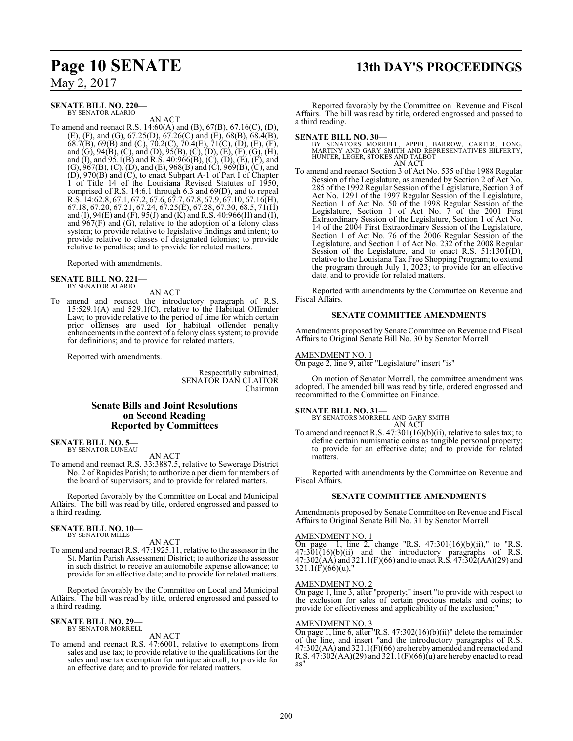# **Page 10 SENATE 13th DAY'S PROCEEDINGS**

May 2, 2017

#### **SENATE BILL NO. 220—** BY SENATOR ALARIO

AN ACT

To amend and reenact R.S. 14:60(A) and (B), 67(B), 67.16(C), (D), (E), (F), and (G), 67.25(D), 67.26(C) and (E), 68(B), 68.4(B), 68.7(B), 69(B) and (C), 70.2(C), 70.4(E), 71(C), (D), (E), (F), and (G), 94(B), (C), and (D), 95(B), (C), (D), (E), (F), (G), (H), and (I), and 95.1(B) and R.S. 40:966(B), (C), (D), (E), (F), and (G), 967(B), (C), (D), and (E), 968(B) and (C), 969(B), (C), and (D), 970(B) and (C), to enact Subpart A-1 of Part I of Chapter 1 of Title 14 of the Louisiana Revised Statutes of 1950, comprised of R.S. 14:6.1 through 6.3 and 69(D), and to repeal R.S. 14:62.8, 67.1, 67.2, 67.6, 67.7, 67.8, 67.9, 67.10, 67.16(H), 67.18, 67.20, 67.21, 67.24, 67.25(E), 67.28, 67.30, 68.5, 71(H) and (I), 94(E) and (F), 95(J) and (K) and R.S. 40:966(H) and (I), and  $967(F)$  and (G), relative to the adoption of a felony class system; to provide relative to legislative findings and intent; to provide relative to classes of designated felonies; to provide relative to penalties; and to provide for related matters.

Reported with amendments.

**SENATE BILL NO. 221—** BY SENATOR ALARIO

AN ACT

To amend and reenact the introductory paragraph of R.S. 15:529.1(A) and 529.1(C), relative to the Habitual Offender Law; to provide relative to the period of time for which certain prior offenses are used for habitual offender penalty enhancements in the context of a felony class system; to provide for definitions; and to provide for related matters.

Reported with amendments.

Respectfully submitted, SENATOR DAN CLAITOR Chairman

#### **Senate Bills and Joint Resolutions on Second Reading Reported by Committees**

**SENATE BILL NO. 5—** BY SENATOR LUNEAU

AN ACT

To amend and reenact R.S. 33:3887.5, relative to Sewerage District No. 2 of Rapides Parish; to authorize a per diem for members of the board of supervisors; and to provide for related matters.

Reported favorably by the Committee on Local and Municipal Affairs. The bill was read by title, ordered engrossed and passed to a third reading.

#### **SENATE BILL NO. 10—** BY SENATOR MILLS

AN ACT

To amend and reenact R.S. 47:1925.11, relative to the assessor in the St. Martin Parish Assessment District; to authorize the assessor in such district to receive an automobile expense allowance; to provide for an effective date; and to provide for related matters.

Reported favorably by the Committee on Local and Municipal Affairs. The bill was read by title, ordered engrossed and passed to a third reading.

#### **SENATE BILL NO. 29—** BY SENATOR MORRELL

AN ACT

To amend and reenact R.S. 47:6001, relative to exemptions from sales and use tax; to provide relative to the qualifications for the sales and use tax exemption for antique aircraft; to provide for an effective date; and to provide for related matters.

Reported favorably by the Committee on Revenue and Fiscal Affairs. The bill was read by title, ordered engrossed and passed to a third reading.

#### **SENATE BILL NO. 30—**

BY SENATORS MORRELL, APPEL, BARROW, CARTER, LONG,<br>MARTINY AND GARY SMITH AND REPRESENTATIVES HILFERTY,<br>HUNTER,LEGER,STOKES AND TALBOT AN ACT

To amend and reenact Section 3 of Act No. 535 of the 1988 Regular Session of the Legislature, as amended by Section 2 of Act No. 285 of the 1992 Regular Session of the Legislature, Section 3 of Act No. 1291 of the 1997 Regular Session of the Legislature, Section 1 of Act No. 50 of the 1998 Regular Session of the Legislature, Section 1 of Act No. 7 of the 2001 First Extraordinary Session of the Legislature, Section 1 of Act No. 14 of the 2004 First Extraordinary Session of the Legislature, Section 1 of Act No. 76 of the 2006 Regular Session of the Legislature, and Section 1 of Act No. 232 of the 2008 Regular Session of the Legislature, and to enact R.S.  $51:130\tilde{I}(D)$ , relative to the Louisiana Tax Free Shopping Program; to extend the program through July 1, 2023; to provide for an effective date; and to provide for related matters.

Reported with amendments by the Committee on Revenue and Fiscal Affairs.

#### **SENATE COMMITTEE AMENDMENTS**

Amendments proposed by Senate Committee on Revenue and Fiscal Affairs to Original Senate Bill No. 30 by Senator Morrell

#### AMENDMENT NO. 1

On page 2, line 9, after "Legislature" insert "is"

On motion of Senator Morrell, the committee amendment was adopted. The amended bill was read by title, ordered engrossed and recommitted to the Committee on Finance.

**SENATE BILL NO. 31—** BY SENATORS MORRELL AND GARY SMITH AN ACT

To amend and reenact R.S. 47:301(16)(b)(ii), relative to sales tax; to define certain numismatic coins as tangible personal property; to provide for an effective date; and to provide for related matters.

Reported with amendments by the Committee on Revenue and Fiscal Affairs.

#### **SENATE COMMITTEE AMENDMENTS**

Amendments proposed by Senate Committee on Revenue and Fiscal Affairs to Original Senate Bill No. 31 by Senator Morrell

#### AMENDMENT NO. 1

On page 1, line 2, change "R.S.  $47:301(16)(b)(ii)$ ," to "R.S.  $47:301(16)(b)(ii)$  and the introductory paragraphs of R.S. 47:302(AA) and 321.1(F)(66) and to enact R.S. 47:302(AA)(29) and  $321.1(\text{F})(66)(\text{u})$ ,"

#### AMENDMENT NO. 2

On page 1, line 3, after "property;" insert "to provide with respect to the exclusion for sales of certain precious metals and coins; to provide for effectiveness and applicability of the exclusion;"

#### AMENDMENT NO. 3

On page 1, line 6, after "R.S. 47:302(16)(b)(ii)" delete the remainder of the line, and insert "and the introductory paragraphs of R.S. 47:302(AA) and 321.1(F)(66) are hereby amended and reenacted and R.S.  $47:302(AA)(29)$  and  $321.1(F)(66)(u)$  are hereby enacted to read as"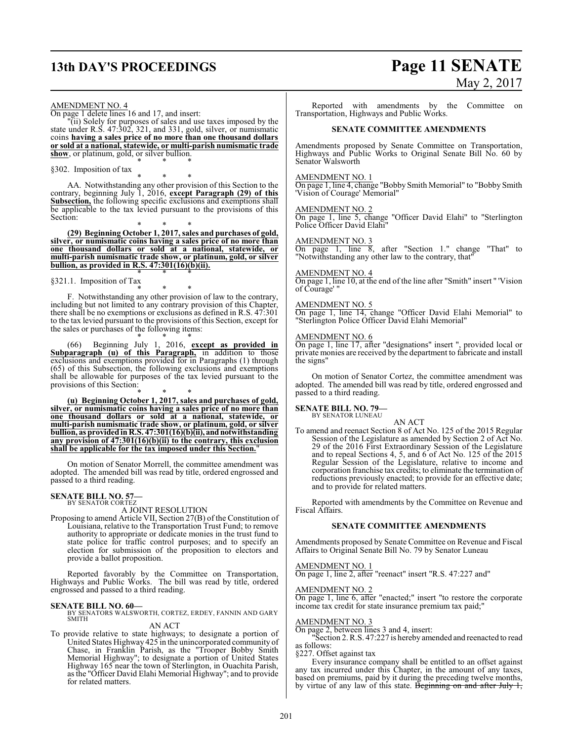# **13th DAY'S PROCEEDINGS Page 11 SENATE**

# May 2, 2017

AMENDMENT NO. 4

On page 1 delete lines 16 and 17, and insert:

"(ii) Solely for purposes of sales and use taxes imposed by the state under R.S. 47:302, 321, and 331, gold, silver, or numismatic coins **having a sales price of no more than one thousand dollars or sold at a national, statewide, or multi-parish numismatic trade show**, or platinum, gold, or silver bullion. \* \* \*

§302. Imposition of tax

\* \* \* AA. Notwithstanding any other provision of this Section to the contrary, beginning July 1, 2016, **except Paragraph (29) of this Subsection,** the following specific exclusions and exemptions shall be applicable to the tax levied pursuant to the provisions of this Section:

\* \* \* **(29) Beginning October 1, 2017, sales and purchases of gold, silver, or numismatic coins having a sales price of no more than one thousand dollars or sold at a national, statewide, or multi-parish numismatic trade show, or platinum, gold, or silver bullion, as provided in R.S. 47:301(16)(b)(ii).** \* \* \*

§321.1. Imposition of Tax

\* \* \* F. Notwithstanding any other provision of law to the contrary, including but not limited to any contrary provision of this Chapter, there shall be no exemptions or exclusions as defined in R.S. 47:301 to the tax levied pursuant to the provisions of this Section, except for the sales or purchases of the following items:

\* \* \* (66) Beginning July 1, 2016, **except as provided in Subparagraph (u) of this Paragraph,** in addition to those exclusions and exemptions provided for in Paragraphs (1) through (65) of this Subsection, the following exclusions and exemptions shall be allowable for purposes of the tax levied pursuant to the provisions of this Section:

\* \* \* **(u) Beginning October 1, 2017, sales and purchases of gold, silver, or numismatic coins having a sales price of no more than one thousand dollars or sold at a national, statewide, or multi-parish numismatic trade show, or platinum, gold, or silver bullion, as providedinR.S. 47:301(16)(b)(ii), andnotwithstanding any provision of 47:301(16)(b)(ii) to the contrary, this exclusion shall be applicable for the tax imposed under this Section.**"

On motion of Senator Morrell, the committee amendment was adopted. The amended bill was read by title, ordered engrossed and passed to a third reading.

#### **SENATE BILL NO. 57—** BY SENATOR CORTEZ

A JOINT RESOLUTION

Proposing to amend Article VII, Section 27(B) of the Constitution of Louisiana, relative to the Transportation Trust Fund; to remove authority to appropriate or dedicate monies in the trust fund to state police for traffic control purposes; and to specify an election for submission of the proposition to electors and provide a ballot proposition.

Reported favorably by the Committee on Transportation, Highways and Public Works. The bill was read by title, ordered engrossed and passed to a third reading.

#### **SENATE BILL NO. 60—**

BY SENATORS WALSWORTH, CORTEZ, ERDEY, FANNIN AND GARY **SMITH** 

## AN ACT

To provide relative to state highways; to designate a portion of United States Highway 425 in the unincorporated community of Chase, in Franklin Parish, as the "Trooper Bobby Smith Memorial Highway"; to designate a portion of United States Highway 165 near the town of Sterlington, in Ouachita Parish, as the "Officer David Elahi Memorial Highway"; and to provide for related matters.

Reported with amendments by the Committee on Transportation, Highways and Public Works.

#### **SENATE COMMITTEE AMENDMENTS**

Amendments proposed by Senate Committee on Transportation, Highways and Public Works to Original Senate Bill No. 60 by Senator Walsworth

#### AMENDMENT NO. 1

On page 1, line 4, change "Bobby Smith Memorial" to "Bobby Smith 'Vision of Courage' Memorial"

#### AMENDMENT NO. 2

On page 1, line 5, change "Officer David Elahi" to "Sterlington Police Officer David Elahi"

#### AMENDMENT NO. 3

On page 1, line 8, after "Section 1." change "That" to "Notwithstanding any other law to the contrary, that"

#### AMENDMENT NO. 4

On page 1, line 10, at the end of the line after "Smith" insert " 'Vision of Courage' "

#### AMENDMENT NO. 5

On page 1, line 14, change "Officer David Elahi Memorial" to "Sterlington Police Officer David Elahi Memorial"

#### AMENDMENT NO. 6

On page 1, line 17, after "designations" insert ", provided local or private monies are received by the department to fabricate and install the signs"

On motion of Senator Cortez, the committee amendment was adopted. The amended bill was read by title, ordered engrossed and passed to a third reading.

# **SENATE BILL NO. 79—** BY SENATOR LUNEAU

AN ACT To amend and reenact Section 8 of Act No. 125 of the 2015 Regular Session of the Legislature as amended by Section 2 of Act No. 29 of the 2016 First Extraordinary Session of the Legislature and to repeal Sections 4, 5, and 6 of Act No. 125 of the 2015 Regular Session of the Legislature, relative to income and corporation franchise tax credits; to eliminate the termination of reductions previously enacted; to provide for an effective date; and to provide for related matters.

Reported with amendments by the Committee on Revenue and Fiscal Affairs.

#### **SENATE COMMITTEE AMENDMENTS**

Amendments proposed by Senate Committee on Revenue and Fiscal Affairs to Original Senate Bill No. 79 by Senator Luneau

#### AMENDMENT NO. 1

On page 1, line 2, after "reenact" insert "R.S. 47:227 and"

#### AMENDMENT NO. 2

On page 1, line 6, after "enacted;" insert "to restore the corporate income tax credit for state insurance premium tax paid;"

#### AMENDMENT NO. 3

On page 2, between lines 3 and 4, insert:

"Section 2. R.S. 47:227 is hereby amended and reenacted to read as follows:

§227. Offset against tax

Every insurance company shall be entitled to an offset against any tax incurred under this Chapter, in the amount of any taxes, based on premiums, paid by it during the preceding twelve months, by virtue of any law of this state. Beginning on and after July 1,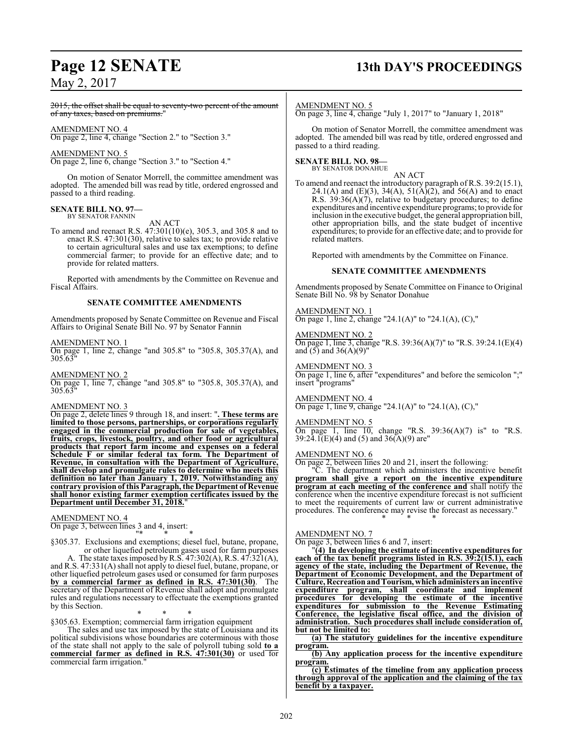# **Page 12 SENATE 13th DAY'S PROCEEDINGS**

## May 2, 2017

2015, the offset shall be equal to seventy-two percent of the amount of any taxes, based on premiums."

AMENDMENT NO. 4

On page 2, line 4, change "Section 2." to "Section 3."

AMENDMENT NO. 5

On page 2, line 6, change "Section 3." to "Section 4."

On motion of Senator Morrell, the committee amendment was adopted. The amended bill was read by title, ordered engrossed and passed to a third reading.

#### **SENATE BILL NO. 97—** BY SENATOR FANNIN

AN ACT

To amend and reenact R.S. 47:301(10)(e), 305.3, and 305.8 and to enact R.S. 47:301(30), relative to sales tax; to provide relative to certain agricultural sales and use tax exemptions; to define commercial farmer; to provide for an effective date; and to provide for related matters.

Reported with amendments by the Committee on Revenue and Fiscal Affairs.

#### **SENATE COMMITTEE AMENDMENTS**

Amendments proposed by Senate Committee on Revenue and Fiscal Affairs to Original Senate Bill No. 97 by Senator Fannin

#### AMENDMENT NO. 1

On page 1, line 2, change "and 305.8" to "305.8, 305.37(A), and 305.63"

AMENDMENT NO. 2

On page 1, line 7, change "and 305.8" to "305.8, 305.37(A), and 305.63"

#### AMENDMENT NO. 3

On page 2, delete lines 9 through 18, and insert: "**. These terms are limited to those persons, partnerships, or corporations regularly engaged in the commercial production for sale of vegetables, fruits, crops, livestock, poultry, and other food or agricultural products that report farm income and expenses on a federal Schedule F or similar federal tax form. The Department of Revenue, in consultation with the Department of Agriculture, shall develop and promulgate rules to determine who meets this definition no later than January 1, 2019. Notwithstanding any contrary provision of this Paragraph, the Department of Revenue shall honor existing farmer exemption certificates issued by the Department until December 31, 2018.** 

#### AMENDMENT NO. 4

On page 3, between lines 3 and 4, insert:

"\* \* \* §305.37. Exclusions and exemptions; diesel fuel, butane, propane, or other liquefied petroleum gases used for farm purposes

A. The state taxes imposed by R.S. 47:302(A), R.S. 47:321(A), and R.S. 47:331(A) shall not apply to diesel fuel, butane, propane, or other liquefied petroleum gases used or consumed for farm purposes **by a commercial farmer as defined in R.S. 47:301(30)**. The secretary of the Department of Revenue shall adopt and promulgate rules and regulations necessary to effectuate the exemptions granted by this Section.

\* \* \* §305.63. Exemption; commercial farm irrigation equipment

The sales and use tax imposed by the state of Louisiana and its political subdivisions whose boundaries are coterminous with those of the state shall not apply to the sale of polyroll tubing sold **to a commercial farmer as defined in R.S. 47:301(30)** or used for commercial farm irrigation.

#### AMENDMENT NO. 5

On page 3, line 4, change "July 1, 2017" to "January 1, 2018"

On motion of Senator Morrell, the committee amendment was adopted. The amended bill was read by title, ordered engrossed and passed to a third reading.

# **SENATE BILL NO. 98—** BY SENATOR DONAHUE

AN ACT

To amend and reenact the introductory paragraph of R.S. 39:2(15.1), 24.1(A) and (E)(3), 34(A), 51(A)(2), and 56(A) and to enact R.S.  $39:36(A)(7)$ , relative to budgetary procedures; to define expenditures and incentive expenditure programs; to provide for inclusion in the executive budget, the general appropriation bill, other appropriation bills, and the state budget of incentive expenditures; to provide for an effective date; and to provide for related matters.

Reported with amendments by the Committee on Finance.

#### **SENATE COMMITTEE AMENDMENTS**

Amendments proposed by Senate Committee on Finance to Original Senate Bill No. 98 by Senator Donahue

#### AMENDMENT NO. 1

On page 1, line 2, change "24.1(A)" to "24.1(A), (C),"

#### AMENDMENT NO. 2

On page 1, line 3, change "R.S. 39:36(A)(7)" to "R.S. 39:24.1(E)(4) and  $(5)$  and  $36(A)(9)$ "

#### AMENDMENT NO. 3

On page 1, line 6, after "expenditures" and before the semicolon ";" insert "programs"

#### AMENDMENT NO. 4

 $\overline{On}$  page 1, line 9, change "24.1(A)" to "24.1(A), (C),"

#### AMENDMENT NO. 5

On page 1, line 10, change "R.S. 39:36(A)(7) is" to "R.S.  $39:24.1(E)(4)$  and (5) and  $36(A)(9)$  are"

#### AMENDMENT NO. 6

On page 2, between lines 20 and 21, insert the following:

"C. The department which administers the incentive benefit **program shall give a report on the incentive expenditure program at each meeting of the conference and** shall notify the conference when the incentive expenditure forecast is not sufficient to meet the requirements of current law or current administrative procedures. The conference may revise the forecast as necessary."

\* \* \*

## AMENDMENT NO. 7

On page 3, between lines 6 and 7, insert:

"**(4) In developing the estimate of incentive expenditures for each of the tax benefit programs listed in R.S. 39:2(15.1), each agency of the state, including the Department of Revenue, the Department of Economic Development, and the Department of Culture, Recreation and Tourism, which administers an incentive expenditure program, shall coordinate and implement procedures for developing the estimate of the incentive expenditures for submission to the Revenue Estimating Conference, the legislative fiscal office, and the division of administration. Such procedures shall include consideration of, but not be limited to:**

**(a) The statutory guidelines for the incentive expenditure program.**

**(b) Any application process for the incentive expenditure program.**

**(c) Estimates of the timeline from any application process through approval of the application and the claiming of the tax benefit by a taxpayer.**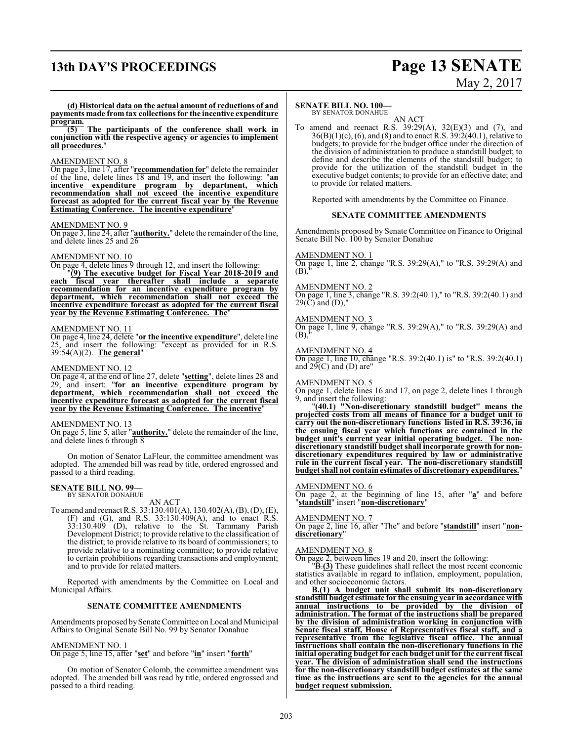# **13th DAY'S PROCEEDINGS Page 13 SENATE**

# May 2, 2017

**(d) Historical data on the actual amount of reductions of and payments made from tax collections for the incentive expenditure program.**

**(5) The participants of the conference shall work in conjunction with the respective agency or agencies to implement all procedures.**"

#### AMENDMENT NO. 8

On page 3, line 17, after "**recommendation for**" delete the remainder of the line, delete lines 18 and 19, and insert the following: "**an incentive expenditure program by department, which recommendation shall not exceed the incentive expenditure forecast as adopted for the current fiscal year by the Revenue Estimating Conference. The incentive expenditure**"

#### AMENDMENT NO. 9

On page 3, line 24, after "**authority.**" delete the remainder ofthe line, and delete lines 25 and 26

#### AMENDMENT NO. 10

On page 4, delete lines 9 through 12, and insert the following:

"**(9) The executive budget for Fiscal Year 2018-2019 and each fiscal year thereafter shall include a separate recommendation for an incentive expenditure program by department, which recommendation shall not exceed the incentive expenditure forecast as adopted for the current fiscal year by the Revenue Estimating Conference. The**"

#### AMENDMENT NO. 11

On page 4, line 24, delete "**or the incentive expenditure**", delete line 25, and insert the following: "except as provided for in R.S. 39:54(A)(2). **The general**"

#### AMENDMENT NO. 12

On page 4, at the end of line 27, delete "**setting**", delete lines 28 and 29, and insert: "**for an incentive expenditure program by department, which recommendation shall not exceed the incentive expenditure forecast as adopted for the current fiscal year by the Revenue Estimating Conference. The incentive**"

#### AMENDMENT NO. 13

On page 5, line 5, after "**authority.**" delete the remainder of the line, and delete lines 6 through 8

On motion of Senator LaFleur, the committee amendment was adopted. The amended bill was read by title, ordered engrossed and passed to a third reading.

#### **SENATE BILL NO. 99—** BY SENATOR DONAHUE

AN ACT To amend and reenact R.S. 33:130.401(A), 130.402(A), (B), (D), (E), (F) and (G), and R.S. 33:130.409(A), and to enact R.S. 33:130.409 (D), relative to the St. Tammany Parish Development District; to provide relative to the classification of the district; to provide relative to its board of commissioners; to provide relative to a nominating committee; to provide relative to certain prohibitions regarding transactions and employment; and to provide for related matters.

Reported with amendments by the Committee on Local and Municipal Affairs.

#### **SENATE COMMITTEE AMENDMENTS**

Amendments proposed by Senate Committee on Local and Municipal Affairs to Original Senate Bill No. 99 by Senator Donahue

#### AMENDMENT NO. 1

On page 5, line 15, after "**set**" and before "**in**" insert "**forth**"

On motion of Senator Colomb, the committee amendment was adopted. The amended bill was read by title, ordered engrossed and passed to a third reading.

#### **SENATE BILL NO. 100—**

BY SENATOR DONAHUE AN ACT

To amend and reenact R.S.  $39:29(A)$ ,  $32(E)(3)$  and (7), and  $36(B)(1)(c)$ , (6), and (8) and to enact R.S.  $39:2(40.1)$ , relative to budgets; to provide for the budget office under the direction of the division of administration to produce a standstill budget; to define and describe the elements of the standstill budget; to provide for the utilization of the standstill budget in the executive budget contents; to provide for an effective date; and to provide for related matters.

Reported with amendments by the Committee on Finance.

#### **SENATE COMMITTEE AMENDMENTS**

Amendments proposed by Senate Committee on Finance to Original Senate Bill No. 100 by Senator Donahue

#### AMENDMENT NO. 1

On page 1, line 2, change "R.S. 39:29(A)," to "R.S. 39:29(A) and  $(B)$ 

#### AMENDMENT NO. 2

On page 1, line 3, change "R.S. 39:2(40.1)," to "R.S. 39:2(40.1) and  $29(\tilde{C})$  and  $(D)$ ,"

#### AMENDMENT NO. 3

On page 1, line 9, change "R.S. 39:29(A)," to "R.S. 39:29(A) and  $(B)$ 

#### AMENDMENT NO. 4

On page 1, line 10, change "R.S. 39:2(40.1) is" to "R.S. 39:2(40.1) and  $29(C)$  and (D) are"

#### AMENDMENT NO. 5

On page 1, delete lines 16 and 17, on page 2, delete lines 1 through 9, and insert the following:

"**(40.1) "Non-discretionary standstill budget" means the projected costs from all means of finance for a budget unit to carry out the non-discretionary functions listed in R.S. 39:36, in the ensuing fiscal year which functions are contained in the budget unit's current year initial operating budget. The nondiscretionary standstill budget shall incorporate growth for nondiscretionary expenditures required by law or administrative rule in the current fiscal year. The non-discretionary standstill budget shall not contain estimates of discretionary expenditures.**"

#### AMENDMENT NO. 6

On page 2, at the beginning of line 15, after "**a**" and before "**standstill**" insert "**non-discretionary**"

#### AMENDMENT NO. 7

On page 2, line 16, after "The" and before "**standstill**" insert "**nondiscretionary**"

#### AMENDMENT NO. 8

On page 2, between lines 19 and 20, insert the following:

"B.**(3)** These guidelines shall reflect the most recent economic statistics available in regard to inflation, employment, population, and other socioeconomic factors.

**B.(1) A budget unit shall submit its non-discretionary standstill budget estimate for the ensuing year in accordance with annual instructions to be provided by the division of administration. The format of the instructions shall be prepared by the division of administration working in conjunction with Senate fiscal staff, House of Representatives fiscal staff, and a representative from the legislative fiscal office. The annual instructions shall contain the non-discretionary functions in the initial operating budget for each budget unit for the current fiscal year. The division of administration shall send the instructions for the non-discretionary standstill budget estimates at the same time as the instructions are sent to the agencies for the annual budget request submission.**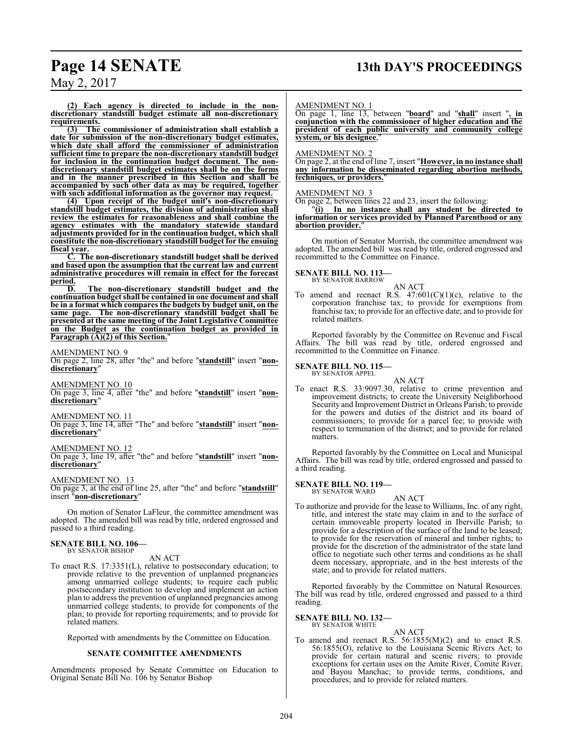**(2) Each agency is directed to include in the nondiscretionary standstill budget estimate all non-discretionary requirements.**

**(3) The commissioner of administration shall establish a date for submission of the non-discretionary budget estimates, which date shall afford the commissioner of administration sufficient time to prepare the non-discretionary standstill budget for inclusion in the continuation budget document. The nondiscretionary standstill budget estimates shall be on the forms and in the manner prescribed in this Section and shall be accompanied by such other data as may be required, together with such additional information as the governor may request.**

**(4) Upon receipt of the budget unit's non-discretionary standstill budget estimates, the division of administration shall review the estimates for reasonableness and shall combine the agency estimates with the mandatory statewide standard adjustments provided for in the continuation budget, which shall constitute the non-discretionary standstill budget for the ensuing fiscal year.**

**C. The non-discretionary standstill budget shall be derived and based upon the assumption that the current law and current administrative procedures will remain in effect for the forecast period.**

**D. The non-discretionary standstill budget and the continuation budget shall be contained in one document and shall be in a format which compares the budgets by budget unit, on the same page. The non-discretionary standstill budget shall be presented at the same meeting of the Joint Legislative Committee on the Budget as the continuation budget as provided in Paragraph (A)(2) of this Section.**"

#### AMENDMENT NO. 9

On page 2, line 28, after "the" and before "**standstill**" insert "**nondiscretionary**"

#### AMENDMENT NO. 10

On page 3, line 4, after "the" and before "**standstill**" insert "**nondiscretionary**"

#### AMENDMENT NO. 11

On page 3, line 14, after "The" and before "**standstill**" insert "**nondiscretionary**"

#### AMENDMENT NO. 12

On page 3, line 19, after "the" and before "**standstill**" insert "**nondiscretionary**"

#### AMENDMENT NO. 13

On page 3, at the end of line 25, after "the" and before "**standstill**" insert "**non-discretionary**"

On motion of Senator LaFleur, the committee amendment was adopted. The amended bill was read by title, ordered engrossed and passed to a third reading.

#### **SENATE BILL NO. 106—** BY SENATOR BISHOP

#### AN ACT

To enact R.S. 17:3351(L), relative to postsecondary education; to provide relative to the prevention of unplanned pregnancies among unmarried college students; to require each public postsecondary institution to develop and implement an action plan to address the prevention of unplanned pregnancies among unmarried college students; to provide for components of the plan; to provide for reporting requirements; and to provide for related matters.

Reported with amendments by the Committee on Education.

#### **SENATE COMMITTEE AMENDMENTS**

Amendments proposed by Senate Committee on Education to Original Senate Bill No. 106 by Senator Bishop

#### AMENDMENT NO. 1

On page 1, line 13, between "**board**" and "**shall**" insert "**, in conjunction with the commissioner of higher education and the president of each public university and community college system, or his designee**,"

## AMENDMENT NO. 2

On page 2, at the end of line 7, insert "**However, in no instance shall any information be disseminated regarding abortion methods, techniques, or providers.**"

#### AMENDMENT NO. 3

On page 2, between lines 22 and 23, insert the following:

"**(i) In no instance shall any student be directed to information or services provided by Planned Parenthood or any abortion provider.**"

On motion of Senator Morrish, the committee amendment was adopted. The amended bill was read by title, ordered engrossed and recommitted to the Committee on Finance.

#### **SENATE BILL NO. 113—** BY SENATOR BARROW

AN ACT

To amend and reenact R.S.  $47:601(C)(1)(c)$ , relative to the corporation franchise tax; to provide for exemptions from franchise tax; to provide for an effective date; and to provide for related matters.

Reported favorably by the Committee on Revenue and Fiscal Affairs. The bill was read by title, ordered engrossed and recommitted to the Committee on Finance.

#### **SENATE BILL NO. 115—** BY SENATOR APPEL

AN ACT

To enact R.S. 33:9097.30, relative to crime prevention and improvement districts; to create the University Neighborhood Security and Improvement District in Orleans Parish; to provide for the powers and duties of the district and its board of commissioners; to provide for a parcel fee; to provide with respect to termination of the district; and to provide for related matters.

Reported favorably by the Committee on Local and Municipal Affairs. The bill was read by title, ordered engrossed and passed to a third reading.

#### **SENATE BILL NO. 119—** BY SENATOR WARD

AN ACT

To authorize and provide for the lease to Williams, Inc. of any right, title, and interest the state may claim in and to the surface of certain immoveable property located in Iberville Parish; to provide for a description of the surface of the land to be leased; to provide for the reservation of mineral and timber rights; to provide for the discretion of the administrator of the state land office to negotiate such other terms and conditions as he shall deem necessary, appropriate, and in the best interests of the state; and to provide for related matters.

Reported favorably by the Committee on Natural Resources. The bill was read by title, ordered engrossed and passed to a third reading.

**SENATE BILL NO. 132—** BY SENATOR WHITE

#### AN ACT

To amend and reenact R.S.  $56:1855(M)(2)$  and to enact R.S. 56:1855(O), relative to the Louisiana Scenic Rivers Act; to provide for certain natural and scenic rivers; to provide exceptions for certain uses on the Amite River, Comite River, and Bayou Manchac; to provide terms, conditions, and procedures; and to provide for related matters.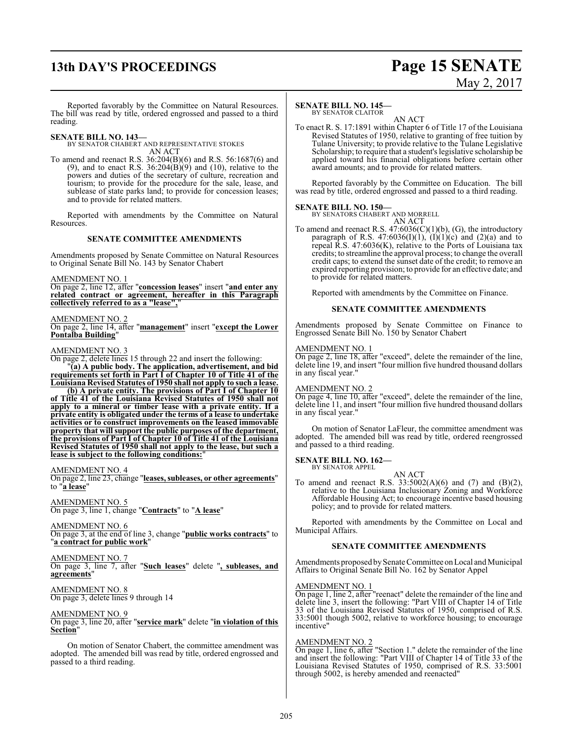# **13th DAY'S PROCEEDINGS Page 15 SENATE**

# May 2, 2017

Reported favorably by the Committee on Natural Resources. The bill was read by title, ordered engrossed and passed to a third reading.

**SENATE BILL NO. 143—**

BY SENATOR CHABERT AND REPRESENTATIVE STOKES AN ACT

To amend and reenact R.S. 36:204(B)(6) and R.S. 56:1687(6) and (9), and to enact R.S.  $36:204(B)(9)$  and (10), relative to the powers and duties of the secretary of culture, recreation and tourism; to provide for the procedure for the sale, lease, and sublease of state parks land; to provide for concession leases; and to provide for related matters.

Reported with amendments by the Committee on Natural Resources.

#### **SENATE COMMITTEE AMENDMENTS**

Amendments proposed by Senate Committee on Natural Resources to Original Senate Bill No. 143 by Senator Chabert

AMENDMENT NO. 1

On page 2, line 12, after "**concession leases**" insert "**and enter any related contract or agreement, hereafter in this Paragraph collectively referred to as a "lease",**"

#### AMENDMENT NO. 2

On page 2, line 14, after "**management**" insert "**except the Lower Pontalba Building**"

#### AMENDMENT NO. 3

On page 2, delete lines 15 through 22 and insert the following:

"**(a) A public body. The application, advertisement, and bid requirements set forth in Part I of Chapter 10 of Title 41 of the Louisiana Revised Statutes of 1950 shall not apply to such a lease.**

**(b) A private entity. The provisions of Part I of Chapter 10 of Title 41 of the Louisiana Revised Statutes of 1950 shall not apply to a mineral or timber lease with a private entity. If a private entity is obligated under the terms of a lease to undertake activities or to construct improvements on the leased immovable property that will support the public purposes of the department, the provisions of Part I of Chapter 10 of Title 41 of the Louisiana Revised Statutes of 1950 shall not apply to the lease, but such a lease is subject to the following conditions:**"

#### AMENDMENT NO. 4

On page 2, line 23, change "**leases, subleases, or other agreements**" to "**a lease**"

#### AMENDMENT NO. 5

On page 3, line 1, change "**Contracts**" to "**A lease**"

AMENDMENT NO. 6 On page 3, at the end of line 3, change "**public works contracts**" to "**a contract for public work**"

#### AMENDMENT NO. 7

On page 3, line 7, after "**Such leases**" delete "**, subleases, and agreements**"

#### AMENDMENT NO. 8 On page 3, delete lines 9 through 14

# AMENDMENT NO. 9

On page 3, line 20, after "**service mark**" delete "**in violation of this Section**"

On motion of Senator Chabert, the committee amendment was adopted. The amended bill was read by title, ordered engrossed and passed to a third reading.

#### **SENATE BILL NO. 145—**

BY SENATOR CLAITOR

AN ACT To enact R. S. 17:1891 within Chapter 6 of Title 17 of the Louisiana Revised Statutes of 1950, relative to granting of free tuition by Tulane University; to provide relative to the Tulane Legislative Scholarship; to require that a student's legislative scholarship be applied toward his financial obligations before certain other award amounts; and to provide for related matters.

Reported favorably by the Committee on Education. The bill was read by title, ordered engrossed and passed to a third reading.

# **SENATE BILL NO. 150—** BY SENATORS CHABERT AND MORRELL

AN ACT To amend and reenact R.S.  $47:6036(C)(1)(b)$ , (G), the introductory paragraph of R.S.  $47:6036(I)(1)$ ,  $(I)(1)(c)$  and  $(2)(a)$  and to repeal R.S. 47:6036(K), relative to the Ports of Louisiana tax credits; to streamline the approval process; to change the overall credit caps; to extend the sunset date of the credit; to remove an expired reporting provision; to provide for an effective date; and to provide for related matters.

Reported with amendments by the Committee on Finance.

#### **SENATE COMMITTEE AMENDMENTS**

Amendments proposed by Senate Committee on Finance to Engrossed Senate Bill No. 150 by Senator Chabert

#### AMENDMENT NO. 1

On page 2, line 18, after "exceed", delete the remainder of the line, delete line 19, and insert "four million five hundred thousand dollars in any fiscal year."

#### AMENDMENT NO. 2

On page 4, line 10, after "exceed", delete the remainder of the line, delete line 11, and insert "four million five hundred thousand dollars in any fiscal year."

On motion of Senator LaFleur, the committee amendment was adopted. The amended bill was read by title, ordered reengrossed and passed to a third reading.

# **SENATE BILL NO. 162—** BY SENATOR APPEL

AN ACT

To amend and reenact R.S.  $33:5002(A)(6)$  and  $(7)$  and  $(B)(2)$ , relative to the Louisiana Inclusionary Zoning and Workforce Affordable Housing Act; to encourage incentive based housing policy; and to provide for related matters.

Reported with amendments by the Committee on Local and Municipal Affairs.

#### **SENATE COMMITTEE AMENDMENTS**

Amendments proposed by Senate Committee on Local and Municipal Affairs to Original Senate Bill No. 162 by Senator Appel

#### AMENDMENT NO. 1

On page 1, line 2, after "reenact" delete the remainder of the line and delete line 3, insert the following: "Part VIII of Chapter 14 of Title 33 of the Louisiana Revised Statutes of 1950, comprised of R.S. 33:5001 though 5002, relative to workforce housing; to encourage incentive"

#### AMENDMENT NO. 2

 $\overline{On page 1, line 6, after "Section 1." delete the remainder of the line$ and insert the following: "Part VIII of Chapter 14 of Title 33 of the Louisiana Revised Statutes of 1950, comprised of R.S. 33:5001 through 5002, is hereby amended and reenacted"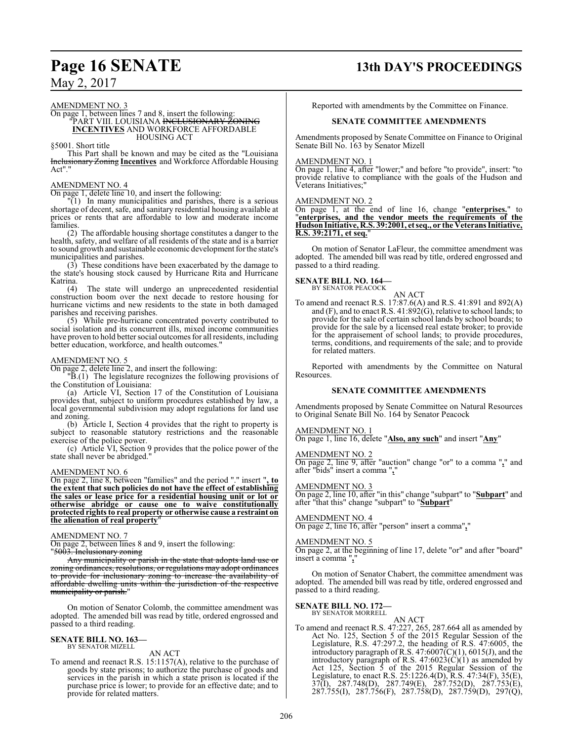#### AMENDMENT NO. 3

#### On page 1, between lines 7 and 8, insert the following: "PART VIII. LOUISIANA <del>INCLUSIONARY ŽONING</del> **INCENTIVES** AND WORKFORCE AFFORDABLE HOUSING ACT

§5001. Short title

This Part shall be known and may be cited as the "Louisiana Inclusionary Zoning **Incentives** and Workforce Affordable Housing Act".

#### AMENDMENT NO. 4

On page 1, delete line 10, and insert the following:

"(1) In many municipalities and parishes, there is a serious shortage of decent, safe, and sanitary residential housing available at prices or rents that are affordable to low and moderate income families.

(2) The affordable housing shortage constitutes a danger to the health, safety, and welfare of all residents of the state and is a barrier to sound growth and sustainable economic development for the state's municipalities and parishes.

(3) These conditions have been exacerbated by the damage to the state's housing stock caused by Hurricane Rita and Hurricane Katrina.

(4) The state will undergo an unprecedented residential construction boom over the next decade to restore housing for hurricane victims and new residents to the state in both damaged parishes and receiving parishes.

(5) While pre-hurricane concentrated poverty contributed to social isolation and its concurrent ills, mixed income communities have proven to hold better social outcomes for all residents, including better education, workforce, and health outcomes.

#### AMENDMENT NO. 5

On page 2, delete line 2, and insert the following:

"B.(1) The legislature recognizes the following provisions of the Constitution of Louisiana:

(a) Article VI, Section 17 of the Constitution of Louisiana provides that, subject to uniform procedures established by law, a local governmental subdivision may adopt regulations for land use and zoning.

(b) Article I, Section 4 provides that the right to property is subject to reasonable statutory restrictions and the reasonable exercise of the police power.

(c) Article VI, Section 9 provides that the police power of the state shall never be abridged."

#### AMENDMENT NO. 6

On page 2, line 8, between "families" and the period "." insert "**, to the extent that such policies do not have the effect of establishing the sales or lease price for a residential housing unit or lot or otherwise abridge or cause one to waive constitutionally protected rights to real property or otherwise cause a restraint on the alienation of real property**"

#### AMENDMENT NO. 7

On page 2, between lines 8 and 9, insert the following:

"5003. Inclusionary zoning

Any municipality or parish in the state that adopts land use or zoning ordinances, resolutions, or regulations may adopt ordinances to provide for inclusionary zoning to increase the availability of affordable dwelling units within the jurisdiction of the respective municipality or parish."

On motion of Senator Colomb, the committee amendment was adopted. The amended bill was read by title, ordered engrossed and passed to a third reading.

#### **SENATE BILL NO. 163—** BY SENATOR MIZELL

## AN ACT

To amend and reenact R.S. 15:1157(A), relative to the purchase of goods by state prisons; to authorize the purchase of goods and services in the parish in which a state prison is located if the purchase price is lower; to provide for an effective date; and to provide for related matters.

# **Page 16 SENATE 13th DAY'S PROCEEDINGS**

Reported with amendments by the Committee on Finance.

#### **SENATE COMMITTEE AMENDMENTS**

Amendments proposed by Senate Committee on Finance to Original Senate Bill No. 163 by Senator Mizell

#### AMENDMENT NO. 1

On page 1, line 4, after "lower;" and before "to provide", insert: "to provide relative to compliance with the goals of the Hudson and Veterans Initiatives;"

#### AMENDMENT NO. 2

On page 1, at the end of line 16, change "**enterprises.**" to "**enterprises, and the vendor meets the requirements of the HudsonInitiative, R.S. 39:2001, et seq., or the Veterans Initiative, R.S. 39:2171, et seq.**"

On motion of Senator LaFleur, the committee amendment was adopted. The amended bill was read by title, ordered engrossed and passed to a third reading.

#### **SENATE BILL NO. 164—**

BY SENATOR PEACOCK

AN ACT To amend and reenact R.S. 17:87.6(A) and R.S. 41:891 and 892(A) and  $(F)$ , and to enact R.S. 41:892 $(G)$ , relative to school lands; to provide for the sale of certain school lands by school boards; to provide for the sale by a licensed real estate broker; to provide for the appraisement of school lands; to provide procedures, terms, conditions, and requirements of the sale; and to provide for related matters.

Reported with amendments by the Committee on Natural Resources.

#### **SENATE COMMITTEE AMENDMENTS**

Amendments proposed by Senate Committee on Natural Resources to Original Senate Bill No. 164 by Senator Peacock

#### AMENDMENT NO. 1

On page 1, line 16, delete "**Also, any such**" and insert "**Any**"

#### AMENDMENT NO. 2

On page 2, line 9, after "auction" change "or" to a comma "**,**" and after "bids" insert a comma "**,**"

#### AMENDMENT NO. 3

On page 2, line 10, after "in this" change "subpart" to "**Subpart**" and after "that this" change "subpart" to "**Subpart**"

#### AMENDMENT NO. 4

On page 2, line 16, after "person" insert a comma"**,**"

#### AMENDMENT NO. 5

On page 2, at the beginning of line 17, delete "or" and after "board" insert a comma "**,**"

On motion of Senator Chabert, the committee amendment was adopted. The amended bill was read by title, ordered engrossed and passed to a third reading.

#### **SENATE BILL NO. 172—** BY SENATOR MORRELL

## AN ACT

To amend and reenact R.S. 47:227, 265, 287.664 all as amended by Act No. 125, Section 5 of the 2015 Regular Session of the Legislature, R.S. 47:297.2, the heading of R.S. 47:6005, the introductory paragraph of R.S.  $47:6007\text{(C)}(1)$ ,  $6015\text{(J)}$ , and the introductory paragraph of R.S.  $47:6023(C)(1)$  as amended by Act 125, Section 5 of the 2015 Regular Session of the Legislature, to enact R.S. 25:1226.4(D), R.S. 47:34(F), 35(E), 37(I), 287.748(D), 287.749(E), 287.752(D), 287.753(E), 287.755(I), 287.756(F), 287.758(D), 287.759(D), 297(Q),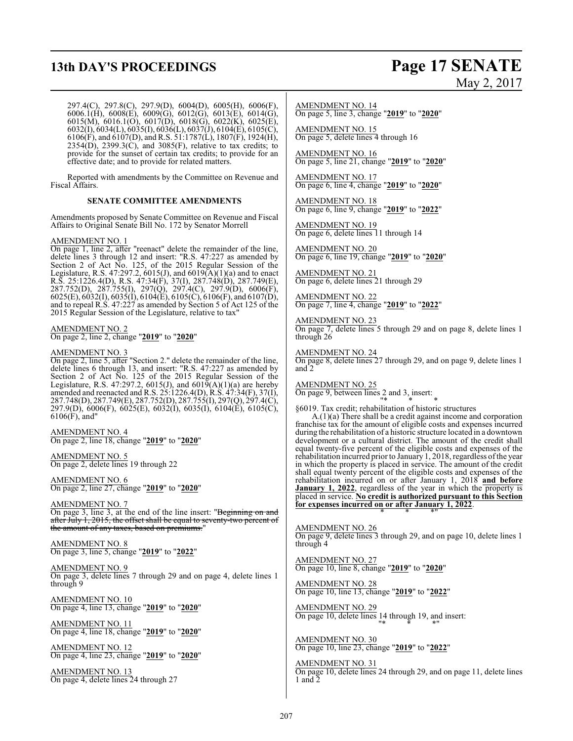# **13th DAY'S PROCEEDINGS Page 17 SENATE**

# May 2, 2017

297.4(C), 297.8(C), 297.9(D), 6004(D), 6005(H), 6006(F), 6006.1(H), 6008(E), 6009(G), 6012(G), 6013(E), 6014(G), 6015(M), 6016.1(O), 6017(D), 6018(G), 6022(K), 6025(E), 6032(I), 6034(L), 6035(I), 6036(L), 6037(J), 6104(E), 6105(C), 6106(F), and 6107(D), and R.S. 51:1787(L), 1807(F), 1924(H),  $2354(D)$ ,  $2399.3(C)$ , and  $3085(F)$ , relative to tax credits; to provide for the sunset of certain tax credits; to provide for an effective date; and to provide for related matters.

Reported with amendments by the Committee on Revenue and Fiscal Affairs.

#### **SENATE COMMITTEE AMENDMENTS**

Amendments proposed by Senate Committee on Revenue and Fiscal Affairs to Original Senate Bill No. 172 by Senator Morrell

#### AMENDMENT NO. 1

On page 1, line 2, after "reenact" delete the remainder of the line, delete lines 3 through 12 and insert: "R.S. 47:227 as amended by Section 2 of Act No. 125, of the 2015 Regular Session of the Legislature, R.S. 47:297.2, 6015(J), and 6019(A)(1)(a) and to enact R.S. 25:1226.4(D), R.S. 47:34(F), 37(I), 287.748(D), 287.749(E), 287.752(D), 287.755(I), 297(Q), 297.4(C), 297.9(D), 6006(F), 6025(E), 6032(I), 6035(I), 6104(E), 6105(C), 6106(F), and 6107(D), and to repeal R.S. 47:227 as amended by Section 5 of Act 125 of the 2015 Regular Session of the Legislature, relative to tax"

AMENDMENT NO. 2 On page 2, line 2, change "**2019**" to "**2020**"

#### AMENDMENT NO. 3

On page 2, line 5, after "Section 2." delete the remainder of the line, delete lines 6 through 13, and insert: "R.S. 47:227 as amended by Section 2 of Act No. 125 of the 2015 Regular Session of the Legislature, R.S. 47:297.2, 6015(J), and 601 $\bar{9}(A)(1)(a)$  are hereby amended and reenacted and R.S. 25:1226.4(D), R.S. 47:34(F), 37(I), 287.748(D), 287.749(E), 287.752(D), 287.755(I), 297(Q), 297.4(C), 297.9(D), 6006(F), 6025(E), 6032(I), 6035(I), 6104(E), 6105(C),  $6106(F)$ , and"

AMENDMENT NO. 4 On page 2, line 18, change "**2019**" to "**2020**"

AMENDMENT NO. 5 On page 2, delete lines 19 through 22

AMENDMENT NO. 6 On page 2, line 27, change "**2019**" to "**2020**"

AMENDMENT NO. 7 On page 3, line 3, at the end of the line insert: "Beginning on and after July 1, 2015, the offset shall be equal to seventy-two percent of the amount of any taxes, based on premiums."

AMENDMENT NO. 8 On page 3, line 5, change "**2019**" to "**2022**"

AMENDMENT NO. 9 On page 3, delete lines 7 through 29 and on page 4, delete lines 1 through 9

AMENDMENT NO. 10 On page 4, line 13, change "**2019**" to "**2020**"

AMENDMENT NO. 11 On page 4, line 18, change "**2019**" to "**2020**"

AMENDMENT NO. 12 On page 4, line 23, change "**2019**" to "**2020**"

AMENDMENT NO. 13 On page 4, delete lines 24 through 27

AMENDMENT NO. 14 On page 5, line 3, change "**2019**" to "**2020**"

AMENDMENT NO. 15 On page 5, delete lines 4 through 16

AMENDMENT NO. 16 On page 5, line 21, change "**2019**" to "**2020**"

AMENDMENT NO. 17 On page 6, line 4, change "**2019**" to "**2020**"

AMENDMENT NO. 18 On page 6, line 9, change "**2019**" to "**2022**"

AMENDMENT NO. 19 On page 6, delete lines 11 through 14

AMENDMENT NO. 20 On page 6, line 19, change "**2019**" to "**2020**"

AMENDMENT NO. 21 On page 6, delete lines 21 through 29

AMENDMENT NO. 22 On page 7, line 4, change "**2019**" to "**2022**"

AMENDMENT NO. 23 On page 7, delete lines 5 through 29 and on page 8, delete lines 1 through 26

AMENDMENT NO. 24 On page 8, delete lines 27 through 29, and on page 9, delete lines 1 and 2

AMENDMENT NO. 25 On page 9, between lines 2 and 3, insert:

"\* \* \* §6019. Tax credit; rehabilitation of historic structures

A.(1)(a) There shall be a credit against income and corporation franchise tax for the amount of eligible costs and expenses incurred during the rehabilitation of a historic structure located in a downtown development or a cultural district. The amount of the credit shall equal twenty-five percent of the eligible costs and expenses of the rehabilitation incurred prior to January 1, 2018, regardless ofthe year in which the property is placed in service. The amount of the credit shall equal twenty percent of the eligible costs and expenses of the rehabilitation incurred on or after January 1, 2018 **and before January 1, 2022**, regardless of the year in which the property is placed in service. **No credit is authorized pursuant to this Section for expenses incurred on or after January 1, 2022**. \* \* \*"

AMENDMENT NO. 26 On page 9, delete lines 3 through 29, and on page 10, delete lines 1 through 4

AMENDMENT NO. 27 On page 10, line 8, change "**2019**" to "**2020**"

AMENDMENT NO. 28 On page 10, line 13, change "**2019**" to "**2022**"

AMENDMENT NO. 29 On page 10, delete lines 14 through 19, and insert: "\* \* \*"

AMENDMENT NO. 30 On page 10, line 23, change "**2019**" to "**2022**"

AMENDMENT NO. 31 On page 10, delete lines 24 through 29, and on page 11, delete lines 1 and 2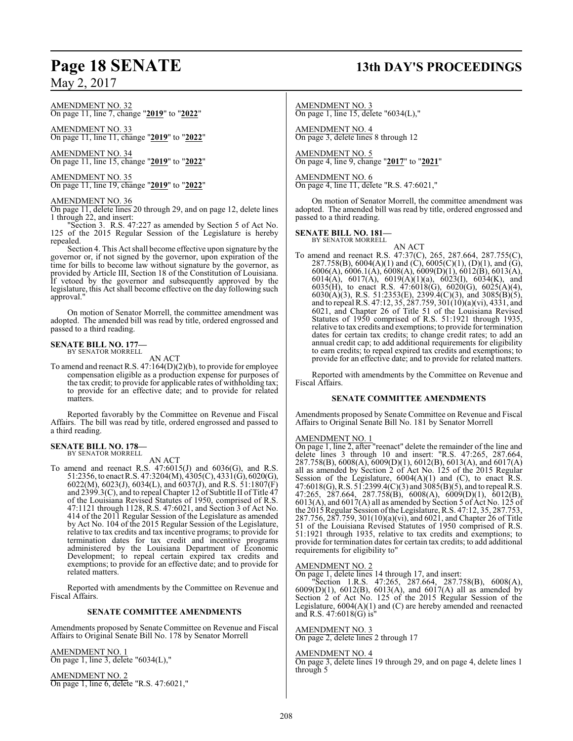#### AMENDMENT NO. 32 On page 11, line 7, change "**2019**" to "**2022**"

AMENDMENT NO. 33 On page 11, line 11, change "**2019**" to "**2022**"

AMENDMENT NO. 34 On page 11, line 15, change "**2019**" to "**2022**"

AMENDMENT NO. 35 On page 11, line 19, change "**2019**" to "**2022**"

#### AMENDMENT NO. 36

On page 11, delete lines 20 through 29, and on page 12, delete lines 1 through 22, and insert:

"Section 3. R.S. 47:227 as amended by Section 5 of Act No. 125 of the 2015 Regular Session of the Legislature is hereby repealed.

Section 4. This Act shall become effective upon signature by the governor or, if not signed by the governor, upon expiration of the time for bills to become law without signature by the governor, as provided by Article III, Section 18 of the Constitution of Louisiana. If vetoed by the governor and subsequently approved by the legislature, this Act shall become effective on the day following such approval."

On motion of Senator Morrell, the committee amendment was adopted. The amended bill was read by title, ordered engrossed and passed to a third reading.

# **SENATE BILL NO. 177—** BY SENATOR MORRELL

AN ACT

To amend and reenact R.S. 47:164(D)(2)(b), to provide for employee compensation eligible as a production expense for purposes of the tax credit; to provide for applicable rates of withholding tax; to provide for an effective date; and to provide for related matters.

Reported favorably by the Committee on Revenue and Fiscal Affairs. The bill was read by title, ordered engrossed and passed to a third reading.

#### **SENATE BILL NO. 178—** BY SENATOR MORRELL

AN ACT

To amend and reenact R.S.  $47:6015(J)$  and  $6036(G)$ , and R.S. 51:2356, to enact R.S. 47:3204(M), 4305(C), 4331(G), 6020(G), 6022(M), 6023(J), 6034(L), and 6037(J), and R.S. 51:1807(F) and 2399.3(C), and to repeal Chapter 12 of Subtitle II of Title 47 of the Louisiana Revised Statutes of 1950, comprised of R.S. 47:1121 through 1128, R.S. 47:6021, and Section 3 of Act No. 414 of the 2011 Regular Session of the Legislature as amended by Act No. 104 of the 2015 Regular Session of the Legislature, relative to tax credits and tax incentive programs; to provide for termination dates for tax credit and incentive programs administered by the Louisiana Department of Economic Development; to repeal certain expired tax credits and exemptions; to provide for an effective date; and to provide for related matters.

Reported with amendments by the Committee on Revenue and Fiscal Affairs.

#### **SENATE COMMITTEE AMENDMENTS**

Amendments proposed by Senate Committee on Revenue and Fiscal Affairs to Original Senate Bill No. 178 by Senator Morrell

AMENDMENT NO. 1 On page 1, line 3, delete "6034(L),"

AMENDMENT NO. 2 On page 1, line 6, delete "R.S. 47:6021,"

# **Page 18 SENATE 13th DAY'S PROCEEDINGS**

AMENDMENT NO. 3 On page 1, line 15, delete "6034(L),"

AMENDMENT NO. 4 On page 3, delete lines 8 through 12

AMENDMENT NO. 5 On page 4, line 9, change "**2017**" to "**2021**"

AMENDMENT NO. 6 On page 4, line 11, delete "R.S. 47:6021,"

On motion of Senator Morrell, the committee amendment was adopted. The amended bill was read by title, ordered engrossed and passed to a third reading.

# **SENATE BILL NO. 181—** BY SENATOR MORRELL

AN ACT

To amend and reenact R.S. 47:37(C), 265, 287.664, 287.755(C), 287.758(B),  $6004(A)(1)$  and  $(C)$ ,  $6005(C)(1)$ ,  $(D)(1)$ , and  $(G)$ , 6006(A), 6006.1(A), 6008(A), 6009(D)(1), 6012(B), 6013(A), 6014(A), 6017(A), 6019(A)(1)(a), 6023(I), 6034(K), and 6035(H), to enact R.S.  $47:6018(G)$ ,  $6020(G)$ ,  $6025(A)(4)$ ,  $6030(A)(3)$ , R.S. 51:2353(E), 2399.4(C)(3), and 3085(B)(5), and to repeal R.S. 47:12, 35, 287.759, 301(10)(a)(vi), 4331, and 6021, and Chapter 26 of Title 51 of the Louisiana Revised Statutes of 1950 comprised of R.S. 51:1921 through 1935, relative to tax credits and exemptions; to provide for termination dates for certain tax credits; to change credit rates; to add an annual credit cap; to add additional requirements for eligibility to earn credits; to repeal expired tax credits and exemptions; to provide for an effective date; and to provide for related matters.

Reported with amendments by the Committee on Revenue and Fiscal Affairs.

#### **SENATE COMMITTEE AMENDMENTS**

Amendments proposed by Senate Committee on Revenue and Fiscal Affairs to Original Senate Bill No. 181 by Senator Morrell

#### AMENDMENT NO. 1

On page 1, line 2, after "reenact" delete the remainder of the line and delete lines 3 through 10 and insert: "R.S. 47:265, 287.664, 287.758(B), 6008(A), 6009(D)(1), 6012(B), 6013(A), and 6017(A) all as amended by Section 2 of Act No. 125 of the 2015 Regular Session of the Legislature,  $6004(A)(1)$  and (C), to enact R.S. 47:6018(G), R.S. 51:2399.4(C)(3) and 3085(B)(5), and to repeal R.S. 47:265, 287.664, 287.758(B), 6008(A), 6009(D)(1), 6012(B), 6013(A), and 6017(A) all as amended by Section 5 of Act No. 125 of the 2015Regular Session ofthe Legislature, R.S. 47:12, 35, 287.753, 287.756, 287.759, 301(10)(a)(vi), and 6021, and Chapter 26 of Title 51 of the Louisiana Revised Statutes of 1950 comprised of R.S. 51:1921 through 1935, relative to tax credits and exemptions; to provide for termination dates for certain tax credits; to add additional requirements for eligibility to"

#### AMENDMENT NO. 2

On page 1, delete lines 14 through 17, and insert:

"Section 1.R.S. 47:265, 287.664, 287.758(B), 6008(A), 6009(D)(1), 6012(B), 6013(A), and 6017(A) all as amended by Section 2 of Act No. 125 of the 2015 Regular Session of the Legislature, 6004(A)(1) and (C) are hereby amended and reenacted and R.S. 47:6018(G) is"

AMENDMENT NO. 3 On page 2, delete lines 2 through 17

#### AMENDMENT NO. 4

On page 3, delete lines 19 through 29, and on page 4, delete lines 1 through 5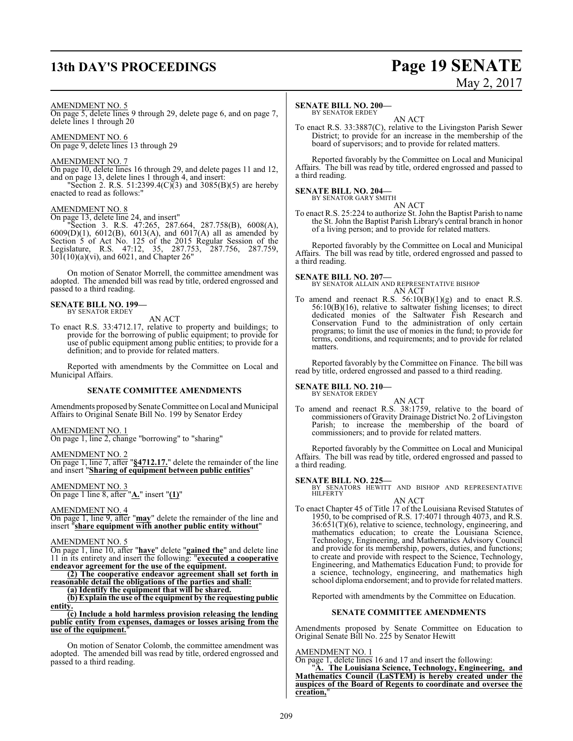# **13th DAY'S PROCEEDINGS Page 19 SENATE**

# May 2, 2017

#### AMENDMENT NO. 5

On page 5, delete lines 9 through 29, delete page 6, and on page 7, delete lines 1 through 20

AMENDMENT NO. 6 On page 9, delete lines 13 through 29

## AMENDMENT NO. 7

On page 10, delete lines 16 through 29, and delete pages 11 and 12, and on page 13, delete lines 1 through 4, and insert:

"Section 2. R.S. 51:2399.4(C)(3) and 3085(B)(5) are hereby enacted to read as follows:"

#### AMENDMENT NO. 8

On page 13, delete line 24, and insert"

"Section 3. R.S. 47:265, 287.664, 287.758(B), 6008(A), 6009(D)(1), 6012(B), 6013(A), and 6017(A) all as amended by Section 5 of Act No. 125 of the 2015 Regular Session of the Legislature, R.S. 47:12, 35, 287.753, 287.756, 287.759, 301(10)(a)(vi), and 6021, and Chapter 26"

On motion of Senator Morrell, the committee amendment was adopted. The amended bill was read by title, ordered engrossed and passed to a third reading.

#### **SENATE BILL NO. 199—** BY SENATOR ERDEY

AN ACT

To enact R.S. 33:4712.17, relative to property and buildings; to provide for the borrowing of public equipment; to provide for use of public equipment among public entities; to provide for a definition; and to provide for related matters.

Reported with amendments by the Committee on Local and Municipal Affairs.

#### **SENATE COMMITTEE AMENDMENTS**

Amendments proposed by Senate Committee on Local and Municipal Affairs to Original Senate Bill No. 199 by Senator Erdey

#### AMENDMENT NO. 1

On page 1, line 2, change "borrowing" to "sharing"

#### AMENDMENT NO. 2

On page 1, line 7, after "**§4712.17.**" delete the remainder of the line and insert "**Sharing of equipment between public entities**"

AMENDMENT NO. 3 On page 1 line 8, after "**A.**" insert "**(1)**"

#### AMENDMENT NO. 4

On page 1, line 9, after "**may**" delete the remainder of the line and insert "**share equipment with another public entity without**"

#### AMENDMENT NO. 5

On page 1, line 10, after "**have**" delete "**gained the**" and delete line 11 in its entirety and insert the following: "**executed a cooperative endeavor agreement for the use of the equipment.**

**(2) The cooperative endeavor agreement shall set forth in reasonable detail the obligations of the parties and shall:**

**(a) Identify the equipment that will be shared.**

**(b) Explain the use of the equipment by the requesting public entity.**

**(c) Include a hold harmless provision releasing the lending public entity from expenses, damages or losses arising from the** use of the equipment.

On motion of Senator Colomb, the committee amendment was adopted. The amended bill was read by title, ordered engrossed and passed to a third reading.

#### **SENATE BILL NO. 200—**

BY SENATOR ERDEY AN ACT

To enact R.S. 33:3887(C), relative to the Livingston Parish Sewer District; to provide for an increase in the membership of the board of supervisors; and to provide for related matters.

Reported favorably by the Committee on Local and Municipal Affairs. The bill was read by title, ordered engrossed and passed to a third reading.

# **SENATE BILL NO. 204—**<br>BY SENATOR GARY SMITH

AN ACT

To enact R.S. 25:224 to authorize St. John the Baptist Parish to name the St. John the Baptist Parish Library's central branch in honor of a living person; and to provide for related matters.

Reported favorably by the Committee on Local and Municipal Affairs. The bill was read by title, ordered engrossed and passed to a third reading.

**SENATE BILL NO. 207—** BY SENATOR ALLAIN AND REPRESENTATIVE BISHOP AN ACT

To amend and reenact R.S. 56:10(B)(1)(g) and to enact R.S. 56:10(B)(16), relative to saltwater fishing licenses; to direct dedicated monies of the Saltwater Fish Research and Conservation Fund to the administration of only certain programs; to limit the use of monies in the fund; to provide for terms, conditions, and requirements; and to provide for related matters.

Reported favorably by the Committee on Finance. The bill was read by title, ordered engrossed and passed to a third reading.

# **SENATE BILL NO. 210—** BY SENATOR ERDEY

AN ACT

To amend and reenact R.S. 38:1759, relative to the board of commissioners of Gravity Drainage District No. 2 of Livingston Parish; to increase the membership of the board of commissioners; and to provide for related matters.

Reported favorably by the Committee on Local and Municipal Affairs. The bill was read by title, ordered engrossed and passed to a third reading.

#### **SENATE BILL NO. 225—**

BY SENATORS HEWITT AND BISHOP AND REPRESENTATIVE HILFERTY AN ACT

To enact Chapter 45 of Title 17 of the Louisiana Revised Statutes of 1950, to be comprised of R.S. 17:4071 through 4073, and R.S.  $36:651(T)(6)$ , relative to science, technology, engineering, and mathematics education; to create the Louisiana Science, Technology, Engineering, and Mathematics Advisory Council and provide for its membership, powers, duties, and functions; to create and provide with respect to the Science, Technology, Engineering, and Mathematics Education Fund; to provide for a science, technology, engineering, and mathematics high school diploma endorsement; and to provide for related matters.

Reported with amendments by the Committee on Education.

#### **SENATE COMMITTEE AMENDMENTS**

Amendments proposed by Senate Committee on Education to Original Senate Bill No. 225 by Senator Hewitt

#### AMENDMENT NO. 1

On page 1, delete lines 16 and 17 and insert the following: "**A. The Louisiana Science, Technology, Engineering, and Mathematics Council (LaSTEM) is hereby created under the auspices of the Board of Regents to coordinate and oversee the creation,**"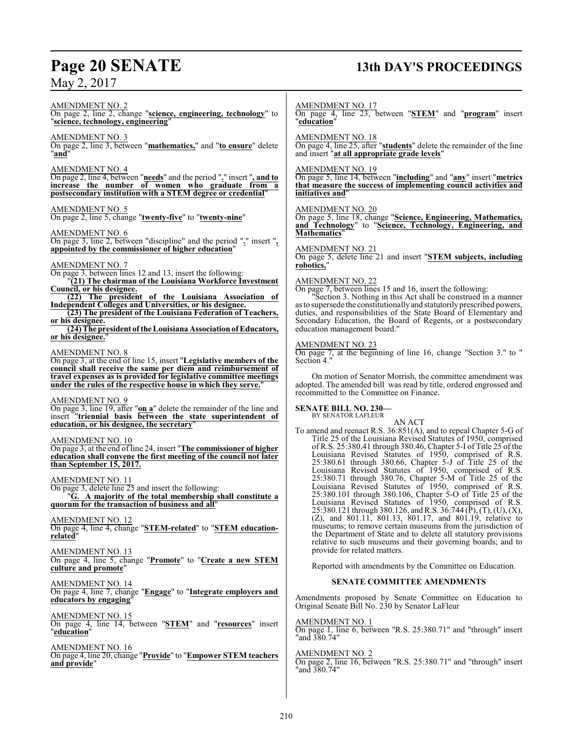# **Page 20 SENATE 13th DAY'S PROCEEDINGS**

AMENDMENT NO. 2 On page 2, line 2, change "**science, engineering, technology**" to "**science, technology, engineering**"

AMENDMENT NO. 3 On page 2, line 3, between "**mathematics,**" and "**to ensure**" delete

"**and**"

#### AMENDMENT NO. 4

On page 2, line 4, between "**needs**" and the period "**.**" insert "**, and to increase the number of women who graduate from a postsecondary institution with a STEM degree or credential**"

#### AMENDMENT NO. 5

On page 2, line 5, change "**twenty-five**" to "**twenty-nine**"

#### AMENDMENT NO. 6

On page 3, line 2, between "discipline" and the period "**.**" insert "**, appointed by the commissioner of higher education**"

#### AMENDMENT NO. 7

On page 3, between lines 12 and 13, insert the following:

"**(21) The chairman of the Louisiana Workforce Investment Council, or his designee.**

**(22) The president of the Louisiana Association of Independent Colleges and Universities, or his designee.**

**(23) The president of the Louisiana Federation of Teachers, or his designee.**

**(24)The president of the LouisianaAssociationof Educators,** or his designee.

#### AMENDMENT NO. 8

On page 3, at the end of line 15, insert "**Legislative members of the council shall receive the same per diem and reimbursement of travel expenses as is provided for legislative committee meetings under the rules of the respective house in which they serve.**"

#### AMENDMENT NO. 9

On page 3, line 19, after "**on a**" delete the remainder of the line and insert "**triennial basis between the state superintendent of education, or his designee, the secretary**"

#### AMENDMENT NO. 10

On page 3, at the end of line 24, insert "**The commissioner of higher education shall convene the first meeting of the council not later than September 15, 2017.**

#### AMENDMENT NO. 11

On page 3, delete line 25 and insert the following: "**G. A majority of the total membership shall constitute a quorum for the transaction of business and all**"

#### AMENDMENT NO. 12

On page 4, line 4, change "**STEM-related**" to "**STEM educationrelated**"

#### AMENDMENT NO. 13

On page 4, line 5, change "**Promote**" to "**Create a new STEM culture and promote**"

### AMENDMENT NO. 14

On page 4, line 7, change "**Engage**" to "**Integrate employers and educators by engaging**"

## AMENDMENT NO. 15

On page 4, line 14, between "**STEM**" and "**resources**" insert "**education**"

# AMENDMENT NO. 16

On page 4, line 20, change "**Provide**" to "**Empower STEM teachers and provide**"

#### AMENDMENT NO. 17

On page 4, line 23, between "**STEM**" and "**program**" insert "**education**"

#### AMENDMENT NO. 18

On page 4, line 25, after "**students**" delete the remainder of the line and insert "**at all appropriate grade levels**"

#### AMENDMENT NO. 19

On page 5, line 14, between "**including**" and "**any**" insert "**metrics that measure the success of implementing council activities and initiatives and**"

#### AMENDMENT NO. 20

On page 5, line 18, change "**Science, Engineering, Mathematics, and Technology**" to "**Science, Technology, Engineering, and Mathematics**"

#### AMENDMENT NO. 21

On page 5, delete line 21 and insert "**STEM subjects, including robotics,**"

#### AMENDMENT NO. 22

On page 7, between lines 15 and 16, insert the following:

Section 3. Nothing in this Act shall be construed in a manner asto supersede the constitutionally and statutorily prescribed powers, duties, and responsibilities of the State Board of Elementary and Secondary Education, the Board of Regents, or a postsecondary education management board."

#### AMENDMENT NO. 23

On page 7, at the beginning of line 16, change "Section 3." to " Section 4."

On motion of Senator Morrish, the committee amendment was adopted. The amended bill was read by title, ordered engrossed and recommitted to the Committee on Finance.

#### **SENATE BILL NO. 230—** BY SENATOR LAFLEUR

AN ACT To amend and reenact R.S. 36:851(A), and to repeal Chapter 5-G of Title 25 of the Louisiana Revised Statutes of 1950, comprised of R.S. 25:380.41 through 380.46, Chapter 5-I of Title 25 of the Louisiana Revised Statutes of 1950, comprised of R.S. 25:380.61 through 380.66, Chapter 5-J of Title 25 of the Louisiana Revised Statutes of 1950, comprised of R.S. 25:380.71 through 380.76, Chapter 5-M of Title 25 of the Louisiana Revised Statutes of 1950, comprised of R.S. 25:380.101 through 380.106, Chapter 5-O of Title 25 of the Louisiana Revised Statutes of 1950, comprised of R.S. 25:380.121 through 380.126, and R.S. 36:744 (P), (T), (U), (X), (Z), and 801.11, 801.13, 801.17, and 801.19, relative to museums; to remove certain museums from the jurisdiction of the Department of State and to delete all statutory provisions relative to such museums and their governing boards; and to provide for related matters.

Reported with amendments by the Committee on Education.

#### **SENATE COMMITTEE AMENDMENTS**

Amendments proposed by Senate Committee on Education to Original Senate Bill No. 230 by Senator LaFleur

#### AMENDMENT NO. 1

On page 1, line 6, between "R.S. 25:380.71" and "through" insert "and 380.74"

#### AMENDMENT NO. 2

On page 2, line 16, between "R.S. 25:380.71" and "through" insert "and 380.74"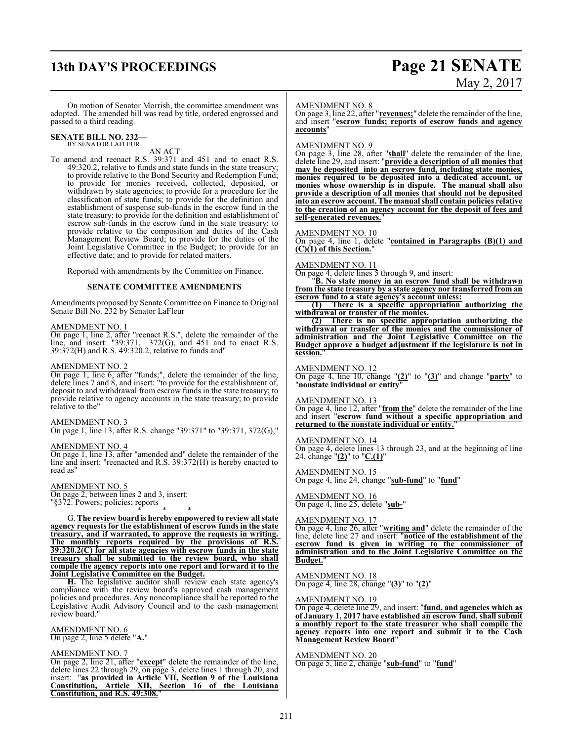# **13th DAY'S PROCEEDINGS Page 21 SENATE**

# May 2, 2017

On motion of Senator Morrish, the committee amendment was adopted. The amended bill was read by title, ordered engrossed and passed to a third reading.

#### **SENATE BILL NO. 232—** BY SENATOR LAFLEUR

AN ACT

To amend and reenact R.S. 39:371 and 451 and to enact R.S. 49:320.2, relative to funds and state funds in the state treasury; to provide relative to the Bond Security and Redemption Fund; to provide for monies received, collected, deposited, or withdrawn by state agencies; to provide for a procedure for the classification of state funds; to provide for the definition and establishment of suspense sub-funds in the escrow fund in the state treasury; to provide for the definition and establishment of escrow sub-funds in the escrow fund in the state treasury; to provide relative to the composition and duties of the Cash Management Review Board; to provide for the duties of the Joint Legislative Committee in the Budget; to provide for an effective date; and to provide for related matters.

Reported with amendments by the Committee on Finance.

#### **SENATE COMMITTEE AMENDMENTS**

Amendments proposed by Senate Committee on Finance to Original Senate Bill No. 232 by Senator LaFleur

#### AMENDMENT NO. 1

On page 1, line 2, after "reenact R.S.", delete the remainder of the line, and insert: "39:371, 372(G), and 451 and to enact R.S. 39:372(H) and R.S. 49:320.2, relative to funds and"

#### AMENDMENT NO. 2

On page 1, line 6, after "funds;", delete the remainder of the line, delete lines 7 and 8, and insert: "to provide for the establishment of, deposit to and withdrawal from escrow funds in the state treasury; to provide relative to agency accounts in the state treasury; to provide relative to the"

#### AMENDMENT NO. 3

On page 1, line 13, after R.S. change "39:371" to "39:371, 372(G),"

#### AMENDMENT NO. 4

On page 1, line 13, after "amended and" delete the remainder of the line and insert: "reenacted and R.S. 39:372(H) is hereby enacted to read as"

#### AMENDMENT NO. 5

On page 2, between lines 2 and 3, insert: "§372. Powers; policies; reports

\* \* \*

G. **The review board is hereby empowered to review all state agency requests for the establishment of escrow funds in the state treasury, and if warranted, to approve the requests in writing. The monthly reports required by the provisions of R.S. 39:320.2(C) for all state agencies with escrow funds in the state treasury shall be submitted to the review board, who shall compile the agency reports into one report and forward it to the Joint Legislative Committee on the Budget.**

**H.** The legislative auditor shall review each state agency's compliance with the review board's approved cash management policies and procedures. Any noncompliance shall be reported to the Legislative Audit Advisory Council and to the cash management review board."

AMENDMENT NO. 6 On page 2, line 5 delete "**A.**"

#### AMENDMENT NO. 7

On page 2, line 21, after "**except**" delete the remainder of the line, delete lines 22 through 29, on page 3, delete lines 1 through 20, and insert: "**as provided in Article VII, Section 9 of the Louisiana Constitution, Article XII, Section 16 of the Louisiana Constitution, and R.S. 49:308.**"

#### AMENDMENT NO. 8

On page 3, line 22, after "**revenues;**" delete the remainder of the line, and insert "**escrow funds; reports of escrow funds and agency accounts**"

#### AMENDMENT NO. 9

On page 3, line 28, after "**shall**" delete the remainder of the line, delete line 29, and insert: "**provide a description of all monies that may be deposited into an escrow fund, including state monies, monies required to be deposited into a dedicated account, or monies whose ownership is in dispute. The manual shall also provide a description of all monies that should not be deposited into an escrow account. The manual shall contain policies relative to the creation of an agency account for the deposit of fees and self-generated revenues.**"

#### AMENDMENT NO. 10

On page 4, line 1, delete "**contained in Paragraphs (B)(1) and (C)(1) of this Section.**"

#### AMENDMENT NO. 11

On page 4, delete lines 5 through 9, and insert:

"**B. No state money in an escrow fund shall be withdrawn from the state treasury by a state agency nor transferred from an escrow fund to a state agency's account unless:**

**(1) There is a specific appropriation authorizing the** withdrawal or transfer of the monies.<br>(2) There is no specific approx

**(2) There is no specific appropriation authorizing the withdrawal or transfer of the monies and the commissioner of administration and the Joint Legislative Committee on the Budget approve a budget adjustment if the legislature is not in session.**"

AMENDMENT NO. 12 On page 4, line 10, change "**(2)**" to "**(3)**" and change "**party**" to "**nonstate individual or entity**"

AMENDMENT NO. 13

On page 4, line 12, after "**from the**" delete the remainder of the line and insert "**escrow fund without a specific appropriation and returned to the nonstate individual or entity.**"

#### AMENDMENT NO. 14

On page 4, delete lines 13 through 23, and at the beginning of line 24, change "**(2)**" to "**C.(1)**"

AMENDMENT NO. 15 On page 4, line 24, change "**sub-fund**" to "**fund**"

AMENDMENT NO. 16 On page 4, line 25, delete "**sub-**"

#### AMENDMENT NO. 17

On page 4, line 26, after "**writing and**" delete the remainder of the line, delete line 27 and insert: "**notice of the establishment of the escrow fund is given in writing to the commissioner of administration and to the Joint Legislative Committee on the Budget.**"

AMENDMENT NO. 18 On page 4, line 28, change "**(3)**" to "**(2)**"

#### AMENDMENT NO. 19

On page 4, delete line 29, and insert: "**fund, and agencies which as of January 1, 2017 have established an escrow fund, shall submit a monthly report to the state treasurer who shall compile the agency reports into one report and submit it to the Cash Management Review Board**"

#### AMENDMENT NO. 20

On page 5, line 2, change "**sub-fund**" to "**fund**"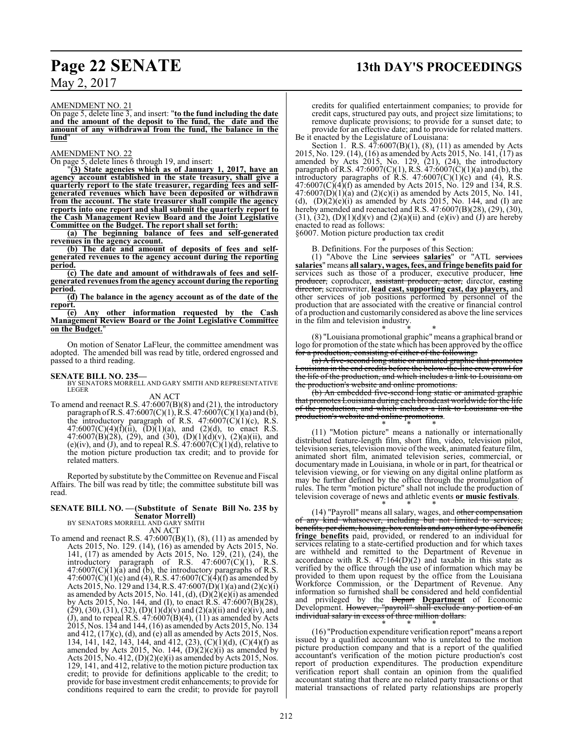# **Page 22 SENATE 13th DAY'S PROCEEDINGS**

AMENDMENT NO. 21

On page 5, delete line 3, and insert: "**to the fund including the date and the amount of the deposit to the fund, the date and the amount of any withdrawal from the fund, the balance in the fund**"

#### AMENDMENT NO. 22

On page 5, delete lines 6 through 19, and insert:

"**(3) State agencies which as of January 1, 2017, have an agency account established in the state treasury, shall give a quarterly report to the state treasurer, regarding fees and selfgenerated revenues which have been deposited or withdrawn from the account. The state treasurer shall compile the agency reports into one report and shall submit the quarterly report to the Cash Management Review Board and the Joint Legislative Committee on the Budget. The report shall set forth:**

**(a) The beginning balance of fees and self-generated revenues in the agency account.**

**(b) The date and amount of deposits of fees and selfgenerated revenues to the agency account during the reporting period.**

**(c) The date and amount of withdrawals of fees and selfgenerated revenues fromthe agency account during the reporting period.**

**(d) The balance in the agency account as of the date of the report.**

**(e) Any other information requested by the Cash Management Review Board or the Joint Legislative Committee on the Budget.**"

On motion of Senator LaFleur, the committee amendment was adopted. The amended bill was read by title, ordered engrossed and passed to a third reading.

**SENATE BILL NO. 235—** BY SENATORS MORRELL AND GARY SMITH AND REPRESENTATIVE LEGER

AN ACT

To amend and reenact R.S. 47:6007(B)(8) and (21), the introductory paragraph ofR.S. 47:6007(C)(1), R.S. 47:6007(C)(1)(a) and (b), the introductory paragraph of R.S.  $47:6007(\text{C})(1)(\text{c})$ , R.S.  $47:6007(C)(4)(f)(ii)$ ,  $(D)(1)(a)$ , and  $(2)(d)$ , to enact R.S. 47:6007(B)(28), (29), and (30), (D)(1)(d)(v), (2)(a)(ii), and (e)(iv), and (J), and to repeal R.S.  $47:6007(C)(1)(d)$ , relative to the motion picture production tax credit; and to provide for related matters.

Reported by substitute by the Committee on Revenue and Fiscal Affairs. The bill was read by title; the committee substitute bill was read.

#### **SENATE BILL NO. —(Substitute of Senate Bill No. 235 by Senator Morrell)**

BY SENATORS MORRELL AND GARY SMITH

AN ACT

To amend and reenact R.S. 47:6007(B)(1), (8), (11) as amended by Acts 2015, No. 129. (14), (16) as amended by Acts 2015, No. 141, (17) as amended by Acts 2015, No. 129, (21), (24), the introductory paragraph of R.S.  $47:6007(C)(1)$ , R.S.  $47:6007(C)(1)(a)$  and (b), the introductory paragraphs of R.S.  $47:6007(C)(1)(c)$  and (4), R.S.  $47:6007(C)(4)(f)$  as amended by Acts 2015, No. 129 and 134, R.S. 47:6007(D)(1)(a) and (2)(c)(i) as amended by Acts 2015, No. 141, (d),  $(D)(2)(e)(i)$  as amended by Acts 2015, No. 144, and (I), to enact R.S. 47:6007(B)(28),  $(29), (30), (31), (32), (D)(1)(d)(v)$  and  $(2)(a)(ii)$  and  $(e)(iv)$ , and (J), and to repeal R.S.  $47:6007(B)(4)$ ,  $(11)$  as amended by Acts 2015, Nos. 134 and 144, (16) as amended byActs 2015, No. 134 and  $412$ ,  $(17)(c)$ ,  $(d)$ , and  $(e)$  all as amended by Acts 2015, Nos. 134, 141, 142, 143, 144, and 412, (23), (C)(1)(d), (C)(4)(f) as amended by Acts 2015, No. 144,  $(D)(2)(c)(i)$  as amended by Acts 2015, No. 412, (D)(2)(e)(i) as amended by Acts 2015, Nos. 129, 141, and 412, relative to the motion picture production tax credit; to provide for definitions applicable to the credit; to provide for base investment credit enhancements; to provide for conditions required to earn the credit; to provide for payroll

credits for qualified entertainment companies; to provide for credit caps, structured pay outs, and project size limitations; to remove duplicate provisions; to provide for a sunset date; to provide for an effective date; and to provide for related matters. Be it enacted by the Legislature of Louisiana:

Section 1. R.S.  $47:6007(B)(1)$ ,  $(8)$ ,  $(11)$  as amended by Acts 2015, No. 129. (14), (16) as amended by Acts 2015, No. 141, (17) as amended by Acts 2015, No. 129, (21), (24), the introductory paragraph of R.S. 47:6007(C)(1), R.S. 47:6007(C)(1)(a) and (b), the introductory paragraphs of  $\hat{R}$ .S. 47:6007(C)(1)(c) and (4),  $\hat{R}$ .S. 47:6007(C)(4)(f) as amended by Acts 2015, No. 129 and 134, R.S.  $47:6007(D)(1)(a)$  and  $(2)(c)(i)$  as amended by Acts 2015, No. 141, (d),  $(D)(2)(e)(i)$  as amended by Acts 2015, No. 144, and (I) are hereby amended and reenacted and R.S. 47:6007(B)(28), (29), (30),  $(31)$ ,  $(32)$ ,  $(D)(1)(d)(v)$  and  $(2)(a)(ii)$  and  $(e)(iv)$  and  $(f)$  are hereby enacted to read as follows:

§6007. Motion picture production tax credit

\* \* \* B. Definitions. For the purposes of this Section:

(1) "Above the Line services **salaries**" or "ATL services **salaries**" means **all salary, wages, fees, and fringe benefits paid for** services such as those of a producer, executive producer, line producer, coproducer, assistant producer, actor, director, easting director, screenwriter, **lead cast, supporting cast, day players,** and other services of job positions performed by personnel of the production that are associated with the creative or financial control of a production and customarily considered as above the line services in the film and television industry.

\* \* \* (8) "Louisiana promotional graphic" means a graphical brand or logo for promotion of the state which has been approved by the office for a production, consisting of either of the following:

(a) A five-second long static or animated graphic that promotes Louisiana in the end credits before the below-the-line crew crawl for the life of the production, and which includes a link to Louisiana on the production's website and online promotions.

(b) An embedded five-second long static or animated graphic that promotes Louisiana during each broadcast worldwide for the life of the production, and which includes a link to Louisiana on the production's website and online promotions.

\* \* \* (11) "Motion picture" means a nationally or internationally distributed feature-length film, short film, video, television pilot, television series, television movie ofthe week, animated feature film, animated short film, animated television series, commercial, or documentary made in Louisiana, in whole or in part, for theatrical or television viewing, or for viewing on any digital online platform as may be further defined by the office through the promulgation of rules. The term "motion picture" shall not include the production of television coverage of news and athletic events **or music festivals**.

\* \* \* (14) "Payroll" means all salary, wages, and other compensation of any kind whatsoever, including but not limited to services, benefits, per diem, housing, box rentals and any other type of benefit **fringe benefits** paid, provided, or rendered to an individual for services relating to a state-certified production and for which taxes are withheld and remitted to the Department of Revenue in accordance with R.S.  $47:164(D)(2)$  and taxable in this state as verified by the office through the use of information which may be provided to them upon request by the office from the Louisiana Workforce Commission, or the Department of Revenue. Any information so furnished shall be considered and held confidential and privileged by the Depart **Department** of Economic Development. However, "payroll" shall exclude any portion of an individual salary in excess of three million dollars.

\* \* \* (16) "Production expenditure verification report"means a report issued by a qualified accountant who is unrelated to the motion picture production company and that is a report of the qualified accountant's verification of the motion picture production's cost report of production expenditures. The production expenditure verification report shall contain an opinion from the qualified accountant stating that there are no related party transactions or that material transactions of related party relationships are properly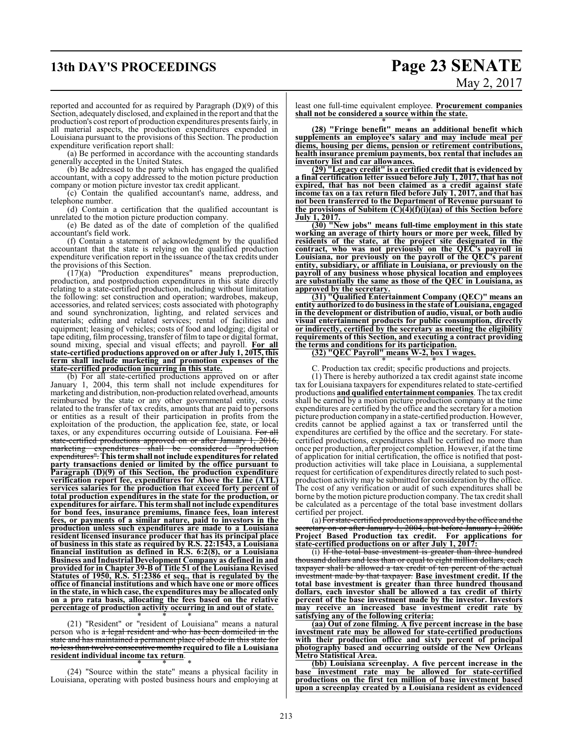# **13th DAY'S PROCEEDINGS Page 23 SENATE** May 2, 2017

reported and accounted for as required by Paragraph (D)(9) of this Section, adequately disclosed, and explained in the report and that the production's cost report of production expenditures presents fairly, in all material aspects, the production expenditures expended in Louisiana pursuant to the provisions of this Section. The production expenditure verification report shall:

(a) Be performed in accordance with the accounting standards generally accepted in the United States.

(b) Be addressed to the party which has engaged the qualified accountant, with a copy addressed to the motion picture production company or motion picture investor tax credit applicant.

(c) Contain the qualified accountant's name, address, and telephone number.

(d) Contain a certification that the qualified accountant is unrelated to the motion picture production company.

(e) Be dated as of the date of completion of the qualified accountant's field work.

(f) Contain a statement of acknowledgment by the qualified accountant that the state is relying on the qualified production expenditure verification report in the issuance of the tax credits under the provisions of this Section.

(17)(a) "Production expenditures" means preproduction, production, and postproduction expenditures in this state directly relating to a state-certified production, including without limitation the following: set construction and operation; wardrobes, makeup, accessories, and related services; costs associated with photography and sound synchronization, lighting, and related services and materials; editing and related services; rental of facilities and equipment; leasing of vehicles; costs of food and lodging; digital or tape editing, film processing, transfer of film to tape or digital format, sound mixing, special and visual effects; and payroll. **For all state-certified productions approved on or after July 1, 2015, this term shall include marketing and promotion expenses of the state-certified production incurring in this state.**

(b) For all state-certified productions approved on or after January 1, 2004, this term shall not include expenditures for marketing and distribution, non-production related overhead, amounts reimbursed by the state or any other governmental entity, costs related to the transfer of tax credits, amounts that are paid to persons or entities as a result of their participation in profits from the exploitation of the production, the application fee, state, or local taxes, or any expenditures occurring outside of Louisiana. For all state-certified productions approved on or after January 1, 2016, marketing expenditures shall be considered "production expenditures". **This termshall not include expenditures for related party transactions denied or limited by the office pursuant to Paragraph (D)(9) of this Section, the production expenditure verification report fee, expenditures for Above the Line (ATL) services salaries for the production that exceed forty percent of total production expenditures in the state for the production, or expenditures for airfare. This termshall not include expenditures for bond fees, insurance premiums, finance fees, loan interest fees, or payments of a similar nature, paid to investors in the production unless such expenditures are made to a Louisiana resident licensed insurance producer that has its principal place of business in this state as required by R.S. 22:1543, a Louisiana financial institution as defined in R.S. 6:2(8), or a Louisiana Business and Industrial Development Company as defined in and provided for in Chapter 39-B of Title 51 of the Louisiana Revised Statutes of 1950, R.S. 51:2386 et seq., that is regulated by the office of financial institutions and which have one or more offices in the state, in which case, the expenditures may be allocated only on a pro rata basis, allocating the fees based on the relative percentage of production activity occurring in and out of state.**

\* \* \* (21) "Resident" or "resident of Louisiana" means a natural person who is a legal resident and who has been domiciled in the state and has maintained a permanent place of abode in this state for no less than twelve consecutive months **required to file a Louisiana resident individual income tax return**.

\* \* \* (24) "Source within the state" means a physical facility in Louisiana, operating with posted business hours and employing at least one full-time equivalent employee. **Procurement companies shall not be considered a source within the state.** \* \* \*

**(28) "Fringe benefit" means an additional benefit which supplements an employee's salary and may include meal per diems, housing per diems, pension or retirement contributions, health insurance premium payments, box rental that includes an inventory list and car allowances.**

**(29) "Legacy credit" is a certified credit that is evidenced by a final certification letter issued before July 1, 2017, that has not expired, that has not been claimed as a credit against state income tax on a tax return filed before July 1, 2017, and that has not been transferred to the Department of Revenue pursuant to the provisions of Subitem (C)(4)(f)(i)(aa) of this Section before July 1, 2017.**

**(30) "New jobs" means full-time employment in this state working an average of thirty hours or more per week, filled by residents of the state, at the project site designated in the contract, who was not previously on the QEC's payroll in Louisiana, nor previously on the payroll of the QEC's parent entity, subsidiary, or affiliate in Louisiana, or previously on the payroll of any business whose physical location and employees are substantially the same as those of the QEC in Louisiana, as approved by the secretary.**

**(31) "Qualified Entertainment Company (QEC)" means an entity authorized to do business in the state of Louisiana, engaged in the development or distribution of audio, visual, or both audio visual entertainment products for public consumption, directly or indirectly, certified by the secretary as meeting the eligibility requirements of this Section, and executing a contract providing the terms and conditions for its participation.**

**(32) "QEC Payroll" means W-2, box 1 wages.**

\* \* \* C. Production tax credit; specific productions and projects.

(1) There is hereby authorized a tax credit against state income tax for Louisiana taxpayers for expenditures related to state-certified productions **and qualified entertainment companies**. The tax credit shall be earned by a motion picture production company at the time expenditures are certified by the office and the secretary for a motion picture production company in a state-certified production. However, credits cannot be applied against a tax or transferred until the expenditures are certified by the office and the secretary. For statecertified productions, expenditures shall be certified no more than once per production, after project completion. However, if at the time of application for initial certification, the office is notified that postproduction activities will take place in Louisiana, a supplemental request for certification of expenditures directly related to such postproduction activity may be submitted for consideration by the office. The cost of any verification or audit of such expenditures shall be borne by the motion picture production company. The tax credit shall be calculated as a percentage of the total base investment dollars certified per project.

(a) For state-certified productions approved by the office and the secretary on or after January 1, 2004, but before January 1, 2006: **Project Based Production tax credit. For applications for state-certified productions on or after July 1, 2017:**

(i) If the total base investment is greater than three hundred thousand dollars and less than or equal to eight million dollars, each taxpayer shall be allowed a tax credit of ten percent of the actual investment made by that taxpayer. **Base investment credit. If the total base investment is greater than three hundred thousand dollars, each investor shall be allowed a tax credit of thirty percent of the base investment made by the investor. Investors may receive an increased base investment credit rate by satisfying any of the following criteria:**

**(aa) Out of zone filming. A five percent increase in the base investment rate may be allowed for state-certified productions with their production office and sixty percent of principal photography based and occurring outside of the New Orleans Metro Statistical Area.**

**(bb) Louisiana screenplay. A five percent increase in the base investment rate may be allowed for state-certified productions on the first ten million of base investment based upon a screenplay created by a Louisiana resident as evidenced**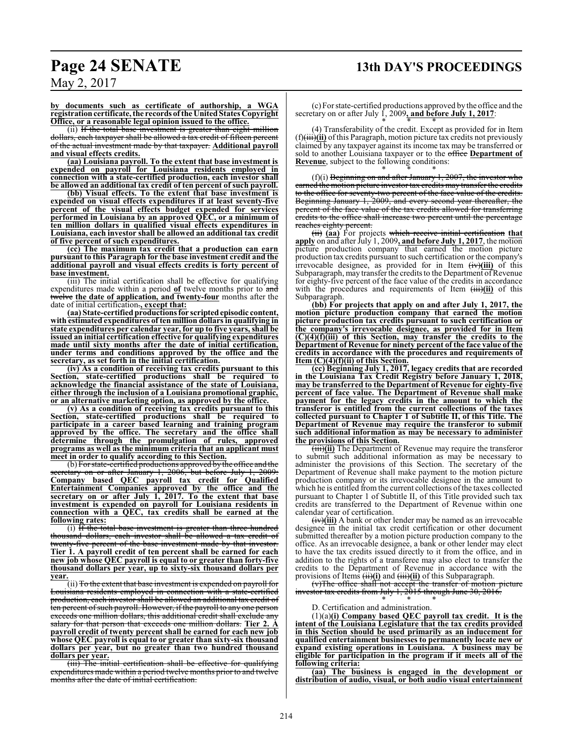# **Page 24 SENATE 13th DAY'S PROCEEDINGS**

**by documents such as certificate of authorship, a WGA** registration certificate, the records of the United States Copyright **Office, or a reasonable legal opinion issued to the office.**

(ii) If the total base investment is greater than eight million dollars, each taxpayer shall be allowed a tax credit of fifteen percent of the actual investment made by that taxpayer. **Additional payroll and visual effects credits.**

**(aa) Louisiana payroll. To the extent that base investment is expended on payroll for Louisiana residents employed in connection with a state-certified production, each investor shall be allowed an additional tax credit of ten percent of such payroll.**

**(bb) Visual effects. To the extent that base investment is expended on visual effects expenditures if at least seventy-five percent of the visual effects budget expended for services performed in Louisiana by an approved QEC, or a minimum of ten million dollars in qualified visual effects expenditures in Louisiana, each investor shall be allowed an additional tax credit of five percent of such expenditures.**

**(cc) The maximum tax credit that a production can earn pursuant to this Paragraph for the base investment credit and the additional payroll and visual effects credits is forty percent of base investment.**

(iii) The initial certification shall be effective for qualifying expenditures made within a period **of** twelve months prior to and twelve **the date of application, and twenty-four** months after the date of initial certification.**, except that:**

**(aa) State-certifiedproductions for scriptedepisodic content, with estimated expenditures of ten million dollars in qualifying in state expenditures per calendar year, for up to five years, shall be issued an initial certification effective for qualifying expenditures made until sixty months after the date of initial certification, under terms and conditions approved by the office and the secretary, as set forth in the initial certification.**

**(iv) As a condition of receiving tax credits pursuant to this Section, state-certified productions shall be required to acknowledge the financial assistance of the state of Louisiana, either through the inclusion of a Louisiana promotional graphic, or an alternative marketing option, as approved by the office.**

**(v) As a condition of receiving tax credits pursuant to this Section, state-certified productions shall be required to participate in a career based learning and training program approved by the office. The secretary and the office shall determine through the promulgation of rules, approved programs as well as the minimum criteria that an applicant must meet in order to qualify according to this Section.**

(b) For state-certified productions approved by the office and the secretary on or after January 1, 2006, but before July 1, 2009: **Company based QEC payroll tax credit for Qualified Entertainment Companies approved by the office and the secretary on or after July 1, 2017. To the extent that base investment is expended on payroll for Louisiana residents in connection with a QEC, tax credits shall be earned at the following rates:**

(i) If the total base investment is greater than three hundred thousand dollars, each investor shall be allowed a tax credit of twenty-five percent of the base investment made by that investor. **Tier 1. A payroll credit of ten percent shall be earned for each new job whose QEC payroll is equal to or greater than forty-five thousand dollars per year, up to sixty-six thousand dollars per year.**

(ii) To the extent that base investment is expended on payroll for Louisiana residents employed in connection with a state-certified production, each investor shall be allowed an additional tax credit of ten percent of such payroll. However, if the payroll to any one person exceeds one million dollars, this additional credit shall exclude any salary for that person that exceeds one million dollars. **Tier 2. A payroll credit of twenty percent shall be earned for each new job whose QEC payroll is equal to or greater than sixty-six thousand dollars per year, but no greater than two hundred thousand dollars per year.**

(iii) The initial certification shall be effective for qualifying expenditures made within a period twelve months prior to and twelve months after the date of initial certification.

(c) For state-certified productions approved by the office and the secretary on or after July 1, 2009, and before July 1, 2017: \* \* \*

(4) Transferability of the credit. Except as provided for in Item (f)(iii)**(ii)** ofthis Paragraph, motion picture tax credits not previously claimed by any taxpayer against its income tax may be transferred or sold to another Louisiana taxpayer or to the office **Department of Revenue**, subject to the following conditions:

\* \* \*  $(f)(i)$  Beginning on and after January 1, 2007, the investor who earned the motion picture investor tax credits may transfer the credits to the office for seventy-two percent of the face value of the credits. Beginning January 1, 2009, and every second year thereafter, the percent of the face value of the tax credits allowed for transferring credits to the office shall increase two percent until the percentage reaches eighty percent.

(ii) **(aa)** For projects which receive initial certification **that apply** on and after July 1, 2009**, and before July 1, 2017**, the motion picture production company that earned the motion picture production tax credits pursuant to such certification or the company's irrevocable designee, as provided for in Item  $(\frac{iv}{i})$  of this Subparagraph, may transfer the credits to the Department of Revenue for eighty-five percent of the face value of the credits in accordance with the procedures and requirements of Item  $(\overrightarrow{iii})(\overrightarrow{ii})$  of this Subparagraph.

**(bb) For projects that apply on and after July 1, 2017, the motion picture production company that earned the motion picture production tax credits pursuant to such certification or the company's irrevocable designee, as provided for in Item (C)(4)(f)(iii) of this Section, may transfer the credits to the Department of Revenue for ninety percent of the face value of the credits in accordance with the procedures and requirements of Item (C)(4)(f)(ii) of this Section.**

**(cc) Beginning July 1, 2017, legacy credits that are recorded in the Louisiana Tax Credit Registry before January 1, 2018, may be transferred to the Department of Revenue for eighty-five percent of face value. The Department of Revenue shall make payment for the legacy credits in the amount to which the transferor is entitled from the current collections of the taxes collected pursuant to Chapter 1 of Subtitle II, of this Title. The Department of Revenue may require the transferor to submit such additional information as may be necessary to administer the provisions of this Section.**

(iii)**(ii)** The Department of Revenue may require the transferor to submit such additional information as may be necessary to administer the provisions of this Section. The secretary of the Department of Revenue shall make payment to the motion picture production company or its irrevocable designee in the amount to which he is entitled fromthe current collections ofthe taxes collected pursuant to Chapter 1 of Subtitle II, of this Title provided such tax credits are transferred to the Department of Revenue within one calendar year of certification.

(iv)**(iii)** A bank or other lender may be named as an irrevocable designee in the initial tax credit certification or other document submitted thereafter by a motion picture production company to the office. As an irrevocable designee, a bank or other lender may elect to have the tax credits issued directly to it from the office, and in addition to the rights of a transferee may also elect to transfer the credits to the Department of Revenue in accordance with the provisions of Items (ii)**(i)** and (iii)**(ii)** of this Subparagraph.

(v)The office shall not accept the transfer of motion picture investor tax credits from July 1, 2015 through June 30, 2016.

\* \* \* D. Certification and administration.

(1)(a)**(i) Company based QEC payroll tax credit. It is the intent of the Louisiana Legislature that the tax credits provided in this Section should be used primarily as an inducement for qualified entertainment businesses to permanently locate new or expand existing operations in Louisiana. A business may be eligible for participation in the program if it meets all of the following criteria:**

**(aa) The business is engaged in the development or distribution of audio, visual, or both audio visual entertainment**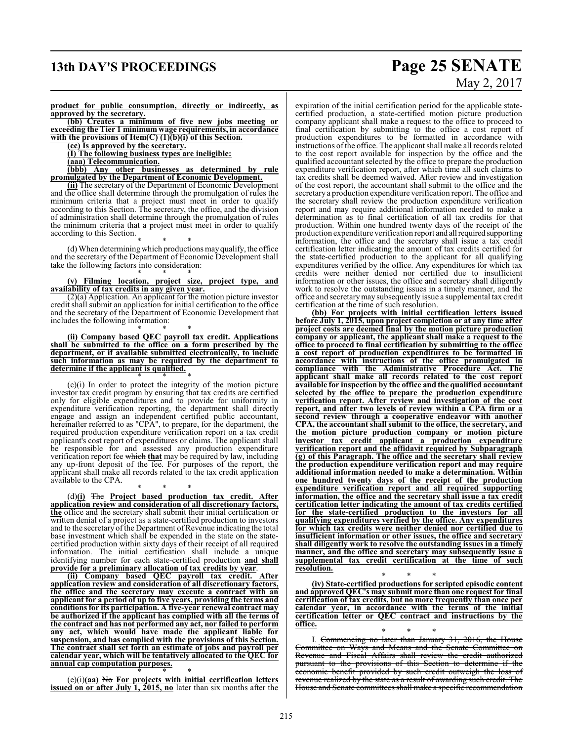# **13th DAY'S PROCEEDINGS Page 25 SENATE** May 2, 2017

**product for public consumption, directly or indirectly, as approved by the secretary.**

**(bb) Creates a minimum of five new jobs meeting or exceeding the Tier 1 minimum wage requirements, in accordance with the provisions of Item(C) (1)(b)(i) of this Section.**

**(cc) Is approved by the secretary.**

**(I) The following business types are ineligible:**

**(aaa) Telecommunication.**

**(bbb) Any other businesses as determined by rule promulgated by the Department of Economic Development.**

**(ii)** The secretary of the Department of Economic Development and the office shall determine through the promulgation of rules the minimum criteria that a project must meet in order to qualify according to this Section. The secretary, the office, and the division of administration shall determine through the promulgation of rules the minimum criteria that a project must meet in order to qualify according to this Section.

\* \* \* (d) When determining which productions mayqualify, the office and the secretary of the Department of Economic Development shall take the following factors into consideration:

#### \* \* \* **(v) Filming location, project size, project type, and availability of tax credits in any given year.**

(2)(a) Application. An applicant for the motion picture investor credit shall submit an application for initial certification to the office and the secretary of the Department of Economic Development that includes the following information:

#### \* \* \* **(ii) Company based QEC payroll tax credit. Applications shall be submitted to the office on a form prescribed by the department, or if available submitted electronically, to include such information as may be required by the department to determine if the applicant is qualified.**

\* \* \* (c)(i) In order to protect the integrity of the motion picture investor tax credit program by ensuring that tax credits are certified only for eligible expenditures and to provide for uniformity in expenditure verification reporting, the department shall directly engage and assign an independent certified public accountant, hereinafter referred to as "CPA", to prepare, for the department, the required production expenditure verification report on a tax credit applicant's cost report of expenditures or claims. The applicant shall be responsible for and assessed any production expenditure verification report fee which **that** may be required by law, including any up-front deposit of the fee. For purposes of the report, the applicant shall make all records related to the tax credit application available to the CPA.

\* \* \* (d)**(i)** The **Project based production tax credit. After application review and consideration of all discretionary factors, the** office and the secretary shall submit their initial certification or written denial of a project as a state-certified production to investors and to the secretary of the Department of Revenue indicating the total base investment which shall be expended in the state on the statecertified production within sixty days of their receipt of all required information. The initial certification shall include a unique identifying number for each state-certified production **and shall provide for a preliminary allocation of tax credits by year**.

**(ii) Company based QEC payroll tax credit. After application review and consideration of all discretionary factors, the office and the secretary may execute a contract with an applicant for a period of up to five years, providing the terms and conditionsfor its participation. A five-year renewal contract may be authorized if the applicant has complied with all the terms of the contract and has not performed any act, nor failed to perform any act, which would have made the applicant liable for suspension, and has complied with the provisions of this Section. The contract shall set forth an estimate of jobs and payroll per calendar year, which will be tentatively allocated to the QEC for annual cap computation purposes.**

\* \* \* (e)(i)**(aa)** No **For projects with initial certification letters issued on or after July 1, 2015, no** later than six months after the expiration of the initial certification period for the applicable statecertified production, a state-certified motion picture production company applicant shall make a request to the office to proceed to final certification by submitting to the office a cost report of production expenditures to be formatted in accordance with instructions of the office. The applicant shall make all records related to the cost report available for inspection by the office and the qualified accountant selected by the office to prepare the production expenditure verification report, after which time all such claims to tax credits shall be deemed waived. After review and investigation of the cost report, the accountant shall submit to the office and the secretary a production expenditure verification report. The office and the secretary shall review the production expenditure verification report and may require additional information needed to make a determination as to final certification of all tax credits for that production. Within one hundred twenty days of the receipt of the production expenditure verification report and allrequired supporting information, the office and the secretary shall issue a tax credit certification letter indicating the amount of tax credits certified for the state-certified production to the applicant for all qualifying expenditures verified by the office. Any expenditures for which tax credits were neither denied nor certified due to insufficient information or other issues, the office and secretary shall diligently work to resolve the outstanding issues in a timely manner, and the office and secretarymay subsequently issue a supplemental tax credit certification at the time of such resolution.

**(bb) For projects with initial certification letters issued before July 1, 2015, upon project completion or at any time after project costs are deemed final by the motion picture production company or applicant, the applicant shall make a request to the office to proceed to final certification by submitting to the office a cost report of production expenditures to be formatted in accordance with instructions of the office promulgated in compliance with the Administrative Procedure Act. The applicant shall make all records related to the cost report available for inspection by the office and the qualified accountant selected by the office to prepare the production expenditure verification report. After review and investigation of the cost report, and after two levels of review within a CPA firm or a second review through a cooperative endeavor with another CPA, the accountant shall submit to the office, the secretary, and the motion picture production company or motion picture investor tax credit applicant a production expenditure verification report and the affidavit required by Subparagraph (g) of this Paragraph. The office and the secretary shall review the production expenditure verification report and may require additional information needed to make a determination. Within one hundred twenty days of the receipt of the production expenditure verification report and all required supporting information, the office and the secretary shall issue a tax credit certification letter indicating the amount of tax credits certified for the state-certified production to the investors for all qualifying expenditures verified by the office. Any expenditures for which tax credits were neither denied nor certified due to insufficient information or other issues, the office and secretary shall diligently work to resolve the outstanding issues in a timely manner, and the office and secretary may subsequently issue a supplemental tax credit certification at the time of such resolution.**

\* \* \* **(iv) State-certified productions for scripted episodic content and approved QEC's may submit more than one request for final certification of tax credits, but no more frequently than once per calendar year, in accordance with the terms of the initial certification letter or QEC contract and instructions by the office.**

\* \* \* I. Commencing no later than January 31, 2016, the House Committee on Ways and Means and the Senate Committee on Revenue and Fiscal Affairs shall review the credit authorized pursuant to the provisions of this Section to determine if the economic benefit provided by such credit outweigh the loss of revenue realized by the state as a result of awarding such credit. The House and Senate committees shall make a specific recommendation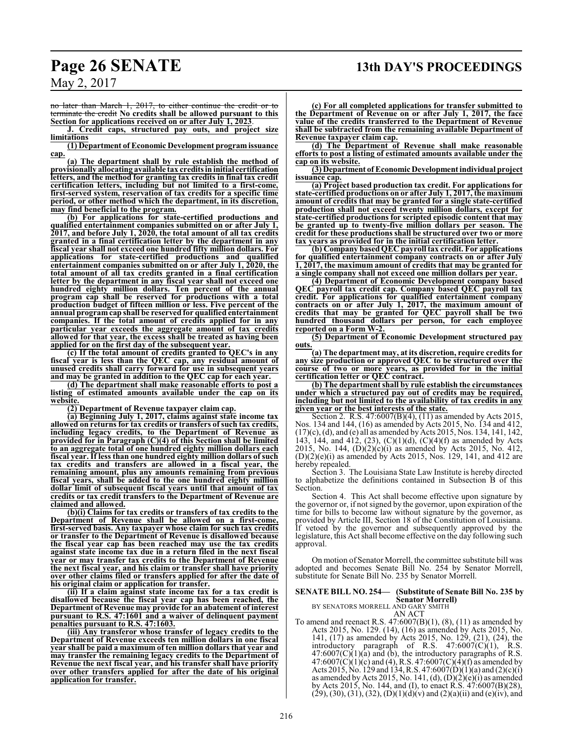no later than March 1, 2017, to either continue the credit or to terminate the credit **No credits shall be allowed pursuant to this Section for applications received on or after July 1, 2023**.

**J. Credit caps, structured pay outs, and project size limitations**

**(1) Department of Economic Development program issuance cap.**

**(a) The department shall by rule establish the method of provisionally allocating available tax credits in initial certification letters, and the method for granting tax credits in final tax credit certification letters, including but not limited to a first-come, first-served system, reservation of tax credits for a specific time period, or other method which the department, in its discretion, may find beneficial to the program.**

**(b) For applications for state-certified productions and qualified entertainment companies submitted on or after July 1, 2017, and before July 1, 2020, the total amount of all tax credits granted in a final certification letter by the department in any fiscal year shall not exceed one hundred fifty million dollars. For applications for state-certified productions and qualified entertainment companies submitted on or after July 1, 2020, the total amount of all tax credits granted in a final certification letter by the department in any fiscal year shall not exceed one hundred eighty million dollars. Ten percent of the annual program cap shall be reserved for productions with a total production budget of fifteen million or less. Five percent of the annual program cap shall be reserved for qualified entertainment companies. If the total amount of credits applied for in any particular year exceeds the aggregate amount of tax credits allowed for that year, the excess shall be treated as having been applied for on the first day of the subsequent year.**

**(c) If the total amount of credits granted to QEC's in any fiscal year is less than the QEC cap, any residual amount of unused credits shall carry forward for use in subsequent years and may be granted in addition to the QEC cap for each year.**

**(d) The department shall make reasonable efforts to post a listing of estimated amounts available under the cap on its website.**

**(2) Department of Revenue taxpayer claim cap.**

**(a) Beginning July 1, 2017, claims against state income tax allowed on returns for tax credits or transfers ofsuch tax credits, including legacy credits, to the Department of Revenue as provided for in Paragraph (C)(4) of this Section shall be limited to an aggregate total of one hundred eighty million dollars each fiscal year. If less than one hundred eighty million dollars of such tax credits and transfers are allowed in a fiscal year, the remaining amount, plus any amounts remaining from previous fiscal years, shall be added to the one hundred eighty million dollar limit of subsequent fiscal years until that amount of tax credits or tax credit transfers to the Department of Revenue are claimed and allowed.**

**(b)(i) Claims for tax credits or transfers of tax credits to the Department of Revenue shall be allowed on a first-come, first-served basis. Any taxpayer whose claim for such tax credits or transfer to the Department of Revenue is disallowed because the fiscal year cap has been reached may use the tax credits against state income tax due in a return filed in the next fiscal year or may transfer tax credits to the Department of Revenue the next fiscal year, and his claim or transfer shall have priority over other claims filed or transfers applied for after the date of his original claim or application for transfer.**

**(ii) If a claim against state income tax for a tax credit is disallowed because the fiscal year cap has been reached, the Department of Revenue may provide for an abatement of interest pursuant to R.S. 47:1601 and a waiver of delinquent payment penalties pursuant to R.S. 47:1603.**

**(iii) Any transferor whose transfer of legacy credits to the Department of Revenue exceeds ten million dollars in one fiscal year shall be paid a maximum of ten million dollars that year and may transfer the remaining legacy credits to the Department of Revenue the next fiscal year, and his transfer shall have priority over other transfers applied for after the date of his original application for transfer.**

**(c) For all completed applications for transfer submitted to the Department of Revenue on or after July 1, 2017, the face value of the credits transferred to the Department of Revenue shall be subtracted from the remaining available Department of Revenue taxpayer claim cap.**

**(d) The Department of Revenue shall make reasonable efforts to post a listing of estimated amounts available under the cap on its website.**

**(3) Department of Economic Development individual project issuance cap.**

**(a) Project based production tax credit. For applications for state-certified productions on or after July 1, 2017, the maximum amount of credits that may be granted for a single state-certified production shall not exceed twenty million dollars, except for state-certified productions for scripted episodic content that may be granted up to twenty-five million dollars per season. The credit for these productions shall be structured over two or more the years as provided for in the initial certification letter**.

**(b) Company basedQEC payroll tax credit. For applications for qualified entertainment company contracts on or after July 1, 2017, the maximum amount of credits that may be granted for a single company shall not exceed one million dollars per year.**

**(4) Department of Economic Development company based QEC payroll tax credit cap. Company based QEC payroll tax credit. For applications for qualified entertainment company contracts on or after July 1, 2017, the maximum amount of credits that may be granted for QEC payroll shall be two hundred thousand dollars per person, for each employee reported on a Form W-2.**

**(5) Department of Economic Development structured pay outs.**

**(a) The department may, at its discretion, require credits for any size production or approved QEC to be structured over the course of two or more years, as provided for in the initial certification letter or QEC contract.**

**(b) The department shall by rule establish the circumstances under which a structured pay out of credits may be required, including but not limited to the availability of tax credits in any given year or the best interests of the state.**

Section 2. R.S. 47:6007(B)(4), (11) as amended by Acts 2015, Nos. 134 and 144, (16) as amended by Acts 2015, No. 134 and 412, (17)(c), (d), and (e) all as amended by Acts 2015, Nos. 134, 141, 142, 143, 144, and 412, (23), (C)(1)(d), (C)(4)(f) as amended by Acts 2015, No. 144,  $(D)(2)(c)(i)$  as amended by Acts 2015, No. 412, (D)(2)(e)(i) as amended by Acts 2015, Nos. 129, 141, and 412 are hereby repealed.

Section 3. The Louisiana State Law Institute is hereby directed to alphabetize the definitions contained in Subsection B of this Section.

Section 4. This Act shall become effective upon signature by the governor or, if not signed by the governor, upon expiration of the time for bills to become law without signature by the governor, as provided by Article III, Section 18 of the Constitution of Louisiana. If vetoed by the governor and subsequently approved by the legislature, this Act shall become effective on the day following such approval.

On motion of Senator Morrell, the committee substitute bill was adopted and becomes Senate Bill No. 254 by Senator Morrell, substitute for Senate Bill No. 235 by Senator Morrell.

#### **SENATE BILL NO. 254— (Substitute of Senate Bill No. 235 by Senator Morrell)**

BY SENATORS MORRELL AND GARY SMITH AN ACT

To amend and reenact R.S.  $47:6007(B)(1)$ ,  $(8)$ ,  $(11)$  as amended by Acts 2015, No. 129. (14), (16) as amended by Acts 2015, No. 141, (17) as amended by Acts 2015, No. 129, (21), (24), the introductory paragraph of R.S. 47:6007(C)(1), R.S.  $47:6007(C)(1)(a)$  and (b), the introductory paragraphs of R.S.  $47:6007(C)(1)(c)$  and (4), R.S.  $47:6007(C)(4)(f)$  as amended by Acts 2015, No. 129 and 134, R.S. 47:6007(D)(1)(a) and (2)(c)(i) as amended by Acts 2015, No. 141, (d),  $(D)(2)(e)(i)$  as amended by Acts 2015, No. 144, and (I), to enact R.S. 47:6007(B)(28),  $(29)$ ,  $(30)$ ,  $(31)$ ,  $(32)$ ,  $(D)(1)(d)(v)$  and  $(2)(a)(ii)$  and  $(e)(iv)$ , and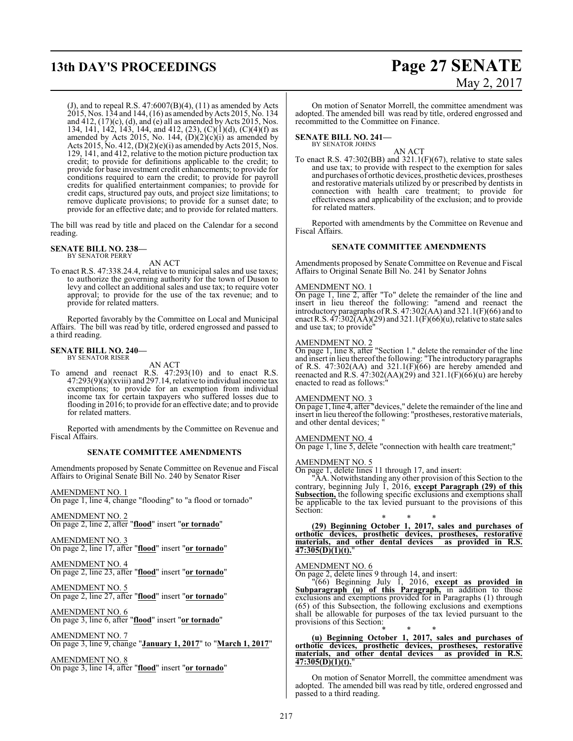# **13th DAY'S PROCEEDINGS Page 27 SENATE**

# May 2, 2017

(J), and to repeal R.S.  $47:6007(B)(4)$ ,  $(11)$  as amended by Acts 2015, Nos. 134 and 144, (16) as amended byActs 2015, No. 134 and  $412$ ,  $(17)(c)$ ,  $(d)$ , and  $(e)$  all as amended by Acts 2015, Nos. 134, 141, 142, 143, 144, and 412, (23), (C)(1)(d), (C)(4)(f) as amended by Acts 2015, No. 144,  $(D)(2)(c)(i)$  as amended by Acts 2015, No. 412,  $(D)(2)(e)(i)$  as amended by Acts 2015, Nos. 129, 141, and 412, relative to the motion picture production tax credit; to provide for definitions applicable to the credit; to provide for base investment credit enhancements; to provide for conditions required to earn the credit; to provide for payroll credits for qualified entertainment companies; to provide for credit caps, structured pay outs, and project size limitations; to remove duplicate provisions; to provide for a sunset date; to provide for an effective date; and to provide for related matters.

The bill was read by title and placed on the Calendar for a second reading.

#### **SENATE BILL NO. 238—** BY SENATOR PERRY

AN ACT

To enact R.S. 47:338.24.4, relative to municipal sales and use taxes; to authorize the governing authority for the town of Duson to levy and collect an additional sales and use tax; to require voter approval; to provide for the use of the tax revenue; and to provide for related matters.

Reported favorably by the Committee on Local and Municipal Affairs. The bill was read by title, ordered engrossed and passed to a third reading.

#### **SENATE BILL NO. 240—** BY SENATOR RISER

AN ACT

To amend and reenact R.S. 47:293(10) and to enact R.S. 47:293(9)(a)(xviii) and 297.14, relative to individual income tax exemptions; to provide for an exemption from individual income tax for certain taxpayers who suffered losses due to flooding in 2016; to provide for an effective date; and to provide for related matters.

Reported with amendments by the Committee on Revenue and Fiscal Affairs.

#### **SENATE COMMITTEE AMENDMENTS**

Amendments proposed by Senate Committee on Revenue and Fiscal Affairs to Original Senate Bill No. 240 by Senator Riser

AMENDMENT NO. 1 On page 1, line 4, change "flooding" to "a flood or tornado"

AMENDMENT NO. 2 On page 2, line 2, after "**flood**" insert "**or tornado**"

AMENDMENT NO. 3 On page 2, line 17, after "**flood**" insert "**or tornado**"

AMENDMENT NO. 4 On page 2, line 23, after "**flood**" insert "**or tornado**"

AMENDMENT NO. 5 On page 2, line 27, after "**flood**" insert "**or tornado**"

AMENDMENT NO. 6 On page 3, line 6, after "**flood**" insert "**or tornado**"

AMENDMENT NO. 7 On page 3, line 9, change "**January 1, 2017**" to "**March 1, 2017**"

AMENDMENT NO. 8 On page 3, line 14, after "**flood**" insert "**or tornado**"

On motion of Senator Morrell, the committee amendment was adopted. The amended bill was read by title, ordered engrossed and recommitted to the Committee on Finance.

**SENATE BILL NO. 241—** BY SENATOR JOHNS

AN ACT

To enact R.S. 47:302(BB) and 321.1(F)(67), relative to state sales and use tax; to provide with respect to the exemption for sales and purchases of orthotic devices, prosthetic devices, prostheses and restorative materials utilized by or prescribed by dentists in connection with health care treatment; to provide for effectiveness and applicability of the exclusion; and to provide for related matters.

Reported with amendments by the Committee on Revenue and Fiscal Affairs.

#### **SENATE COMMITTEE AMENDMENTS**

Amendments proposed by Senate Committee on Revenue and Fiscal Affairs to Original Senate Bill No. 241 by Senator Johns

#### AMENDMENT NO. 1

On page 1, line 2, after "To" delete the remainder of the line and insert in lieu thereof the following: "amend and reenact the introductory paragraphs ofR.S. 47:302(AA) and 321.1(F)(66) and to enact R.S.  $47:302(AA)(29)$  and  $321.1(F)(66)(u)$ , relative to state sales and use tax; to provide"

#### AMENDMENT NO. 2

On page 1, line 8, after "Section 1." delete the remainder of the line and insert in lieu thereofthe following: "The introductory paragraphs of R.S. 47:302(AA) and 321.1(F) $\overline{(66)}$  are hereby amended and reenacted and R.S. 47:302(AA)(29) and 321.1(F)(66)(u) are hereby enacted to read as follows:

#### AMENDMENT NO. 3

On page 1, line 4, after "devices," delete the remainder of the line and insert in lieu thereof the following: "prostheses, restorative materials, and other dental devices; "

#### AMENDMENT NO. 4

On page 1, line 5, delete "connection with health care treatment;"

#### AMENDMENT NO. 5

On page 1, delete lines 11 through 17, and insert:

"AA. Notwithstanding any other provision of this Section to the contrary, beginning July 1, 2016, **except Paragraph (29) of this Subsection,** the following specific exclusions and exemptions shall be applicable to the tax levied pursuant to the provisions of this Section:

\* \* \* **(29) Beginning October 1, 2017, sales and purchases of orthotic devices, prosthetic devices, prostheses, restorative materials, and other dental devices as provided in R.S. 47:305(D)(1)(t).**"

#### AMENDMENT NO. 6

On page 2, delete lines 9 through 14, and insert:

"(66) Beginning July 1, 2016, **except as provided in Subparagraph (u) of this Paragraph,** in addition to those exclusions and exemptions provided for in Paragraphs (1) through (65) of this Subsection, the following exclusions and exemptions shall be allowable for purposes of the tax levied pursuant to the provisions of this Section:

\* \* \* **(u) Beginning October 1, 2017, sales and purchases of orthotic devices, prosthetic devices, prostheses, restorative materials, and other dental devices as provided in R.S. 47:305(D)(1)(t).**"

On motion of Senator Morrell, the committee amendment was adopted. The amended bill was read by title, ordered engrossed and passed to a third reading.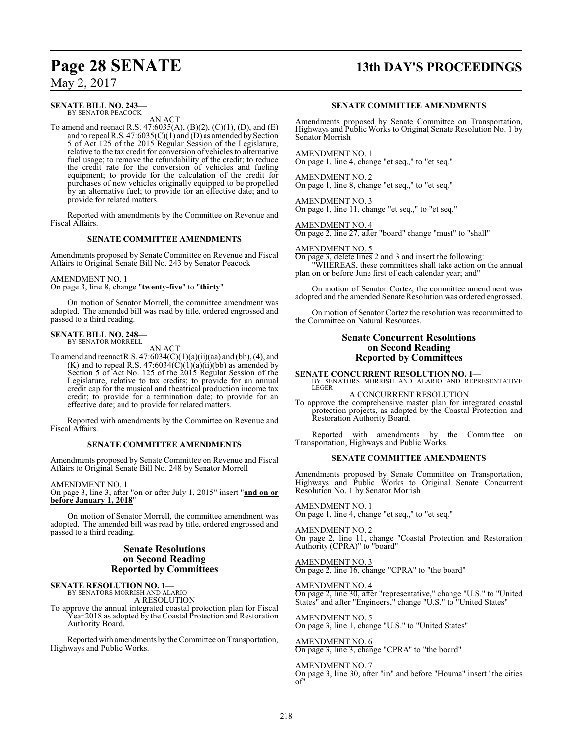# **Page 28 SENATE 13th DAY'S PROCEEDINGS**

May 2, 2017

## **SENATE BILL NO. 243—**

BY SENATOR PEACOCK AN ACT

To amend and reenact R.S. 47:6035(A), (B)(2), (C)(1), (D), and (E) and to repeal R.S.  $47:6035(C)(1)$  and  $(D)$  as amended by Section 5 of Act 125 of the 2015 Regular Session of the Legislature, relative to the tax credit for conversion of vehicles to alternative fuel usage; to remove the refundability of the credit; to reduce the credit rate for the conversion of vehicles and fueling equipment; to provide for the calculation of the credit for purchases of new vehicles originally equipped to be propelled by an alternative fuel; to provide for an effective date; and to provide for related matters.

Reported with amendments by the Committee on Revenue and Fiscal Affairs.

#### **SENATE COMMITTEE AMENDMENTS**

Amendments proposed by Senate Committee on Revenue and Fiscal Affairs to Original Senate Bill No. 243 by Senator Peacock

#### AMENDMENT NO. 1

On page 3, line 8, change "**twenty-five**" to "**thirty**"

On motion of Senator Morrell, the committee amendment was adopted. The amended bill was read by title, ordered engrossed and passed to a third reading.

#### **SENATE BILL NO. 248—** BY SENATOR MORRELL

AN ACT

To amend and reenact R.S.  $47:6034(C)(1)(a)(ii)(aa)$  and (bb), (4), and (K) and to repeal R.S.  $47:6034(C)(1)(a)(ii)(bb)$  as amended by Section 5 of Act No. 125 of the 2015 Regular Session of the Legislature, relative to tax credits; to provide for an annual credit cap for the musical and theatrical production income tax credit; to provide for a termination date; to provide for an effective date; and to provide for related matters.

Reported with amendments by the Committee on Revenue and Fiscal Affairs.

#### **SENATE COMMITTEE AMENDMENTS**

Amendments proposed by Senate Committee on Revenue and Fiscal Affairs to Original Senate Bill No. 248 by Senator Morrell

AMENDMENT NO. 1

On page 3, line 3, after "on or after July 1, 2015" insert "**and on or before January 1, 2018**"

On motion of Senator Morrell, the committee amendment was adopted. The amended bill was read by title, ordered engrossed and passed to a third reading.

### **Senate Resolutions on Second Reading Reported by Committees**

**SENATE RESOLUTION NO. 1—** BY SENATORS MORRISH AND ALARIO

A RESOLUTION

To approve the annual integrated coastal protection plan for Fiscal Year 2018 as adopted by the Coastal Protection and Restoration Authority Board.

Reported with amendments by the Committee on Transportation, Highways and Public Works.

#### **SENATE COMMITTEE AMENDMENTS**

Amendments proposed by Senate Committee on Transportation, Highways and Public Works to Original Senate Resolution No. 1 by Senator Morrish

AMENDMENT NO. 1 On page 1, line 4, change "et seq.," to "et seq."

AMENDMENT NO. 2 On page 1, line 8, change "et seq.," to "et seq."

AMENDMENT NO. 3 On page 1, line 11, change "et seq.," to "et seq."

AMENDMENT NO. 4 On page 2, line 27, after "board" change "must" to "shall"

AMENDMENT NO. 5

On page 3, delete lines 2 and 3 and insert the following: "WHEREAS, these committees shall take action on the annual plan on or before June first of each calendar year; and"

On motion of Senator Cortez, the committee amendment was adopted and the amended Senate Resolution was ordered engrossed.

On motion of Senator Cortez the resolution was recommitted to the Committee on Natural Resources.

#### **Senate Concurrent Resolutions on Second Reading Reported by Committees**

**SENATE CONCURRENT RESOLUTION NO. 1—** BY SENATORS MORRISH AND ALARIO AND REPRESENTATIVE **LEGER** 

A CONCURRENT RESOLUTION

To approve the comprehensive master plan for integrated coastal protection projects, as adopted by the Coastal Protection and Restoration Authority Board.

Reported with amendments by the Committee on Transportation, Highways and Public Works.

#### **SENATE COMMITTEE AMENDMENTS**

Amendments proposed by Senate Committee on Transportation, Highways and Public Works to Original Senate Concurrent Resolution No. 1 by Senator Morrish

AMENDMENT NO. 1 On page 1, line 4, change "et seq.," to "et seq."

AMENDMENT NO. 2

On page 2, line 11, change "Coastal Protection and Restoration Authority (CPRA)" to "board"

AMENDMENT NO. 3 On page 2, line 16, change "CPRA" to "the board"

AMENDMENT NO. 4

On page 2, line 30, after "representative," change "U.S." to "United States" and after "Engineers," change "U.S." to "United States"

AMENDMENT NO. 5

On page 3, line 1, change "U.S." to "United States"

AMENDMENT NO. 6 On page 3, line 3, change "CPRA" to "the board"

#### AMENDMENT NO. 7

On page 3, line 30, after "in" and before "Houma" insert "the cities of"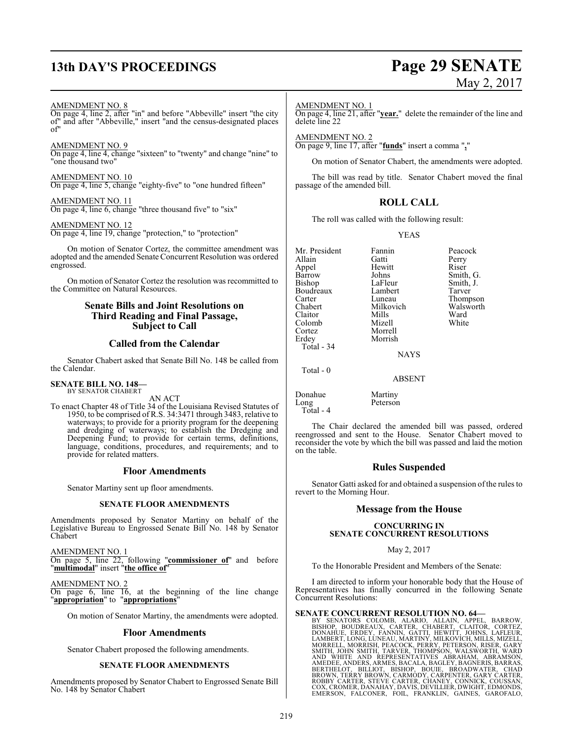# **13th DAY'S PROCEEDINGS Page 29 SENATE**

# May 2, 2017

AMENDMENT NO. 8

On page 4, line 2, after "in" and before "Abbeville" insert "the city of" and after "Abbeville," insert "and the census-designated places of"

#### AMENDMENT NO. 9

On page 4, line 4, change "sixteen" to "twenty" and change "nine" to "one thousand two"

AMENDMENT NO. 10 On page 4, line 5, change "eighty-five" to "one hundred fifteen"

AMENDMENT NO. 11 On page 4, line 6, change "three thousand five" to "six"

#### AMENDMENT NO. 12

On page 4, line 19, change "protection," to "protection"

On motion of Senator Cortez, the committee amendment was adopted and the amended Senate Concurrent Resolution was ordered engrossed.

On motion of Senator Cortez the resolution was recommitted to the Committee on Natural Resources.

### **Senate Bills and Joint Resolutions on Third Reading and Final Passage, Subject to Call**

### **Called from the Calendar**

Senator Chabert asked that Senate Bill No. 148 be called from the Calendar.

#### **SENATE BILL NO. 148—** BY SENATOR CHABERT

AN ACT

To enact Chapter 48 of Title 34 of the Louisiana Revised Statutes of 1950, to be comprised of R.S. 34:3471 through 3483, relative to waterways; to provide for a priority program for the deepening and dredging of waterways; to establish the Dredging and Deepening Fund; to provide for certain terms, definitions, language, conditions, procedures, and requirements; and to provide for related matters.

#### **Floor Amendments**

Senator Martiny sent up floor amendments.

#### **SENATE FLOOR AMENDMENTS**

Amendments proposed by Senator Martiny on behalf of the Legislative Bureau to Engrossed Senate Bill No. 148 by Senator Chabert

AMENDMENT NO. 1 On page 5, line 22, following "**commissioner of**" and before "**multimodal**" insert "**the office of**"

AMENDMENT NO. 2 On page 6, line 16, at the beginning of the line change

"**appropriation**" to "**appropriations**"

On motion of Senator Martiny, the amendments were adopted.

#### **Floor Amendments**

Senator Chabert proposed the following amendments.

#### **SENATE FLOOR AMENDMENTS**

Amendments proposed by Senator Chabert to Engrossed Senate Bill No. 148 by Senator Chabert

#### AMENDMENT NO. 1

On page 4, line 21, after "**year.**" delete the remainder of the line and delete line 22

AMENDMENT NO. 2 On page 9, line 17, after "**funds**" insert a comma "**,**"

On motion of Senator Chabert, the amendments were adopted.

The bill was read by title. Senator Chabert moved the final passage of the amended bill.

#### **ROLL CALL**

The roll was called with the following result:

#### YEAS

Mr. President Fannin Peacock<br>Allain Gatti Perry Allain Gatti Perry Appel Hewitt<br>Barrow Johns Barrow Johns Smith, G.<br>Bishop LaFleur Smith, J. Boudreaux Lambert<br>Carter Luneau Carter **Luneau** Thompson<br>Chabert Milkovich Walsworth Claitor Mills Ward Colomb<br>Cortez Cortez Morrell Total - 34

LaFleur Smith, J.<br>Lambert Tarver Milkovich Walsworth<br>
Mills Ward

**NAYS** 

ABSENT

Morrish

Peterson

Donahue Martiny<br>Long Peterson Total - 4

Total - 0

The Chair declared the amended bill was passed, ordered reengrossed and sent to the House. Senator Chabert moved to reconsider the vote by which the bill was passed and laid the motion on the table.

#### **Rules Suspended**

Senator Gatti asked for and obtained a suspension of the rules to revert to the Morning Hour.

#### **Message from the House**

#### **CONCURRING IN SENATE CONCURRENT RESOLUTIONS**

#### May 2, 2017

To the Honorable President and Members of the Senate:

I am directed to inform your honorable body that the House of Representatives has finally concurred in the following Senate Concurrent Resolutions:

**SENATE CONCURRENT RESOLUTION NO. 64-**<br>BY SENATORS COLOMB, ALARIO, ALLAIN, APPEL, BARROW,<br>BISHOP, BOUDREAUX, CARTER, CHABERT, CLAITOR, CORTEZ,<br>DONAHUE, ERDEY, FANNIN, GATTI, HEWITT, JOHNS, LAFLEUR,<br>LAMBERT, LONG, LUNEAU, M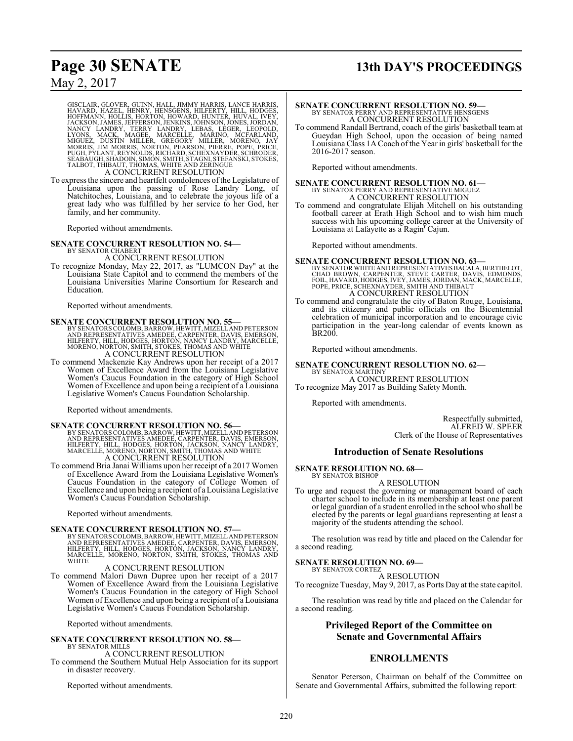# **Page 30 SENATE 13th DAY'S PROCEEDINGS**

## May 2, 2017

GISCLAIR, GLOVER, GUINN, HALL, JIMMY HARRIS, LANCE HARRIS, HAVARD, HAZEL, HENRY, HENSGENS, HILFERTY, HILL, HODGES, HOFFMANN, HOLLIS, HORTON, HOWARD, HUNTER, HUVAL, IVEY, NACKSON, JAMES, JEGER, LEOPOLD, NANCY LANDRY, TERRY

To express the sincere and heartfelt condolences of the Legislature of Louisiana upon the passing of Rose Landry Long, of Natchitoches, Louisiana, and to celebrate the joyous life of a great lady who was fulfilled by her service to her God, her family, and her community.

Reported without amendments.

**SENATE CONCURRENT RESOLUTION NO. 54—** BY SENATOR CHABERT

A CONCURRENT RESOLUTION

To recognize Monday, May 22, 2017, as "LUMCON Day" at the Louisiana State Capitol and to commend the members of the Louisiana Universities Marine Consortium for Research and Education.

Reported without amendments.

**SENATE CONCURRENT RESOLUTION NO. 55—BY SENATORS COLOMB, BARROW, HEWITT, MIZELL AND REPRESON AND REPRESON, BARROW, HEWITT, MIZELL AND REPRESON, HILFERTY, HILL, HODGES, HORTON, NANCY LANDRY, MARCELLE, MORENO, NORTON, SMITH,** 

To commend Mackenzie Kay Andrews upon her receipt of a 2017 Women of Excellence Award from the Louisiana Legislative Women's Caucus Foundation in the category of High School Women of Excellence and upon being a recipient of a Louisiana Legislative Women's Caucus Foundation Scholarship.

Reported without amendments.

**SENATE CONCURRENT RESOLUTION NO. 56—**<br>BY SENATORS COLOMB, BARROW, HEWITT, MIZELL AND REPRESON AND REPRESON<br>AND REPRESENTATIVES AMEDEE, CARPENTER, DAVIS, EMERSON,<br>HILFERTY, HILL, HODGES, HORTON, JACKSON, NANCY LANDRY,<br>MARC

To commend Bria Janai Williams upon her receipt of a 2017 Women of Excellence Award from the Louisiana Legislative Women's Caucus Foundation in the category of College Women of Excellence and upon being a recipient of a Louisiana Legislative Women's Caucus Foundation Scholarship.

Reported without amendments.

**SENATE CONCURRENT RESOLUTION NO. 57—**<br>BY SENATORS COLOMB, BARROW, HEWITT, MIZELLAND PETERSON<br>AND REPRESENTATIVES AMEDEE, CARPENTER, DAVIS, EMERSON,<br>HILFERTY, HILL, HODGES, HORTON, JACKSON, NANCY LANDRY, MARCELLE, MORENO, NORTON, SMITH, STOKES, THOMAS AND WHITE

#### A CONCURRENT RESOLUTION

To commend Malori Dawn Dupree upon her receipt of a 2017 Women of Excellence Award from the Louisiana Legislative Women's Caucus Foundation in the category of High School Women of Excellence and upon being a recipient of a Louisiana Legislative Women's Caucus Foundation Scholarship.

Reported without amendments.

#### **SENATE CONCURRENT RESOLUTION NO. 58—** BY SENATOR MILLS

A CONCURRENT RESOLUTION

To commend the Southern Mutual Help Association for its support in disaster recovery.

Reported without amendments.

## **SENATE CONCURRENT RESOLUTION NO. 59—** BY SENATOR PERRY AND REPRESENTATIVE HENSGENS A CONCURRENT RESOLUTION

To commend Randall Bertrand, coach of the girls' basketball team at Gueydan High School, upon the occasion of being named Louisiana Class 1A Coach of the Year in girls' basketball for the 2016-2017 season.

Reported without amendments.

## **SENATE CONCURRENT RESOLUTION NO. 61—** BY SENATOR PERRY AND REPRESENTATIVE MIGUEZ A CONCURRENT RESOLUTION

To commend and congratulate Elijah Mitchell on his outstanding football career at Erath High School and to wish him much success with his upcoming college career at the University of Louisiana at Lafayette as a Ragin' Cajun.

Reported without amendments.

# **SENATE CONCURRENT RESOLUTION NO. 63—BY SENATOR WHITE AND REPRESENTATIVES BACALA, BERTHELOT, CHAD BROWN, CARPENTER, DAVIS, EDMONDS, FOIL, HAVARD, HODGES, IVEY, JAMES, JORDAN, MACK, MARCELLE, POPE, PRICE, SCHEXNAYDER, SMITH** A CONCURRENT RESOLUTION

To commend and congratulate the city of Baton Rouge, Louisiana, and its citizenry and public officials on the Bicentennial celebration of municipal incorporation and to encourage civic participation in the year-long calendar of events known as BR200.

Reported without amendments.

#### **SENATE CONCURRENT RESOLUTION NO. 62—** BY SENATOR MARTINY

A CONCURRENT RESOLUTION To recognize May 2017 as Building Safety Month.

Reported with amendments.

Respectfully submitted, ALFRED W. SPEER Clerk of the House of Representatives

#### **Introduction of Senate Resolutions**

**SENATE RESOLUTION NO. 68—**

BY SENATOR BISHOP A RESOLUTION

To urge and request the governing or management board of each charter school to include in its membership at least one parent or legal guardian of a student enrolled in the school who shall be elected by the parents or legal guardians representing at least a majority of the students attending the school.

The resolution was read by title and placed on the Calendar for a second reading.

#### **SENATE RESOLUTION NO. 69—**

BY SENATOR CORTEZ A RESOLUTION

To recognize Tuesday, May 9, 2017, as Ports Day at the state capitol.

The resolution was read by title and placed on the Calendar for a second reading.

## **Privileged Report of the Committee on Senate and Governmental Affairs**

#### **ENROLLMENTS**

Senator Peterson, Chairman on behalf of the Committee on Senate and Governmental Affairs, submitted the following report: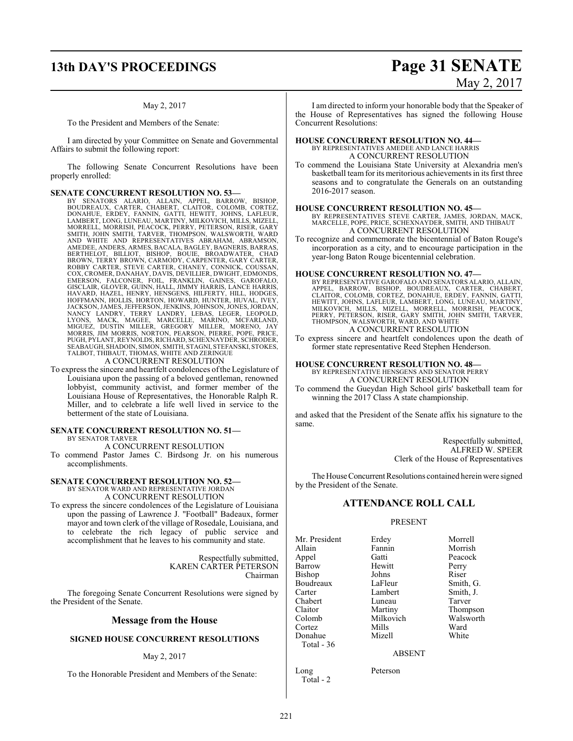To the President and Members of the Senate:

I am directed by your Committee on Senate and Governmental Affairs to submit the following report:

The following Senate Concurrent Resolutions have been properly enrolled:

**SENATE CONCURRENT RESOLUTION NO. 53**<br>BY SENATORS ALARIO, ALLAIN, APPEL, BARROW, BISHOP, BOUDREAUX, CARTER, CHABERT, CLAITOR, COLOMB, CORTEZ,<br>DONAHUE, ERDEY, FANNIN, GATTI, HEWITT, JOHNS, LAFLEUR,<br>LAMBERT, LONG, LUNEAU, MA SMITH, JOHN SMITH, TARVER, THOMPSON, WALSWORTH, WARD AND WHITE AND REPRESENTATIVES ABRAHAM, ABRAMSON, AMEDEE, ANDERS, ARMES, BACALA, BAGLEY, BAGNERIS, BARRAS,<br>BERTHELOT, BILLIOT, BISHOP, BOUIE, BROADWATER, CHAD<br>BROWN, TERRY BROWN, CARMODY, CARPENTER, GARY CARTER,<br>ROBBY CARTER, STEVE CARTER, CHANEY, CONNICK, COUS EMERSON, FALCONER, FOIL, FRANKLIN, GAINES, GAROFALO,<br>GISCLAIR,GLOVER,GUINN,HALL,JIMMY HARRIS,LANCE HARRIS,<br>HAVARD, HAZEL, HENRY, HENSGENS, HILFERTY, HILL, HODGES,<br>HOFFMANN, HOLLIS,HORTON,HOWARD,HUNTER,HUVAL,IVEY,<br>JACKSON,J NANCY LANDRY, TERRY LANDRY, LEBAS, LEGER, LEOPOLD,<br>LYONS, MACK, MAGEE, MARCELLE, MARINO, MCFARLAND,<br>MIGUEZ, DUSTIN MILLER, GREGORY MILLER, MORENO, JAY<br>MORRIS, JIM MORRIS, NORTON, PEARSON, PIERRE, POPE, PRICE, PUGH, PYLANT, REYNOLDS, RICHARD, SCHEXNAYDER, SCHRODER,<br>SEABAUGH, SHADOIN, SIMON, SMITH, STAGNI, STEFANSKI, STOKES,<br>TALBOT, THIBAUT, THOMAS, WHITE AND ZERINGUE

A CONCURRENT RESOLUTION

To express the sincere and heartfelt condolences ofthe Legislature of Louisiana upon the passing of a beloved gentleman, renowned lobbyist, community activist, and former member of the Louisiana House of Representatives, the Honorable Ralph R. Miller, and to celebrate a life well lived in service to the betterment of the state of Louisiana.

#### **SENATE CONCURRENT RESOLUTION NO. 51—** BY SENATOR TARVER

A CONCURRENT RESOLUTION

To commend Pastor James C. Birdsong Jr. on his numerous accomplishments.

#### **SENATE CONCURRENT RESOLUTION NO. 52—** BY SENATOR WARD AND REPRESENTATIVE JORDAN

A CONCURRENT RESOLUTION

To express the sincere condolences of the Legislature of Louisiana upon the passing of Lawrence J. "Football" Badeaux, former mayor and town clerk of the village of Rosedale, Louisiana, and to celebrate the rich legacy of public service and accomplishment that he leaves to his community and state.

> Respectfully submitted, KAREN CARTER PETERSON Chairman

The foregoing Senate Concurrent Resolutions were signed by the President of the Senate.

#### **Message from the House**

#### **SIGNED HOUSE CONCURRENT RESOLUTIONS**

#### May 2, 2017

To the Honorable President and Members of the Senate:

# **13th DAY'S PROCEEDINGS Page 31 SENATE** May 2, 2017

I am directed to inform your honorable body that the Speaker of the House of Representatives has signed the following House Concurrent Resolutions:

#### **HOUSE CONCURRENT RESOLUTION NO. 44—** BY REPRESENTATIVES AMEDEE AND LANCE HARRIS

A CONCURRENT RESOLUTION

To commend the Louisiana State University at Alexandria men's basketball teamfor its meritorious achievements in its first three seasons and to congratulate the Generals on an outstanding 2016-2017 season.

#### **HOUSE CONCURRENT RESOLUTION NO. 45—**

BY REPRESENTATIVES STEVE CARTER, JAMES, JORDAN, MACK, MARCELLE, POPE, PRICE, SCHEXNAYDER, SMITH, AND THIBAUT A CONCURRENT RESOLUTION

To recognize and commemorate the bicentennial of Baton Rouge's incorporation as a city, and to encourage participation in the year-long Baton Rouge bicentennial celebration.

#### **HOUSE CONCURRENT RESOLUTION NO. 47—**

BY REPRESENTATIVE GAROFALO AND SENATORS ALARIO, ALLAIN, APPEL, BARROW, BISHOP, BOUDREAUX, CARTER, CHABERT,<br>CLAITOR, COLOMB, CORTEZ, DONAHUE, ERDEY, FANNIN, GATTI,<br>HEWITT, JOHNS, LAFLEUR, LAMBERT, LONG, LUNEAU, MARTINY,<br>MILKOVICH, MILLS, MIZELL, MORRELL, MORNSH, PEACOCK,<br>PERRY, A CONCURRENT RESOLUTION

To express sincere and heartfelt condolences upon the death of former state representative Reed Stephen Henderson.

#### **HOUSE CONCURRENT RESOLUTION NO. 48—**

BY REPRESENTATIVE HENSGENS AND SENATOR PERRY A CONCURRENT RESOLUTION

To commend the Gueydan High School girls' basketball team for winning the 2017 Class A state championship.

and asked that the President of the Senate affix his signature to the same.

> Respectfully submitted, ALFRED W. SPEER Clerk of the House of Representatives

The House Concurrent Resolutions contained herein were signed by the President of the Senate.

#### **ATTENDANCE ROLL CALL**

#### PRESENT

Mr. President Erdey Morrell<br>Allain Fannin Morrish Allain Fannin Morrish<br>
Appel Gatti Peacock Appel Gatti Peacock Barrow Hewitt Perry<br>Bishop Johns Riser Bishop Johns Riser<br>Boudreaux LaFleur Smith, G. Boudreaux LaFleur Smith, G.<br>Carter Lambert Smith, J. Chabert Luneau<br>Claitor Martiny Claitor Martiny Thompson Colomb Milkovich Walsworth Cortez Mills Ward Donahue Mizell White Total - 36

Lambert Smith,<br>
Luneau Tarver

#### ABSENT

Long Peterson Total - 2